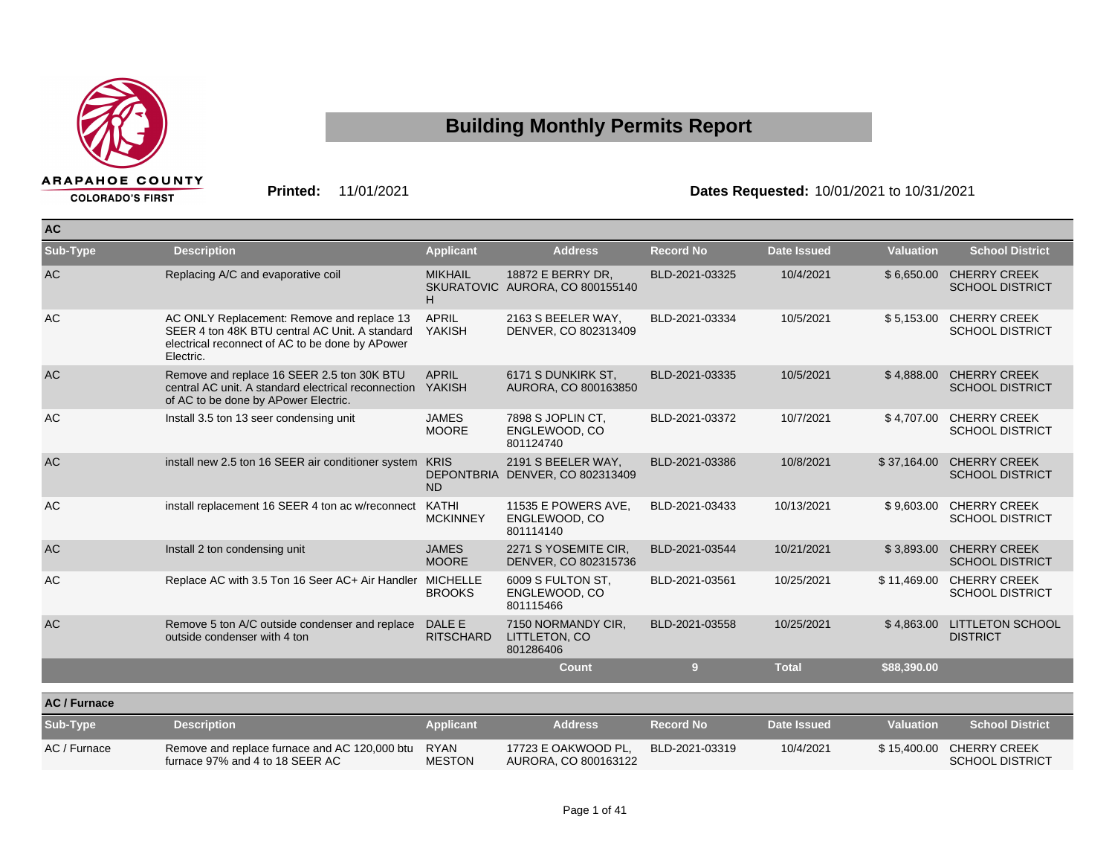

## **COLORADO'S FIRST**

## **Building Monthly Permits Report**

## **Printed:** 11/01/2021 **Dates Requested:** 10/01/2021 to 10/31/2021

| <b>AC</b>           |                                                                                                                                                              |                              |                                                       |                  |                    |                  |                                               |
|---------------------|--------------------------------------------------------------------------------------------------------------------------------------------------------------|------------------------------|-------------------------------------------------------|------------------|--------------------|------------------|-----------------------------------------------|
| Sub-Type            | <b>Description</b>                                                                                                                                           | <b>Applicant</b>             | <b>Address</b>                                        | <b>Record No</b> | <b>Date Issued</b> | <b>Valuation</b> | <b>School District</b>                        |
| AC                  | Replacing A/C and evaporative coil                                                                                                                           | <b>MIKHAIL</b><br>H          | 18872 E BERRY DR,<br>SKURATOVIC AURORA, CO 800155140  | BLD-2021-03325   | 10/4/2021          | \$6,650.00       | <b>CHERRY CREEK</b><br><b>SCHOOL DISTRICT</b> |
| AC                  | AC ONLY Replacement: Remove and replace 13<br>SEER 4 ton 48K BTU central AC Unit. A standard<br>electrical reconnect of AC to be done by APower<br>Electric. | <b>APRIL</b><br>YAKISH       | 2163 S BEELER WAY,<br>DENVER, CO 802313409            | BLD-2021-03334   | 10/5/2021          | \$5,153.00       | <b>CHERRY CREEK</b><br><b>SCHOOL DISTRICT</b> |
| AC                  | Remove and replace 16 SEER 2.5 ton 30K BTU<br>central AC unit. A standard electrical reconnection YAKISH<br>of AC to be done by APower Electric.             | <b>APRIL</b>                 | 6171 S DUNKIRK ST.<br>AURORA, CO 800163850            | BLD-2021-03335   | 10/5/2021          | \$4,888.00       | <b>CHERRY CREEK</b><br><b>SCHOOL DISTRICT</b> |
| AC                  | Install 3.5 ton 13 seer condensing unit                                                                                                                      | <b>JAMES</b><br><b>MOORE</b> | 7898 S JOPLIN CT,<br>ENGLEWOOD, CO<br>801124740       | BLD-2021-03372   | 10/7/2021          | \$4,707.00       | <b>CHERRY CREEK</b><br><b>SCHOOL DISTRICT</b> |
| <b>AC</b>           | install new 2.5 ton 16 SEER air conditioner system                                                                                                           | <b>KRIS</b><br><b>ND</b>     | 2191 S BEELER WAY,<br>DEPONTBRIA DENVER, CO 802313409 | BLD-2021-03386   | 10/8/2021          | \$37,164.00      | <b>CHERRY CREEK</b><br><b>SCHOOL DISTRICT</b> |
| AC                  | install replacement 16 SEER 4 ton ac w/reconnect                                                                                                             | KATHI<br><b>MCKINNEY</b>     | 11535 E POWERS AVE,<br>ENGLEWOOD, CO<br>801114140     | BLD-2021-03433   | 10/13/2021         | \$9,603.00       | <b>CHERRY CREEK</b><br><b>SCHOOL DISTRICT</b> |
| <b>AC</b>           | Install 2 ton condensing unit                                                                                                                                | <b>JAMES</b><br><b>MOORE</b> | 2271 S YOSEMITE CIR,<br>DENVER, CO 802315736          | BLD-2021-03544   | 10/21/2021         | \$3,893.00       | <b>CHERRY CREEK</b><br><b>SCHOOL DISTRICT</b> |
| AC                  | Replace AC with 3.5 Ton 16 Seer AC+ Air Handler MICHELLE                                                                                                     | <b>BROOKS</b>                | 6009 S FULTON ST.<br>ENGLEWOOD, CO<br>801115466       | BLD-2021-03561   | 10/25/2021         | \$11,469.00      | <b>CHERRY CREEK</b><br><b>SCHOOL DISTRICT</b> |
| <b>AC</b>           | Remove 5 ton A/C outside condenser and replace<br>outside condenser with 4 ton                                                                               | DALE E<br><b>RITSCHARD</b>   | 7150 NORMANDY CIR,<br>LITTLETON, CO<br>801286406      | BLD-2021-03558   | 10/25/2021         | \$4,863.00       | <b>LITTLETON SCHOOL</b><br><b>DISTRICT</b>    |
|                     |                                                                                                                                                              |                              | <b>Count</b>                                          | 9 <sup>°</sup>   | <b>Total</b>       | \$88,390.00      |                                               |
| <b>AC / Furnace</b> |                                                                                                                                                              |                              |                                                       |                  |                    |                  |                                               |
| Sub-Type            | <b>Description</b>                                                                                                                                           | <b>Applicant</b>             | <b>Address</b>                                        | <b>Record No</b> | <b>Date Issued</b> | <b>Valuation</b> | <b>School District</b>                        |
| AC / Furnace        | Remove and replace furnace and AC 120,000 btu<br>furnace 97% and 4 to 18 SEER AC                                                                             | <b>RYAN</b><br><b>MESTON</b> | 17723 E OAKWOOD PL,<br>AURORA, CO 800163122           | BLD-2021-03319   | 10/4/2021          | \$15,400.00      | <b>CHERRY CREEK</b><br><b>SCHOOL DISTRICT</b> |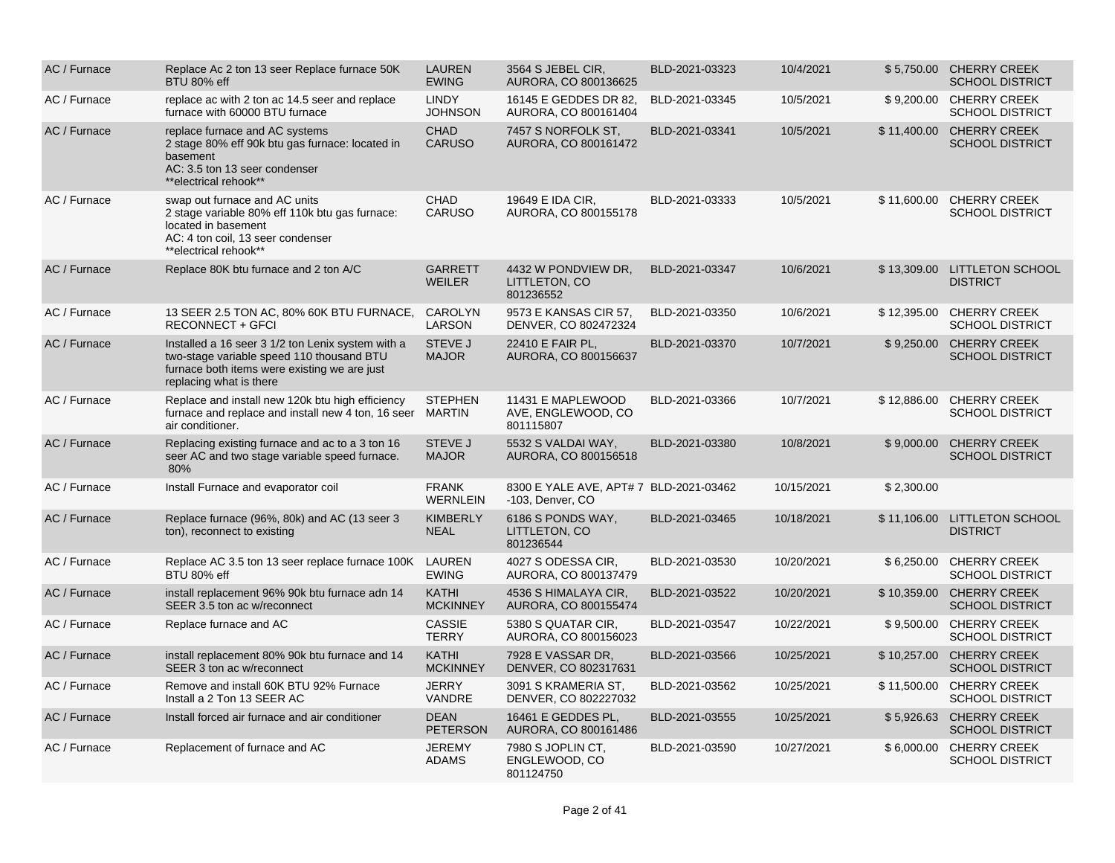| AC / Furnace | Replace Ac 2 ton 13 seer Replace furnace 50K<br>BTU 80% eff                                                                                                               | <b>LAUREN</b><br><b>EWING</b>   | 3564 S JEBEL CIR.<br>AURORA, CO 800136625                  | BLD-2021-03323 | 10/4/2021  |            | \$5.750.00 CHERRY CREEK<br><b>SCHOOL DISTRICT</b>  |
|--------------|---------------------------------------------------------------------------------------------------------------------------------------------------------------------------|---------------------------------|------------------------------------------------------------|----------------|------------|------------|----------------------------------------------------|
| AC / Furnace | replace ac with 2 ton ac 14.5 seer and replace<br>furnace with 60000 BTU furnace                                                                                          | <b>LINDY</b><br><b>JOHNSON</b>  | 16145 E GEDDES DR 82,<br>AURORA, CO 800161404              | BLD-2021-03345 | 10/5/2021  |            | \$9,200.00 CHERRY CREEK<br><b>SCHOOL DISTRICT</b>  |
| AC / Furnace | replace furnace and AC systems<br>2 stage 80% eff 90k btu gas furnace: located in<br>basement<br>AC: 3.5 ton 13 seer condenser<br>**electrical rehook**                   | <b>CHAD</b><br><b>CARUSO</b>    | 7457 S NORFOLK ST.<br>AURORA, CO 800161472                 | BLD-2021-03341 | 10/5/2021  |            | \$11,400.00 CHERRY CREEK<br><b>SCHOOL DISTRICT</b> |
| AC / Furnace | swap out furnace and AC units<br>2 stage variable 80% eff 110k btu gas furnace:<br>located in basement<br>AC: 4 ton coil, 13 seer condenser<br>**electrical rehook**      | <b>CHAD</b><br><b>CARUSO</b>    | 19649 E IDA CIR,<br>AURORA, CO 800155178                   | BLD-2021-03333 | 10/5/2021  |            | \$11,600.00 CHERRY CREEK<br><b>SCHOOL DISTRICT</b> |
| AC / Furnace | Replace 80K btu furnace and 2 ton A/C                                                                                                                                     | <b>GARRETT</b><br><b>WEILER</b> | 4432 W PONDVIEW DR.<br>LITTLETON, CO<br>801236552          | BLD-2021-03347 | 10/6/2021  |            | \$13,309.00 LITTLETON SCHOOL<br><b>DISTRICT</b>    |
| AC / Furnace | 13 SEER 2.5 TON AC, 80% 60K BTU FURNACE,<br>RECONNECT + GFCI                                                                                                              | CAROLYN<br>LARSON               | 9573 E KANSAS CIR 57,<br>DENVER, CO 802472324              | BLD-2021-03350 | 10/6/2021  |            | \$12,395.00 CHERRY CREEK<br><b>SCHOOL DISTRICT</b> |
| AC / Furnace | Installed a 16 seer 3 1/2 ton Lenix system with a<br>two-stage variable speed 110 thousand BTU<br>furnace both items were existing we are just<br>replacing what is there | <b>STEVE J</b><br><b>MAJOR</b>  | 22410 E FAIR PL,<br>AURORA, CO 800156637                   | BLD-2021-03370 | 10/7/2021  |            | \$9,250.00 CHERRY CREEK<br><b>SCHOOL DISTRICT</b>  |
| AC / Furnace | Replace and install new 120k btu high efficiency<br>furnace and replace and install new 4 ton, 16 seer<br>air conditioner.                                                | <b>STEPHEN</b><br><b>MARTIN</b> | 11431 E MAPLEWOOD<br>AVE, ENGLEWOOD, CO<br>801115807       | BLD-2021-03366 | 10/7/2021  |            | \$12,886.00 CHERRY CREEK<br><b>SCHOOL DISTRICT</b> |
| AC / Furnace | Replacing existing furnace and ac to a 3 ton 16<br>seer AC and two stage variable speed furnace.<br>80%                                                                   | <b>STEVE J</b><br><b>MAJOR</b>  | 5532 S VALDAI WAY.<br>AURORA, CO 800156518                 | BLD-2021-03380 | 10/8/2021  | \$9,000,00 | <b>CHERRY CREEK</b><br><b>SCHOOL DISTRICT</b>      |
| AC / Furnace | Install Furnace and evaporator coil                                                                                                                                       | <b>FRANK</b><br><b>WERNLEIN</b> | 8300 E YALE AVE, APT# 7 BLD-2021-03462<br>-103, Denver, CO |                | 10/15/2021 | \$2,300.00 |                                                    |
| AC / Furnace | Replace furnace (96%, 80k) and AC (13 seer 3<br>ton), reconnect to existing                                                                                               | <b>KIMBERLY</b><br><b>NEAL</b>  | 6186 S PONDS WAY,<br>LITTLETON, CO<br>801236544            | BLD-2021-03465 | 10/18/2021 |            | \$11,106.00 LITTLETON SCHOOL<br><b>DISTRICT</b>    |
| AC / Furnace | Replace AC 3.5 ton 13 seer replace furnace 100K<br>BTU 80% eff                                                                                                            | LAUREN<br><b>EWING</b>          | 4027 S ODESSA CIR.<br>AURORA, CO 800137479                 | BLD-2021-03530 | 10/20/2021 |            | \$6,250.00 CHERRY CREEK<br><b>SCHOOL DISTRICT</b>  |
| AC / Furnace | install replacement 96% 90k btu furnace adn 14<br>SEER 3.5 ton ac w/reconnect                                                                                             | <b>KATHI</b><br><b>MCKINNEY</b> | 4536 S HIMALAYA CIR,<br>AURORA, CO 800155474               | BLD-2021-03522 | 10/20/2021 |            | \$10,359.00 CHERRY CREEK<br><b>SCHOOL DISTRICT</b> |
| AC / Furnace | Replace furnace and AC                                                                                                                                                    | <b>CASSIE</b><br><b>TERRY</b>   | 5380 S QUATAR CIR.<br>AURORA, CO 800156023                 | BLD-2021-03547 | 10/22/2021 |            | \$9,500.00 CHERRY CREEK<br><b>SCHOOL DISTRICT</b>  |
| AC / Furnace | install replacement 80% 90k btu furnace and 14<br>SEER 3 ton ac w/reconnect                                                                                               | <b>KATHI</b><br><b>MCKINNEY</b> | 7928 E VASSAR DR.<br>DENVER, CO 802317631                  | BLD-2021-03566 | 10/25/2021 |            | \$10,257.00 CHERRY CREEK<br><b>SCHOOL DISTRICT</b> |
| AC / Furnace | Remove and install 60K BTU 92% Furnace<br>Install a 2 Ton 13 SEER AC                                                                                                      | <b>JERRY</b><br><b>VANDRE</b>   | 3091 S KRAMERIA ST.<br>DENVER, CO 802227032                | BLD-2021-03562 | 10/25/2021 |            | \$11,500.00 CHERRY CREEK<br><b>SCHOOL DISTRICT</b> |
| AC / Furnace | Install forced air furnace and air conditioner                                                                                                                            | <b>DEAN</b><br><b>PETERSON</b>  | 16461 E GEDDES PL,<br>AURORA, CO 800161486                 | BLD-2021-03555 | 10/25/2021 |            | \$5,926.63 CHERRY CREEK<br><b>SCHOOL DISTRICT</b>  |
| AC / Furnace | Replacement of furnace and AC                                                                                                                                             | <b>JEREMY</b><br><b>ADAMS</b>   | 7980 S JOPLIN CT,<br>ENGLEWOOD, CO<br>801124750            | BLD-2021-03590 | 10/27/2021 |            | \$6,000.00 CHERRY CREEK<br><b>SCHOOL DISTRICT</b>  |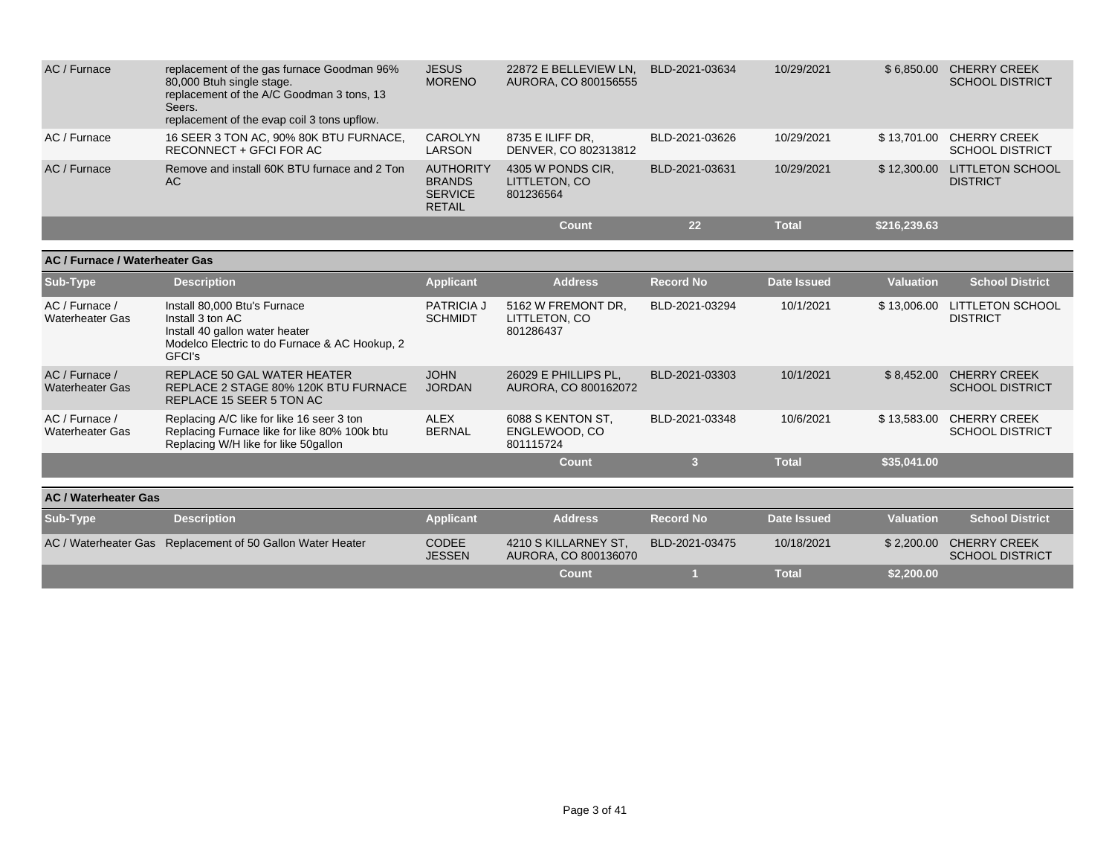| AC / Furnace | replacement of the gas furnace Goodman 96%<br>80,000 Btuh single stage.<br>replacement of the A/C Goodman 3 tons, 13<br>Seers.<br>replacement of the evap coil 3 tons upflow. | <b>JESUS</b><br><b>MORENO</b>                                        | 22872 E BELLEVIEW LN.<br>AURORA, CO 800156555   | BLD-2021-03634 | 10/29/2021   | \$6.850.00   | <b>CHERRY CREEK</b><br><b>SCHOOL DISTRICT</b> |
|--------------|-------------------------------------------------------------------------------------------------------------------------------------------------------------------------------|----------------------------------------------------------------------|-------------------------------------------------|----------------|--------------|--------------|-----------------------------------------------|
| AC / Furnace | 16 SEER 3 TON AC, 90% 80K BTU FURNACE,<br>RECONNECT + GFCI FOR AC                                                                                                             | CAROLYN<br>LARSON                                                    | 8735 E ILIFF DR.<br>DENVER, CO 802313812        | BLD-2021-03626 | 10/29/2021   | \$13.701.00  | <b>CHERRY CREEK</b><br><b>SCHOOL DISTRICT</b> |
| AC / Furnace | Remove and install 60K BTU furnace and 2 Ton<br>AC.                                                                                                                           | <b>AUTHORITY</b><br><b>BRANDS</b><br><b>SERVICE</b><br><b>RETAIL</b> | 4305 W PONDS CIR.<br>LITTLETON, CO<br>801236564 | BLD-2021-03631 | 10/29/2021   | \$12,300,00  | <b>LITTLETON SCHOOL</b><br><b>DISTRICT</b>    |
|              |                                                                                                                                                                               |                                                                      | Count                                           | 22             | <b>Total</b> | \$216,239.63 |                                               |

| <b>AC / Furnace / Waterheater Gas</b>    |                                                                                                                                               |                                     |                                                  |                  |                    |                  |                                               |
|------------------------------------------|-----------------------------------------------------------------------------------------------------------------------------------------------|-------------------------------------|--------------------------------------------------|------------------|--------------------|------------------|-----------------------------------------------|
| Sub-Type                                 | <b>Description</b>                                                                                                                            | <b>Applicant</b>                    | <b>Address</b>                                   | <b>Record No</b> | <b>Date Issued</b> | <b>Valuation</b> | <b>School District</b>                        |
| AC / Furnace /<br><b>Waterheater Gas</b> | Install 80,000 Btu's Furnace<br>Install 3 ton AC<br>Install 40 gallon water heater<br>Modelco Electric to do Furnace & AC Hookup, 2<br>GFCI's | <b>PATRICIA J</b><br><b>SCHMIDT</b> | 5162 W FREMONT DR.<br>LITTLETON, CO<br>801286437 | BLD-2021-03294   | 10/1/2021          | \$13,006.00      | <b>LITTLETON SCHOOL</b><br><b>DISTRICT</b>    |
| AC / Furnace /<br><b>Waterheater Gas</b> | REPLACE 50 GAL WATER HEATER<br>REPLACE 2 STAGE 80% 120K BTU FURNACE<br>REPLACE 15 SEER 5 TON AC                                               | <b>JOHN</b><br><b>JORDAN</b>        | 26029 E PHILLIPS PL,<br>AURORA, CO 800162072     | BLD-2021-03303   | 10/1/2021          | \$8,452.00       | <b>CHERRY CREEK</b><br><b>SCHOOL DISTRICT</b> |
| AC / Furnace /<br><b>Waterheater Gas</b> | Replacing A/C like for like 16 seer 3 ton<br>Replacing Furnace like for like 80% 100k btu<br>Replacing W/H like for like 50gallon             | <b>ALEX</b><br><b>BERNAL</b>        | 6088 S KENTON ST.<br>ENGLEWOOD, CO<br>801115724  | BLD-2021-03348   | 10/6/2021          | \$13,583.00      | <b>CHERRY CREEK</b><br><b>SCHOOL DISTRICT</b> |
|                                          |                                                                                                                                               |                                     | <b>Count</b>                                     | 3                | <b>Total</b>       | \$35,041.00      |                                               |
| <b>AC / Waterheater Gas</b>              |                                                                                                                                               |                                     |                                                  |                  |                    |                  |                                               |
| Sub-Type                                 | <b>Description</b>                                                                                                                            | <b>Applicant</b>                    | <b>Address</b>                                   | <b>Record No</b> | Date Issued        | Valuation        | <b>School District</b>                        |
| AC / Waterheater Gas                     | Replacement of 50 Gallon Water Heater                                                                                                         | <b>CODEE</b><br><b>JESSEN</b>       | 4210 S KILLARNEY ST,<br>AURORA, CO 800136070     | BLD-2021-03475   | 10/18/2021         | \$2,200.00       | <b>CHERRY CREEK</b><br><b>SCHOOL DISTRICT</b> |
|                                          |                                                                                                                                               |                                     | Count                                            |                  | <b>Total</b>       | \$2,200.00       |                                               |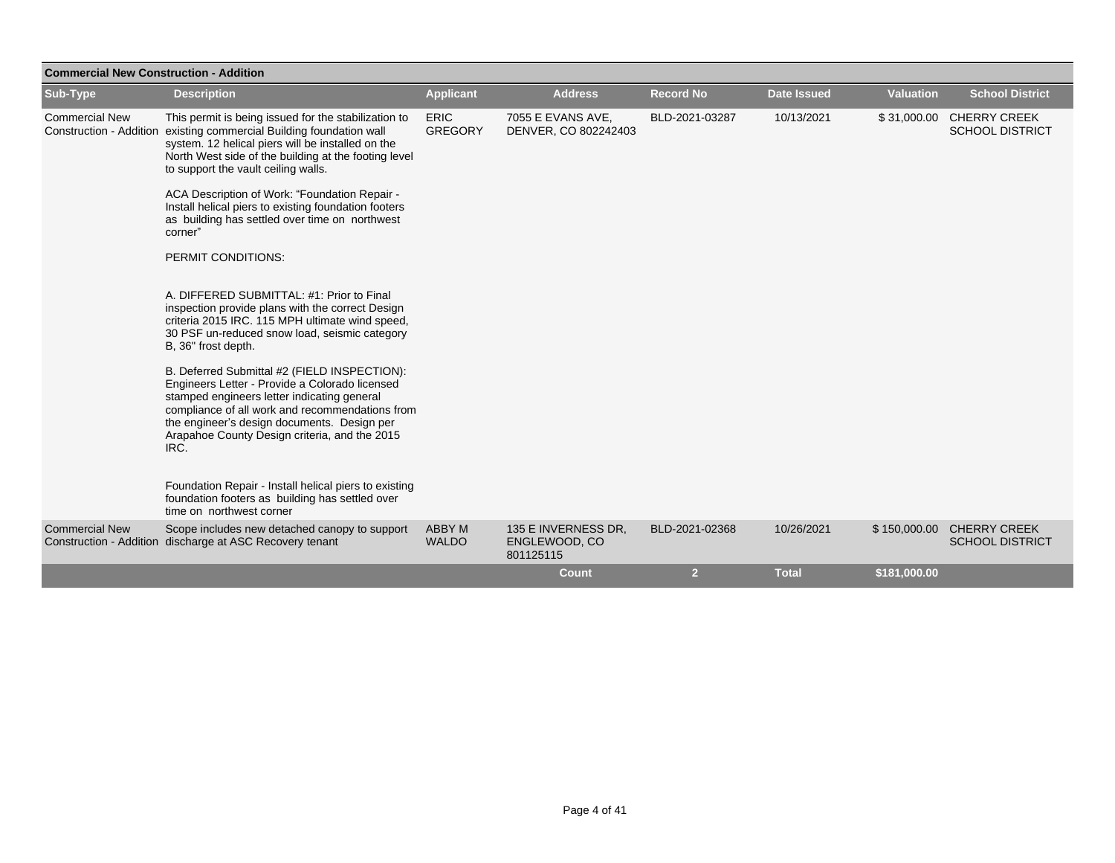| <b>Commercial New Construction - Addition</b>    |                                                                                                                                                                                                                                                                                                                                                                                                                                                                                                                                                                                                                                                                                  |                               |                                                   |                  |                    |                  |                                                     |
|--------------------------------------------------|----------------------------------------------------------------------------------------------------------------------------------------------------------------------------------------------------------------------------------------------------------------------------------------------------------------------------------------------------------------------------------------------------------------------------------------------------------------------------------------------------------------------------------------------------------------------------------------------------------------------------------------------------------------------------------|-------------------------------|---------------------------------------------------|------------------|--------------------|------------------|-----------------------------------------------------|
| Sub-Type                                         | <b>Description</b>                                                                                                                                                                                                                                                                                                                                                                                                                                                                                                                                                                                                                                                               | <b>Applicant</b>              | <b>Address</b>                                    | <b>Record No</b> | <b>Date Issued</b> | <b>Valuation</b> | <b>School District</b>                              |
| <b>Commercial New</b><br>Construction - Addition | This permit is being issued for the stabilization to<br>existing commercial Building foundation wall<br>system. 12 helical piers will be installed on the<br>North West side of the building at the footing level<br>to support the vault ceiling walls.<br>ACA Description of Work: "Foundation Repair -<br>Install helical piers to existing foundation footers<br>as building has settled over time on northwest<br>corner"<br>PERMIT CONDITIONS:<br>A. DIFFERED SUBMITTAL: #1: Prior to Final<br>inspection provide plans with the correct Design<br>criteria 2015 IRC. 115 MPH ultimate wind speed,<br>30 PSF un-reduced snow load, seismic category<br>B, 36" frost depth. | <b>ERIC</b><br><b>GREGORY</b> | 7055 E EVANS AVE,<br>DENVER, CO 802242403         | BLD-2021-03287   | 10/13/2021         |                  | \$31,000.00 CHERRY CREEK<br><b>SCHOOL DISTRICT</b>  |
|                                                  | B. Deferred Submittal #2 (FIELD INSPECTION):<br>Engineers Letter - Provide a Colorado licensed<br>stamped engineers letter indicating general<br>compliance of all work and recommendations from<br>the engineer's design documents. Design per<br>Arapahoe County Design criteria, and the 2015<br>IRC.<br>Foundation Repair - Install helical piers to existing<br>foundation footers as building has settled over<br>time on northwest corner                                                                                                                                                                                                                                 |                               |                                                   |                  |                    |                  |                                                     |
| <b>Commercial New</b>                            | Scope includes new detached canopy to support<br>Construction - Addition discharge at ASC Recovery tenant                                                                                                                                                                                                                                                                                                                                                                                                                                                                                                                                                                        | ABBY M<br><b>WALDO</b>        | 135 E INVERNESS DR.<br>ENGLEWOOD, CO<br>801125115 | BLD-2021-02368   | 10/26/2021         |                  | \$150,000.00 CHERRY CREEK<br><b>SCHOOL DISTRICT</b> |
|                                                  |                                                                                                                                                                                                                                                                                                                                                                                                                                                                                                                                                                                                                                                                                  |                               | <b>Count</b>                                      | $\overline{2}$   | <b>Total</b>       | \$181,000.00     |                                                     |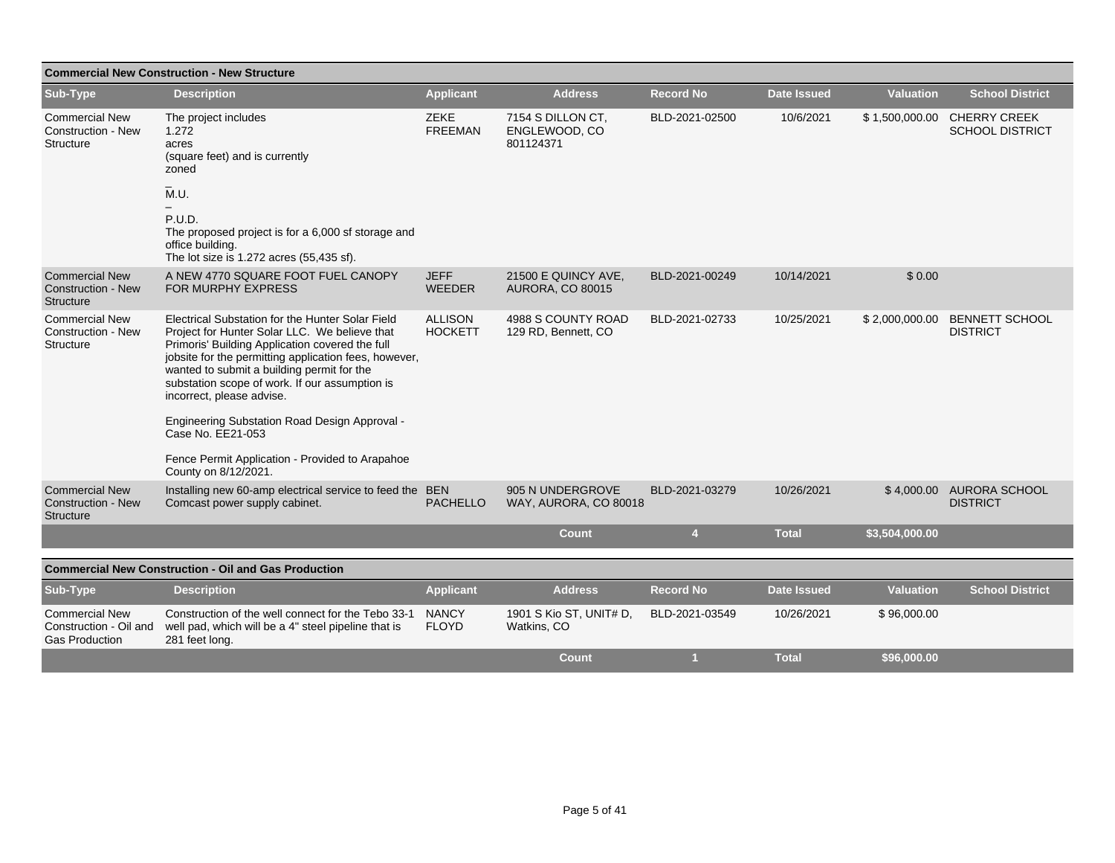| <b>Commercial New Construction - New Structure</b>                       |                                                                                                                                                                                                                                                                                                                                                                                                                                                                                             |                                  |                                                 |                  |                    |                  |                                               |  |  |  |
|--------------------------------------------------------------------------|---------------------------------------------------------------------------------------------------------------------------------------------------------------------------------------------------------------------------------------------------------------------------------------------------------------------------------------------------------------------------------------------------------------------------------------------------------------------------------------------|----------------------------------|-------------------------------------------------|------------------|--------------------|------------------|-----------------------------------------------|--|--|--|
| Sub-Type                                                                 | <b>Description</b>                                                                                                                                                                                                                                                                                                                                                                                                                                                                          | <b>Applicant</b>                 | <b>Address</b>                                  | <b>Record No</b> | <b>Date Issued</b> | <b>Valuation</b> | <b>School District</b>                        |  |  |  |
| <b>Commercial New</b><br>Construction - New<br>Structure                 | The project includes<br>1.272<br>acres<br>(square feet) and is currently<br>zoned                                                                                                                                                                                                                                                                                                                                                                                                           | <b>ZEKE</b><br><b>FREEMAN</b>    | 7154 S DILLON CT.<br>ENGLEWOOD, CO<br>801124371 | BLD-2021-02500   | 10/6/2021          | \$1,500,000.00   | <b>CHERRY CREEK</b><br><b>SCHOOL DISTRICT</b> |  |  |  |
|                                                                          | $\overline{M}$ .U.<br>P.U.D.<br>The proposed project is for a 6,000 sf storage and<br>office building.<br>The lot size is 1.272 acres (55,435 sf).                                                                                                                                                                                                                                                                                                                                          |                                  |                                                 |                  |                    |                  |                                               |  |  |  |
| <b>Commercial New</b><br><b>Construction - New</b><br>Structure          | A NEW 4770 SQUARE FOOT FUEL CANOPY<br>FOR MURPHY EXPRESS                                                                                                                                                                                                                                                                                                                                                                                                                                    | <b>JEFF</b><br><b>WEEDER</b>     | 21500 E QUINCY AVE,<br><b>AURORA, CO 80015</b>  | BLD-2021-00249   | 10/14/2021         | \$0.00           |                                               |  |  |  |
| <b>Commercial New</b><br><b>Construction - New</b><br>Structure          | Electrical Substation for the Hunter Solar Field<br>Project for Hunter Solar LLC. We believe that<br>Primoris' Building Application covered the full<br>jobsite for the permitting application fees, however,<br>wanted to submit a building permit for the<br>substation scope of work. If our assumption is<br>incorrect, please advise.<br>Engineering Substation Road Design Approval -<br>Case No. EE21-053<br>Fence Permit Application - Provided to Arapahoe<br>County on 8/12/2021. | <b>ALLISON</b><br><b>HOCKETT</b> | 4988 S COUNTY ROAD<br>129 RD, Bennett, CO       | BLD-2021-02733   | 10/25/2021         | \$2,000,000.00   | <b>BENNETT SCHOOL</b><br><b>DISTRICT</b>      |  |  |  |
| <b>Commercial New</b><br><b>Construction - New</b><br><b>Structure</b>   | Installing new 60-amp electrical service to feed the BEN<br>Comcast power supply cabinet.                                                                                                                                                                                                                                                                                                                                                                                                   | <b>PACHELLO</b>                  | 905 N UNDERGROVE<br>WAY, AURORA, CO 80018       | BLD-2021-03279   | 10/26/2021         | \$4,000.00       | <b>AURORA SCHOOL</b><br><b>DISTRICT</b>       |  |  |  |
|                                                                          |                                                                                                                                                                                                                                                                                                                                                                                                                                                                                             |                                  | <b>Count</b>                                    | $\overline{4}$   | <b>Total</b>       | \$3,504,000.00   |                                               |  |  |  |
|                                                                          | <b>Commercial New Construction - Oil and Gas Production</b>                                                                                                                                                                                                                                                                                                                                                                                                                                 |                                  |                                                 |                  |                    |                  |                                               |  |  |  |
| Sub-Type                                                                 | <b>Description</b>                                                                                                                                                                                                                                                                                                                                                                                                                                                                          | <b>Applicant</b>                 | <b>Address</b>                                  | <b>Record No</b> | <b>Date Issued</b> | <b>Valuation</b> | <b>School District</b>                        |  |  |  |
| <b>Commercial New</b><br>Construction - Oil and<br><b>Gas Production</b> | Construction of the well connect for the Tebo 33-1<br>well pad, which will be a 4" steel pipeline that is<br>281 feet long.                                                                                                                                                                                                                                                                                                                                                                 | <b>NANCY</b><br><b>FLOYD</b>     | 1901 S Kio ST, UNIT# D,<br>Watkins, CO          | BLD-2021-03549   | 10/26/2021         | \$96,000.00      |                                               |  |  |  |
|                                                                          |                                                                                                                                                                                                                                                                                                                                                                                                                                                                                             |                                  | <b>Count</b>                                    | и                | <b>Total</b>       | \$96,000.00      |                                               |  |  |  |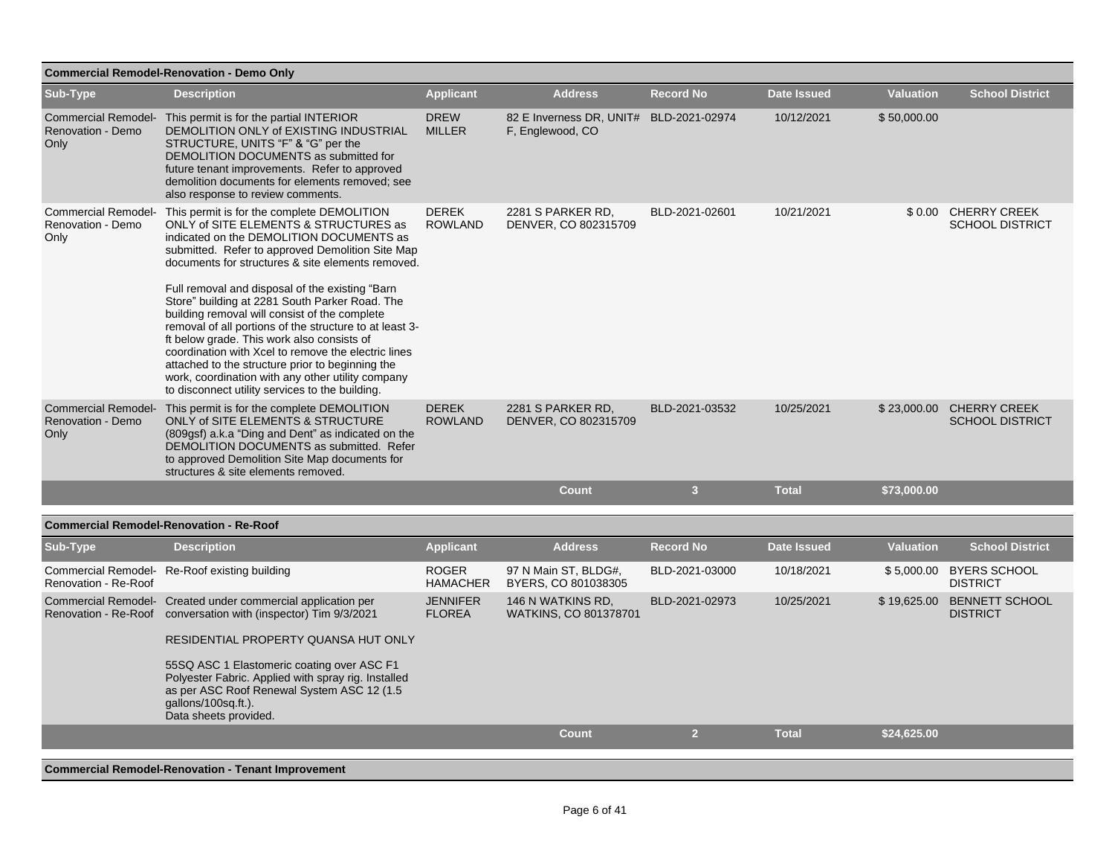| <b>Commercial Remodel-Renovation - Demo Only</b>        |                                                                                                                                                                                                                                                                                                                                                                                                                                                                                                                                                                                                                                                                                                                            |                                  |                                                             |                  |                    |                  |                                                    |  |  |  |
|---------------------------------------------------------|----------------------------------------------------------------------------------------------------------------------------------------------------------------------------------------------------------------------------------------------------------------------------------------------------------------------------------------------------------------------------------------------------------------------------------------------------------------------------------------------------------------------------------------------------------------------------------------------------------------------------------------------------------------------------------------------------------------------------|----------------------------------|-------------------------------------------------------------|------------------|--------------------|------------------|----------------------------------------------------|--|--|--|
| Sub-Type                                                | <b>Description</b>                                                                                                                                                                                                                                                                                                                                                                                                                                                                                                                                                                                                                                                                                                         | <b>Applicant</b>                 | <b>Address</b>                                              | <b>Record No</b> | <b>Date Issued</b> | <b>Valuation</b> | <b>School District</b>                             |  |  |  |
| Renovation - Demo<br>Only                               | Commercial Remodel- This permit is for the partial INTERIOR<br>DEMOLITION ONLY of EXISTING INDUSTRIAL<br>STRUCTURE, UNITS "F" & "G" per the<br>DEMOLITION DOCUMENTS as submitted for<br>future tenant improvements. Refer to approved<br>demolition documents for elements removed; see<br>also response to review comments.                                                                                                                                                                                                                                                                                                                                                                                               | <b>DREW</b><br><b>MILLER</b>     | 82 E Inverness DR, UNIT# BLD-2021-02974<br>F, Englewood, CO |                  | 10/12/2021         | \$50,000.00      |                                                    |  |  |  |
| <b>Commercial Remodel-</b><br>Renovation - Demo<br>Only | This permit is for the complete DEMOLITION<br>ONLY of SITE ELEMENTS & STRUCTURES as<br>indicated on the DEMOLITION DOCUMENTS as<br>submitted. Refer to approved Demolition Site Map<br>documents for structures & site elements removed.<br>Full removal and disposal of the existing "Barn<br>Store" building at 2281 South Parker Road. The<br>building removal will consist of the complete<br>removal of all portions of the structure to at least 3-<br>ft below grade. This work also consists of<br>coordination with Xcel to remove the electric lines<br>attached to the structure prior to beginning the<br>work, coordination with any other utility company<br>to disconnect utility services to the building. | <b>DEREK</b><br><b>ROWLAND</b>   | 2281 S PARKER RD,<br>DENVER, CO 802315709                   | BLD-2021-02601   | 10/21/2021         |                  | \$0.00 CHERRY CREEK<br><b>SCHOOL DISTRICT</b>      |  |  |  |
| <b>Commercial Remodel-</b><br>Renovation - Demo<br>Only | This permit is for the complete DEMOLITION<br>ONLY of SITE ELEMENTS & STRUCTURE<br>(809qsf) a.k.a "Ding and Dent" as indicated on the<br>DEMOLITION DOCUMENTS as submitted. Refer<br>to approved Demolition Site Map documents for<br>structures & site elements removed.                                                                                                                                                                                                                                                                                                                                                                                                                                                  | <b>DEREK</b><br><b>ROWLAND</b>   | 2281 S PARKER RD,<br>DENVER, CO 802315709                   | BLD-2021-03532   | 10/25/2021         |                  | \$23,000.00 CHERRY CREEK<br><b>SCHOOL DISTRICT</b> |  |  |  |
|                                                         |                                                                                                                                                                                                                                                                                                                                                                                                                                                                                                                                                                                                                                                                                                                            |                                  | <b>Count</b>                                                | $\overline{3}$   | <b>Total</b>       | \$73,000.00      |                                                    |  |  |  |
|                                                         | <b>Commercial Remodel-Renovation - Re-Roof</b>                                                                                                                                                                                                                                                                                                                                                                                                                                                                                                                                                                                                                                                                             |                                  |                                                             |                  |                    |                  |                                                    |  |  |  |
| Sub-Type                                                | <b>Description</b>                                                                                                                                                                                                                                                                                                                                                                                                                                                                                                                                                                                                                                                                                                         | <b>Applicant</b>                 | <b>Address</b>                                              | <b>Record No</b> | <b>Date Issued</b> | <b>Valuation</b> | <b>School District</b>                             |  |  |  |
| Renovation - Re-Roof                                    | Commercial Remodel- Re-Roof existing building                                                                                                                                                                                                                                                                                                                                                                                                                                                                                                                                                                                                                                                                              | <b>ROGER</b><br><b>HAMACHER</b>  | 97 N Main ST, BLDG#,<br>BYERS, CO 801038305                 | BLD-2021-03000   | 10/18/2021         |                  | \$5,000.00 BYERS SCHOOL<br><b>DISTRICT</b>         |  |  |  |
|                                                         | Commercial Remodel- Created under commercial application per<br>Renovation - Re-Roof conversation with (inspector) Tim 9/3/2021                                                                                                                                                                                                                                                                                                                                                                                                                                                                                                                                                                                            | <b>JENNIFER</b><br><b>FLOREA</b> | 146 N WATKINS RD,<br>WATKINS, CO 801378701                  | BLD-2021-02973   | 10/25/2021         | \$19,625.00      | <b>BENNETT SCHOOL</b><br><b>DISTRICT</b>           |  |  |  |
|                                                         | RESIDENTIAL PROPERTY QUANSA HUT ONLY                                                                                                                                                                                                                                                                                                                                                                                                                                                                                                                                                                                                                                                                                       |                                  |                                                             |                  |                    |                  |                                                    |  |  |  |
|                                                         | 55SQ ASC 1 Elastomeric coating over ASC F1<br>Polyester Fabric. Applied with spray rig. Installed<br>as per ASC Roof Renewal System ASC 12 (1.5)<br>gallons/100sq.ft.).<br>Data sheets provided.                                                                                                                                                                                                                                                                                                                                                                                                                                                                                                                           |                                  |                                                             |                  |                    |                  |                                                    |  |  |  |
|                                                         |                                                                                                                                                                                                                                                                                                                                                                                                                                                                                                                                                                                                                                                                                                                            |                                  | <b>Count</b>                                                | 2 <sup>1</sup>   | <b>Total</b>       | \$24,625.00      |                                                    |  |  |  |
|                                                         | <b>Commercial Remodel-Renovation - Tenant Improvement</b>                                                                                                                                                                                                                                                                                                                                                                                                                                                                                                                                                                                                                                                                  |                                  |                                                             |                  |                    |                  |                                                    |  |  |  |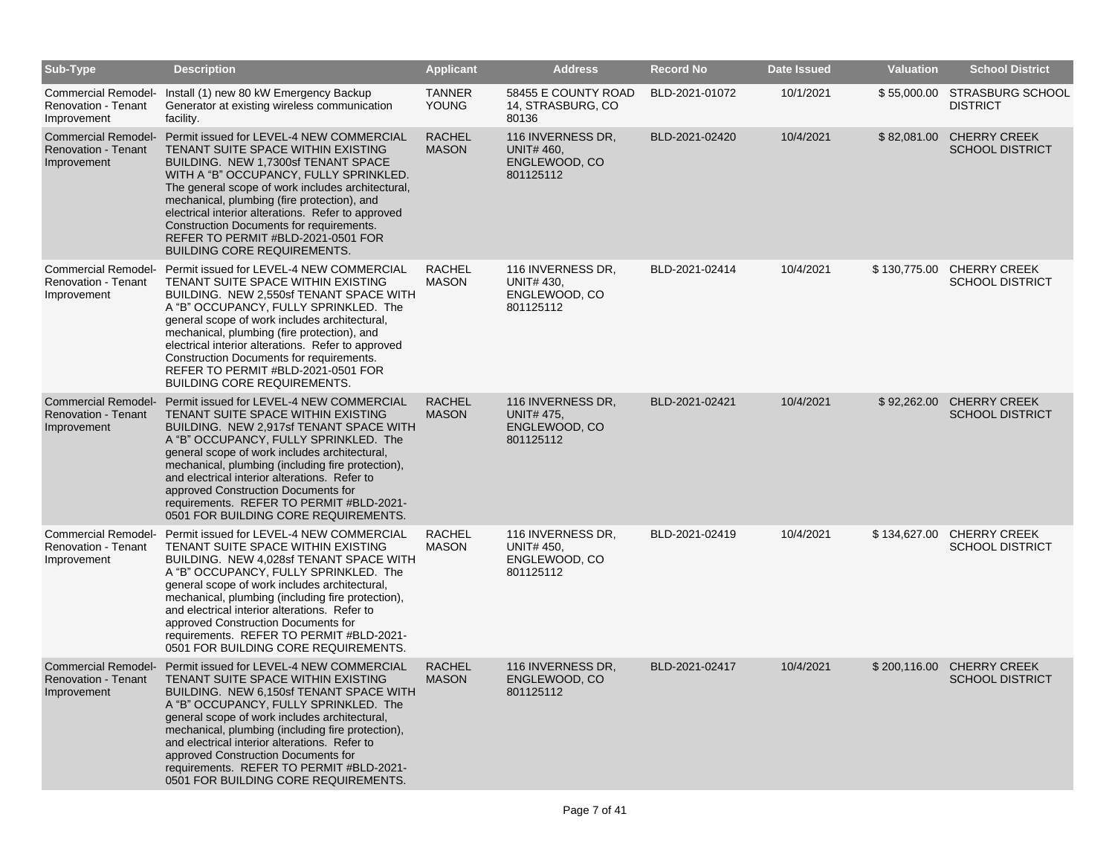| Sub-Type                                                                | <b>Description</b>                                                                                                                                                                                                                                                                                                                                                                                                                                   | <b>Applicant</b>              | <b>Address</b>                                                       | <b>Record No</b> | <b>Date Issued</b> | <b>Valuation</b> | <b>School District</b>                          |
|-------------------------------------------------------------------------|------------------------------------------------------------------------------------------------------------------------------------------------------------------------------------------------------------------------------------------------------------------------------------------------------------------------------------------------------------------------------------------------------------------------------------------------------|-------------------------------|----------------------------------------------------------------------|------------------|--------------------|------------------|-------------------------------------------------|
| Renovation - Tenant<br>Improvement                                      | Commercial Remodel- Install (1) new 80 kW Emergency Backup<br>Generator at existing wireless communication<br>facility.                                                                                                                                                                                                                                                                                                                              | <b>TANNER</b><br><b>YOUNG</b> | 58455 E COUNTY ROAD<br>14, STRASBURG, CO<br>80136                    | BLD-2021-01072   | 10/1/2021          |                  | \$55,000.00 STRASBURG SCHOOL<br><b>DISTRICT</b> |
| <b>Commercial Remodel-</b><br><b>Renovation - Tenant</b><br>Improvement | Permit issued for LEVEL-4 NEW COMMERCIAL<br>TENANT SUITE SPACE WITHIN EXISTING<br>BUILDING. NEW 1,7300sf TENANT SPACE<br>WITH A "B" OCCUPANCY, FULLY SPRINKLED.<br>The general scope of work includes architectural,<br>mechanical, plumbing (fire protection), and<br>electrical interior alterations. Refer to approved<br>Construction Documents for requirements.<br>REFER TO PERMIT #BLD-2021-0501 FOR<br><b>BUILDING CORE REQUIREMENTS.</b>    | <b>RACHEL</b><br><b>MASON</b> | 116 INVERNESS DR,<br>UNIT# 460,<br>ENGLEWOOD, CO<br>801125112        | BLD-2021-02420   | 10/4/2021          | \$82,081.00      | <b>CHERRY CREEK</b><br><b>SCHOOL DISTRICT</b>   |
| <b>Commercial Remodel-</b><br><b>Renovation - Tenant</b><br>Improvement | Permit issued for LEVEL-4 NEW COMMERCIAL<br>TENANT SUITE SPACE WITHIN EXISTING<br>BUILDING. NEW 2,550sf TENANT SPACE WITH<br>A "B" OCCUPANCY, FULLY SPRINKLED. The<br>general scope of work includes architectural,<br>mechanical, plumbing (fire protection), and<br>electrical interior alterations. Refer to approved<br>Construction Documents for requirements.<br>REFER TO PERMIT #BLD-2021-0501 FOR<br><b>BUILDING CORE REQUIREMENTS.</b>     | <b>RACHEL</b><br><b>MASON</b> | 116 INVERNESS DR,<br><b>UNIT# 430,</b><br>ENGLEWOOD, CO<br>801125112 | BLD-2021-02414   | 10/4/2021          | \$130,775.00     | <b>CHERRY CREEK</b><br><b>SCHOOL DISTRICT</b>   |
| <b>Commercial Remodel-</b><br><b>Renovation - Tenant</b><br>Improvement | Permit issued for LEVEL-4 NEW COMMERCIAL<br>TENANT SUITE SPACE WITHIN EXISTING<br>BUILDING. NEW 2,917sf TENANT SPACE WITH<br>A "B" OCCUPANCY, FULLY SPRINKLED. The<br>general scope of work includes architectural,<br>mechanical, plumbing (including fire protection),<br>and electrical interior alterations. Refer to<br>approved Construction Documents for<br>requirements. REFER TO PERMIT #BLD-2021-<br>0501 FOR BUILDING CORE REQUIREMENTS. | <b>RACHEL</b><br><b>MASON</b> | 116 INVERNESS DR,<br>UNIT# 475,<br>ENGLEWOOD, CO<br>801125112        | BLD-2021-02421   | 10/4/2021          | \$92,262.00      | <b>CHERRY CREEK</b><br><b>SCHOOL DISTRICT</b>   |
| <b>Commercial Remodel-</b><br><b>Renovation - Tenant</b><br>Improvement | Permit issued for LEVEL-4 NEW COMMERCIAL<br>TENANT SUITE SPACE WITHIN EXISTING<br>BUILDING. NEW 4,028sf TENANT SPACE WITH<br>A "B" OCCUPANCY, FULLY SPRINKLED. The<br>general scope of work includes architectural,<br>mechanical, plumbing (including fire protection),<br>and electrical interior alterations. Refer to<br>approved Construction Documents for<br>requirements. REFER TO PERMIT #BLD-2021-<br>0501 FOR BUILDING CORE REQUIREMENTS. | <b>RACHEL</b><br><b>MASON</b> | 116 INVERNESS DR.<br>UNIT# 450,<br>ENGLEWOOD, CO<br>801125112        | BLD-2021-02419   | 10/4/2021          | \$134,627.00     | <b>CHERRY CREEK</b><br><b>SCHOOL DISTRICT</b>   |
| <b>Commercial Remodel-</b><br><b>Renovation - Tenant</b><br>Improvement | Permit issued for LEVEL-4 NEW COMMERCIAL<br>TENANT SUITE SPACE WITHIN EXISTING<br>BUILDING. NEW 6,150sf TENANT SPACE WITH<br>A "B" OCCUPANCY, FULLY SPRINKLED. The<br>general scope of work includes architectural,<br>mechanical, plumbing (including fire protection),<br>and electrical interior alterations. Refer to<br>approved Construction Documents for<br>requirements. REFER TO PERMIT #BLD-2021-<br>0501 FOR BUILDING CORE REQUIREMENTS. | <b>RACHEL</b><br><b>MASON</b> | 116 INVERNESS DR.<br>ENGLEWOOD, CO<br>801125112                      | BLD-2021-02417   | 10/4/2021          | \$200,116.00     | <b>CHERRY CREEK</b><br><b>SCHOOL DISTRICT</b>   |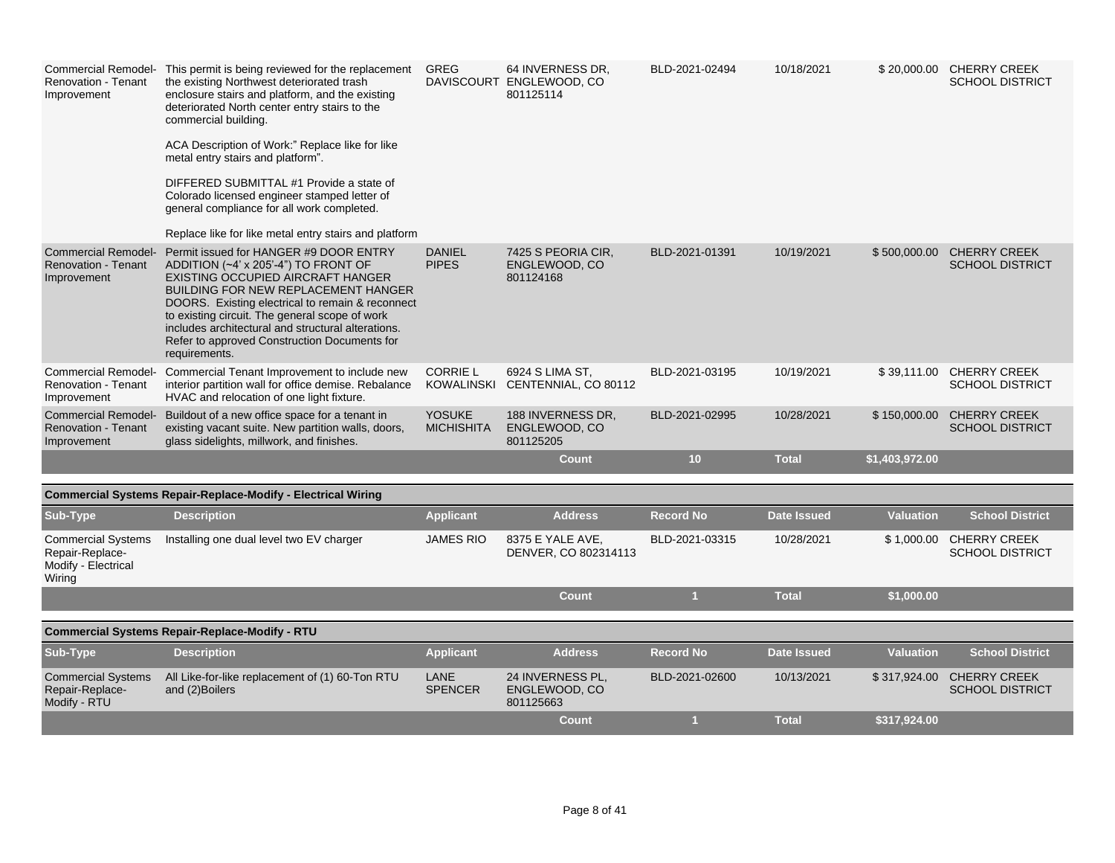| <b>Renovation - Tenant</b><br>Improvement                                     | Commercial Remodel- This permit is being reviewed for the replacement<br>the existing Northwest deteriorated trash<br>enclosure stairs and platform, and the existing<br>deteriorated North center entry stairs to the<br>commercial building.<br>ACA Description of Work:" Replace like for like<br>metal entry stairs and platform".<br>DIFFERED SUBMITTAL #1 Provide a state of<br>Colorado licensed engineer stamped letter of<br>general compliance for all work completed.<br>Replace like for like metal entry stairs and platform | GREG                                 | 64 INVERNESS DR,<br>DAVISCOURT ENGLEWOOD, CO<br>801125114 | BLD-2021-02494   | 10/18/2021         |                  | \$20,000.00 CHERRY CREEK<br><b>SCHOOL DISTRICT</b> |
|-------------------------------------------------------------------------------|-------------------------------------------------------------------------------------------------------------------------------------------------------------------------------------------------------------------------------------------------------------------------------------------------------------------------------------------------------------------------------------------------------------------------------------------------------------------------------------------------------------------------------------------|--------------------------------------|-----------------------------------------------------------|------------------|--------------------|------------------|----------------------------------------------------|
| <b>Commercial Remodel-</b><br><b>Renovation - Tenant</b><br>Improvement       | Permit issued for HANGER #9 DOOR ENTRY<br>ADDITION (~4' x 205'-4") TO FRONT OF<br>EXISTING OCCUPIED AIRCRAFT HANGER<br><b>BUILDING FOR NEW REPLACEMENT HANGER</b><br>DOORS. Existing electrical to remain & reconnect<br>to existing circuit. The general scope of work<br>includes architectural and structural alterations.<br>Refer to approved Construction Documents for<br>requirements.                                                                                                                                            | <b>DANIEL</b><br><b>PIPES</b>        | 7425 S PEORIA CIR.<br>ENGLEWOOD, CO<br>801124168          | BLD-2021-01391   | 10/19/2021         | \$500,000.00     | <b>CHERRY CREEK</b><br><b>SCHOOL DISTRICT</b>      |
| Renovation - Tenant<br>Improvement                                            | Commercial Remodel- Commercial Tenant Improvement to include new<br>interior partition wall for office demise. Rebalance<br>HVAC and relocation of one light fixture.                                                                                                                                                                                                                                                                                                                                                                     | <b>CORRIE L</b><br><b>KOWALINSKI</b> | 6924 S LIMA ST,<br>CENTENNIAL, CO 80112                   | BLD-2021-03195   | 10/19/2021         | \$39,111.00      | <b>CHERRY CREEK</b><br><b>SCHOOL DISTRICT</b>      |
| <b>Commercial Remodel-</b><br><b>Renovation - Tenant</b><br>Improvement       | Buildout of a new office space for a tenant in<br>existing vacant suite. New partition walls, doors,<br>glass sidelights, millwork, and finishes.                                                                                                                                                                                                                                                                                                                                                                                         | <b>YOSUKE</b><br><b>MICHISHITA</b>   | 188 INVERNESS DR,<br>ENGLEWOOD, CO<br>801125205           | BLD-2021-02995   | 10/28/2021         | \$150,000.00     | <b>CHERRY CREEK</b><br><b>SCHOOL DISTRICT</b>      |
|                                                                               |                                                                                                                                                                                                                                                                                                                                                                                                                                                                                                                                           |                                      | <b>Count</b>                                              | 10 <sup>°</sup>  | <b>Total</b>       | \$1,403,972.00   |                                                    |
|                                                                               | <b>Commercial Systems Repair-Replace-Modify - Electrical Wiring</b>                                                                                                                                                                                                                                                                                                                                                                                                                                                                       |                                      |                                                           |                  |                    |                  |                                                    |
| Sub-Type                                                                      | <b>Description</b>                                                                                                                                                                                                                                                                                                                                                                                                                                                                                                                        | <b>Applicant</b>                     | <b>Address</b>                                            | <b>Record No</b> | <b>Date Issued</b> | <b>Valuation</b> | <b>School District</b>                             |
| <b>Commercial Systems</b><br>Repair-Replace-<br>Modify - Electrical<br>Wiring | Installing one dual level two EV charger                                                                                                                                                                                                                                                                                                                                                                                                                                                                                                  | <b>JAMES RIO</b>                     | 8375 E YALE AVE,<br>DENVER, CO 802314113                  | BLD-2021-03315   | 10/28/2021         | \$1,000.00       | <b>CHERRY CREEK</b><br><b>SCHOOL DISTRICT</b>      |
|                                                                               |                                                                                                                                                                                                                                                                                                                                                                                                                                                                                                                                           |                                      | <b>Count</b>                                              | $\overline{1}$   | <b>Total</b>       | \$1,000.00       |                                                    |
|                                                                               | <b>Commercial Systems Repair-Replace-Modify - RTU</b>                                                                                                                                                                                                                                                                                                                                                                                                                                                                                     |                                      |                                                           |                  |                    |                  |                                                    |
| Sub-Type                                                                      | <b>Description</b>                                                                                                                                                                                                                                                                                                                                                                                                                                                                                                                        | <b>Applicant</b>                     | <b>Address</b>                                            | <b>Record No</b> | <b>Date Issued</b> | <b>Valuation</b> | <b>School District</b>                             |
| <b>Commercial Systems</b><br>Repair-Replace-<br>Modify - RTU                  | All Like-for-like replacement of (1) 60-Ton RTU<br>and (2) Boilers                                                                                                                                                                                                                                                                                                                                                                                                                                                                        | LANE<br><b>SPENCER</b>               | 24 INVERNESS PL,<br>ENGLEWOOD, CO<br>801125663            | BLD-2021-02600   | 10/13/2021         | \$317,924.00     | <b>CHERRY CREEK</b><br><b>SCHOOL DISTRICT</b>      |
|                                                                               |                                                                                                                                                                                                                                                                                                                                                                                                                                                                                                                                           |                                      | <b>Count</b>                                              | $\mathbf{1}$     | <b>Total</b>       | \$317,924.00     |                                                    |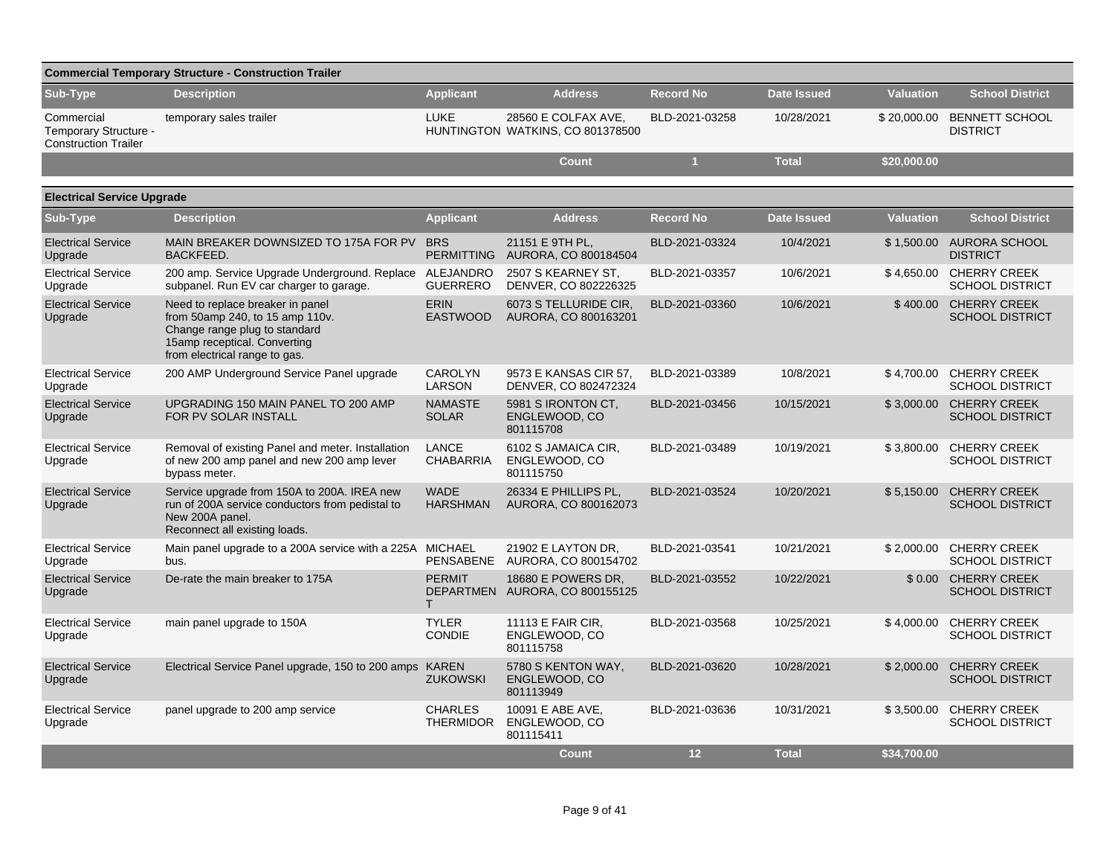| <b>Commercial Temporary Structure - Construction Trailer</b>       |                                                                                                                                                                       |                                    |                                                         |                  |                    |                  |                                               |  |  |  |
|--------------------------------------------------------------------|-----------------------------------------------------------------------------------------------------------------------------------------------------------------------|------------------------------------|---------------------------------------------------------|------------------|--------------------|------------------|-----------------------------------------------|--|--|--|
| Sub-Type                                                           | <b>Description</b>                                                                                                                                                    | <b>Applicant</b>                   | <b>Address</b>                                          | <b>Record No</b> | <b>Date Issued</b> | <b>Valuation</b> | <b>School District</b>                        |  |  |  |
| Commercial<br>Temporary Structure -<br><b>Construction Trailer</b> | temporary sales trailer                                                                                                                                               | <b>LUKE</b>                        | 28560 E COLFAX AVE,<br>HUNTINGTON WATKINS, CO 801378500 | BLD-2021-03258   | 10/28/2021         | \$20,000.00      | <b>BENNETT SCHOOL</b><br><b>DISTRICT</b>      |  |  |  |
|                                                                    |                                                                                                                                                                       |                                    | <b>Count</b>                                            | $\mathbf{1}$     | <b>Total</b>       | \$20,000.00      |                                               |  |  |  |
| <b>Electrical Service Upgrade</b>                                  |                                                                                                                                                                       |                                    |                                                         |                  |                    |                  |                                               |  |  |  |
| Sub-Type                                                           | <b>Description</b>                                                                                                                                                    | <b>Applicant</b>                   | <b>Address</b>                                          | <b>Record No</b> | <b>Date Issued</b> | <b>Valuation</b> | <b>School District</b>                        |  |  |  |
| <b>Electrical Service</b><br>Upgrade                               | MAIN BREAKER DOWNSIZED TO 175A FOR PV<br><b>BACKFEED.</b>                                                                                                             | <b>BRS</b><br><b>PERMITTING</b>    | 21151 E 9TH PL,<br>AURORA, CO 800184504                 | BLD-2021-03324   | 10/4/2021          | \$1,500.00       | <b>AURORA SCHOOL</b><br><b>DISTRICT</b>       |  |  |  |
| <b>Electrical Service</b><br>Upgrade                               | 200 amp. Service Upgrade Underground. Replace<br>subpanel. Run EV car charger to garage.                                                                              | ALEJANDRO<br><b>GUERRERO</b>       | 2507 S KEARNEY ST,<br>DENVER, CO 802226325              | BLD-2021-03357   | 10/6/2021          | \$4,650.00       | <b>CHERRY CREEK</b><br><b>SCHOOL DISTRICT</b> |  |  |  |
| <b>Electrical Service</b><br>Upgrade                               | Need to replace breaker in panel<br>from 50amp 240, to 15 amp 110v.<br>Change range plug to standard<br>15amp receptical. Converting<br>from electrical range to gas. | <b>ERIN</b><br><b>EASTWOOD</b>     | 6073 S TELLURIDE CIR.<br>AURORA, CO 800163201           | BLD-2021-03360   | 10/6/2021          | \$400.00         | <b>CHERRY CREEK</b><br><b>SCHOOL DISTRICT</b> |  |  |  |
| <b>Electrical Service</b><br>Upgrade                               | 200 AMP Underground Service Panel upgrade                                                                                                                             | <b>CAROLYN</b><br><b>LARSON</b>    | 9573 E KANSAS CIR 57,<br>DENVER, CO 802472324           | BLD-2021-03389   | 10/8/2021          | \$4,700.00       | <b>CHERRY CREEK</b><br><b>SCHOOL DISTRICT</b> |  |  |  |
| <b>Electrical Service</b><br>Upgrade                               | UPGRADING 150 MAIN PANEL TO 200 AMP<br>FOR PV SOLAR INSTALL                                                                                                           | <b>NAMASTE</b><br><b>SOLAR</b>     | 5981 S IRONTON CT.<br>ENGLEWOOD, CO<br>801115708        | BLD-2021-03456   | 10/15/2021         | \$3,000.00       | <b>CHERRY CREEK</b><br><b>SCHOOL DISTRICT</b> |  |  |  |
| <b>Electrical Service</b><br>Upgrade                               | Removal of existing Panel and meter. Installation<br>of new 200 amp panel and new 200 amp lever<br>bypass meter.                                                      | <b>LANCE</b><br><b>CHABARRIA</b>   | 6102 S JAMAICA CIR,<br>ENGLEWOOD, CO<br>801115750       | BLD-2021-03489   | 10/19/2021         | \$3,800.00       | <b>CHERRY CREEK</b><br><b>SCHOOL DISTRICT</b> |  |  |  |
| <b>Electrical Service</b><br>Upgrade                               | Service upgrade from 150A to 200A. IREA new<br>run of 200A service conductors from pedistal to<br>New 200A panel.<br>Reconnect all existing loads.                    | <b>WADE</b><br><b>HARSHMAN</b>     | 26334 E PHILLIPS PL,<br>AURORA, CO 800162073            | BLD-2021-03524   | 10/20/2021         | \$5,150.00       | <b>CHERRY CREEK</b><br><b>SCHOOL DISTRICT</b> |  |  |  |
| <b>Electrical Service</b><br>Upgrade                               | Main panel upgrade to a 200A service with a 225A MICHAEL<br>bus.                                                                                                      | PENSABENE                          | 21902 E LAYTON DR.<br>AURORA, CO 800154702              | BLD-2021-03541   | 10/21/2021         | \$2.000.00       | <b>CHERRY CREEK</b><br><b>SCHOOL DISTRICT</b> |  |  |  |
| <b>Electrical Service</b><br>Upgrade                               | De-rate the main breaker to 175A                                                                                                                                      | <b>PERMIT</b><br>T.                | 18680 E POWERS DR.<br>DEPARTMEN AURORA, CO 800155125    | BLD-2021-03552   | 10/22/2021         |                  | \$0.00 CHERRY CREEK<br><b>SCHOOL DISTRICT</b> |  |  |  |
| <b>Electrical Service</b><br>Upgrade                               | main panel upgrade to 150A                                                                                                                                            | <b>TYLER</b><br><b>CONDIE</b>      | 11113 E FAIR CIR,<br>ENGLEWOOD, CO<br>801115758         | BLD-2021-03568   | 10/25/2021         | \$4,000.00       | <b>CHERRY CREEK</b><br><b>SCHOOL DISTRICT</b> |  |  |  |
| <b>Electrical Service</b><br>Upgrade                               | Electrical Service Panel upgrade, 150 to 200 amps KAREN                                                                                                               | <b>ZUKOWSKI</b>                    | 5780 S KENTON WAY,<br>ENGLEWOOD, CO<br>801113949        | BLD-2021-03620   | 10/28/2021         | \$2,000.00       | <b>CHERRY CREEK</b><br><b>SCHOOL DISTRICT</b> |  |  |  |
| <b>Electrical Service</b><br>Upgrade                               | panel upgrade to 200 amp service                                                                                                                                      | <b>CHARLES</b><br><b>THERMIDOR</b> | 10091 E ABE AVE,<br>ENGLEWOOD, CO<br>801115411          | BLD-2021-03636   | 10/31/2021         | \$3,500.00       | <b>CHERRY CREEK</b><br><b>SCHOOL DISTRICT</b> |  |  |  |
|                                                                    |                                                                                                                                                                       |                                    | <b>Count</b>                                            | 12               | <b>Total</b>       | \$34,700.00      |                                               |  |  |  |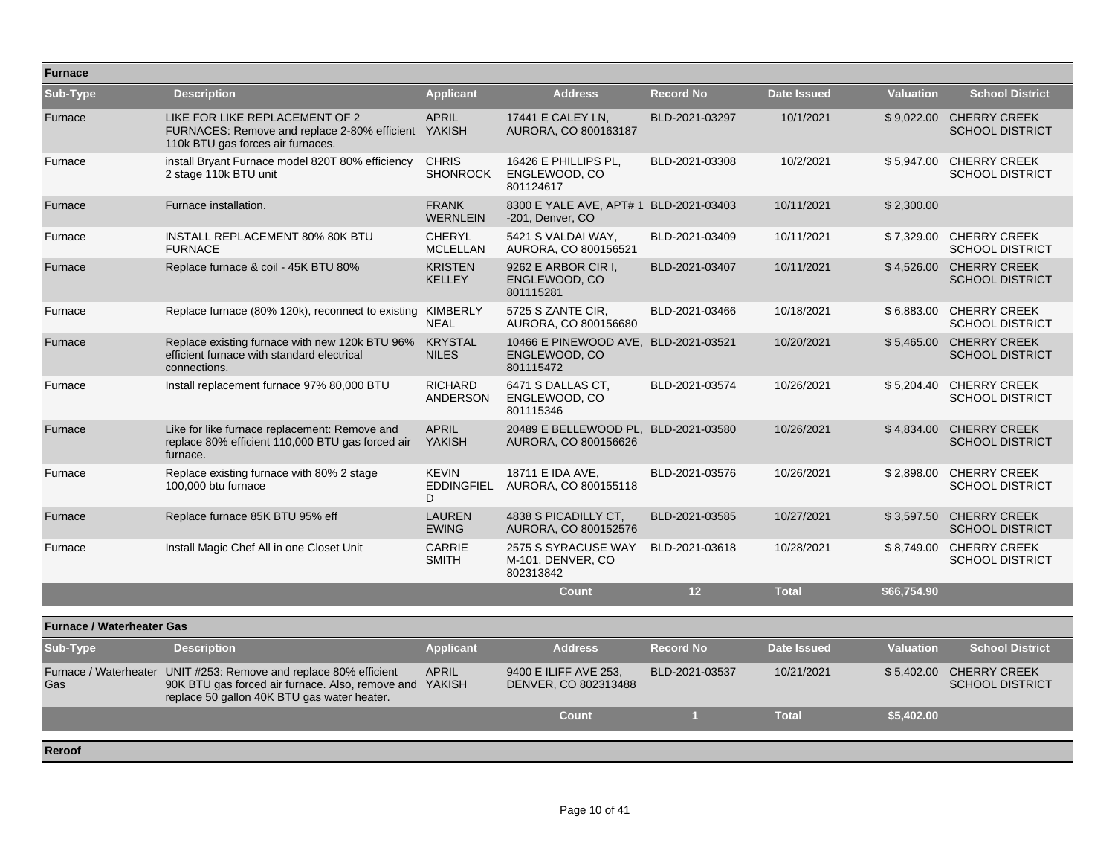| <b>Furnace</b>                   |                                                                                                                                                                             |                                        |                                                                    |                      |                    |                  |                                                   |
|----------------------------------|-----------------------------------------------------------------------------------------------------------------------------------------------------------------------------|----------------------------------------|--------------------------------------------------------------------|----------------------|--------------------|------------------|---------------------------------------------------|
| Sub-Type                         | <b>Description</b>                                                                                                                                                          | Applicant                              | <b>Address</b>                                                     | <b>Record No</b>     | <b>Date Issued</b> | <b>Valuation</b> | <b>School District</b>                            |
| Furnace                          | LIKE FOR LIKE REPLACEMENT OF 2<br>FURNACES: Remove and replace 2-80% efficient YAKISH<br>110k BTU gas forces air furnaces.                                                  | <b>APRIL</b>                           | 17441 E CALEY LN,<br>AURORA, CO 800163187                          | BLD-2021-03297       | 10/1/2021          |                  | \$9,022.00 CHERRY CREEK<br><b>SCHOOL DISTRICT</b> |
| Furnace                          | install Bryant Furnace model 820T 80% efficiency<br>2 stage 110k BTU unit                                                                                                   | <b>CHRIS</b><br><b>SHONROCK</b>        | 16426 E PHILLIPS PL.<br>ENGLEWOOD, CO<br>801124617                 | BLD-2021-03308       | 10/2/2021          | \$5.947.00       | <b>CHERRY CREEK</b><br><b>SCHOOL DISTRICT</b>     |
| Furnace                          | Furnace installation.                                                                                                                                                       | <b>FRANK</b><br><b>WERNLEIN</b>        | 8300 E YALE AVE, APT# 1 BLD-2021-03403<br>-201, Denver, CO         |                      | 10/11/2021         | \$2,300.00       |                                                   |
| Furnace                          | INSTALL REPLACEMENT 80% 80K BTU<br><b>FURNACE</b>                                                                                                                           | <b>CHERYL</b><br><b>MCLELLAN</b>       | 5421 S VALDAI WAY,<br>AURORA, CO 800156521                         | BLD-2021-03409       | 10/11/2021         | \$7,329.00       | <b>CHERRY CREEK</b><br><b>SCHOOL DISTRICT</b>     |
| Furnace                          | Replace furnace & coil - 45K BTU 80%                                                                                                                                        | <b>KRISTEN</b><br><b>KELLEY</b>        | 9262 E ARBOR CIR I.<br>ENGLEWOOD, CO<br>801115281                  | BLD-2021-03407       | 10/11/2021         | \$4,526.00       | <b>CHERRY CREEK</b><br><b>SCHOOL DISTRICT</b>     |
| Furnace                          | Replace furnace (80% 120k), reconnect to existing                                                                                                                           | KIMBERLY<br><b>NEAL</b>                | 5725 S ZANTE CIR,<br>AURORA, CO 800156680                          | BLD-2021-03466       | 10/18/2021         | \$6,883.00       | <b>CHERRY CREEK</b><br><b>SCHOOL DISTRICT</b>     |
| Furnace                          | Replace existing furnace with new 120k BTU 96%<br>efficient furnace with standard electrical<br>connections.                                                                | <b>KRYSTAL</b><br><b>NILES</b>         | 10466 E PINEWOOD AVE, BLD-2021-03521<br>ENGLEWOOD, CO<br>801115472 |                      | 10/20/2021         | \$5,465.00       | <b>CHERRY CREEK</b><br><b>SCHOOL DISTRICT</b>     |
| Furnace                          | Install replacement furnace 97% 80,000 BTU                                                                                                                                  | <b>RICHARD</b><br>ANDERSON             | 6471 S DALLAS CT,<br>ENGLEWOOD, CO<br>801115346                    | BLD-2021-03574       | 10/26/2021         | \$5,204.40       | <b>CHERRY CREEK</b><br><b>SCHOOL DISTRICT</b>     |
| Furnace                          | Like for like furnace replacement: Remove and<br>replace 80% efficient 110,000 BTU gas forced air<br>furnace.                                                               | <b>APRIL</b><br><b>YAKISH</b>          | 20489 E BELLEWOOD PL, BLD-2021-03580<br>AURORA, CO 800156626       |                      | 10/26/2021         | \$4,834.00       | <b>CHERRY CREEK</b><br><b>SCHOOL DISTRICT</b>     |
| Furnace                          | Replace existing furnace with 80% 2 stage<br>100,000 btu furnace                                                                                                            | <b>KEVIN</b><br><b>EDDINGFIEL</b><br>D | 18711 E IDA AVE.<br>AURORA, CO 800155118                           | BLD-2021-03576       | 10/26/2021         | \$2,898.00       | <b>CHERRY CREEK</b><br><b>SCHOOL DISTRICT</b>     |
| Furnace                          | Replace furnace 85K BTU 95% eff                                                                                                                                             | <b>LAUREN</b><br><b>EWING</b>          | 4838 S PICADILLY CT.<br>AURORA, CO 800152576                       | BLD-2021-03585       | 10/27/2021         | \$3.597.50       | <b>CHERRY CREEK</b><br><b>SCHOOL DISTRICT</b>     |
| Furnace                          | Install Magic Chef All in one Closet Unit                                                                                                                                   | <b>CARRIE</b><br><b>SMITH</b>          | 2575 S SYRACUSE WAY<br>M-101, DENVER, CO<br>802313842              | BLD-2021-03618       | 10/28/2021         | \$8,749.00       | <b>CHERRY CREEK</b><br><b>SCHOOL DISTRICT</b>     |
|                                  |                                                                                                                                                                             |                                        | <b>Count</b>                                                       | 12                   | <b>Total</b>       | \$66,754.90      |                                                   |
| <b>Furnace / Waterheater Gas</b> |                                                                                                                                                                             |                                        |                                                                    |                      |                    |                  |                                                   |
| Sub-Type                         | <b>Description</b>                                                                                                                                                          | <b>Applicant</b>                       | <b>Address</b>                                                     | <b>Record No</b>     | <b>Date Issued</b> | <b>Valuation</b> | <b>School District</b>                            |
| Gas                              | Furnace / Waterheater UNIT #253: Remove and replace 80% efficient<br>90K BTU gas forced air furnace. Also, remove and YAKISH<br>replace 50 gallon 40K BTU gas water heater. | <b>APRIL</b>                           | 9400 E ILIFF AVE 253,<br>DENVER, CO 802313488                      | BLD-2021-03537       | 10/21/2021         | \$5,402.00       | <b>CHERRY CREEK</b><br><b>SCHOOL DISTRICT</b>     |
|                                  |                                                                                                                                                                             |                                        | <b>Count</b>                                                       | $\blacktriangleleft$ | <b>Total</b>       | \$5,402.00       |                                                   |
| Reroof                           |                                                                                                                                                                             |                                        |                                                                    |                      |                    |                  |                                                   |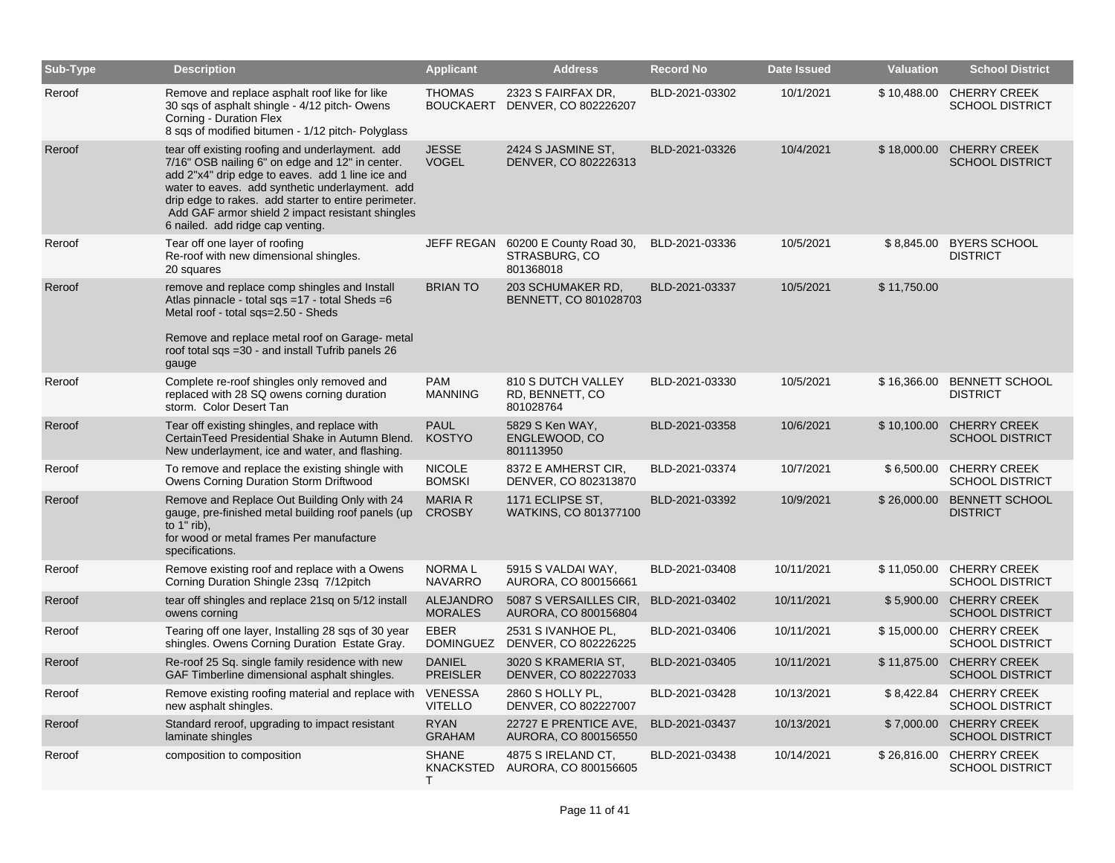| Sub-Type | <b>Description</b>                                                                                                                                                                                                                                                                                                                                        | <b>Applicant</b>                   | <b>Address</b>                                        | <b>Record No</b> | <b>Date Issued</b> | <b>Valuation</b> | <b>School District</b>                             |
|----------|-----------------------------------------------------------------------------------------------------------------------------------------------------------------------------------------------------------------------------------------------------------------------------------------------------------------------------------------------------------|------------------------------------|-------------------------------------------------------|------------------|--------------------|------------------|----------------------------------------------------|
| Reroof   | Remove and replace asphalt roof like for like<br>30 sqs of asphalt shingle - 4/12 pitch- Owens<br>Corning - Duration Flex<br>8 sqs of modified bitumen - 1/12 pitch-Polyglass                                                                                                                                                                             | <b>THOMAS</b><br><b>BOUCKAERT</b>  | 2323 S FAIRFAX DR,<br>DENVER, CO 802226207            | BLD-2021-03302   | 10/1/2021          |                  | \$10,488.00 CHERRY CREEK<br><b>SCHOOL DISTRICT</b> |
| Reroof   | tear off existing roofing and underlayment. add<br>7/16" OSB nailing 6" on edge and 12" in center.<br>add 2"x4" drip edge to eaves. add 1 line ice and<br>water to eaves. add synthetic underlayment. add<br>drip edge to rakes. add starter to entire perimeter.<br>Add GAF armor shield 2 impact resistant shingles<br>6 nailed. add ridge cap venting. | <b>JESSE</b><br><b>VOGEL</b>       | 2424 S JASMINE ST.<br>DENVER, CO 802226313            | BLD-2021-03326   | 10/4/2021          | \$18,000.00      | <b>CHERRY CREEK</b><br><b>SCHOOL DISTRICT</b>      |
| Reroof   | Tear off one layer of roofing<br>Re-roof with new dimensional shingles.<br>20 squares                                                                                                                                                                                                                                                                     | JEFF REGAN                         | 60200 E County Road 30,<br>STRASBURG, CO<br>801368018 | BLD-2021-03336   | 10/5/2021          |                  | \$8,845.00 BYERS SCHOOL<br><b>DISTRICT</b>         |
| Reroof   | remove and replace comp shingles and Install<br>Atlas pinnacle - total sqs =17 - total Sheds =6<br>Metal roof - total sqs=2.50 - Sheds<br>Remove and replace metal roof on Garage- metal<br>roof total sqs =30 - and install Tufrib panels 26<br>gauge                                                                                                    | <b>BRIAN TO</b>                    | 203 SCHUMAKER RD,<br>BENNETT, CO 801028703            | BLD-2021-03337   | 10/5/2021          | \$11,750.00      |                                                    |
| Reroof   | Complete re-roof shingles only removed and<br>replaced with 28 SQ owens corning duration<br>storm. Color Desert Tan                                                                                                                                                                                                                                       | <b>PAM</b><br><b>MANNING</b>       | 810 S DUTCH VALLEY<br>RD, BENNETT, CO<br>801028764    | BLD-2021-03330   | 10/5/2021          | \$16,366.00      | <b>BENNETT SCHOOL</b><br><b>DISTRICT</b>           |
| Reroof   | Tear off existing shingles, and replace with<br>CertainTeed Presidential Shake in Autumn Blend.<br>New underlayment, ice and water, and flashing.                                                                                                                                                                                                         | <b>PAUL</b><br><b>KOSTYO</b>       | 5829 S Ken WAY,<br>ENGLEWOOD, CO<br>801113950         | BLD-2021-03358   | 10/6/2021          | \$10,100.00      | <b>CHERRY CREEK</b><br><b>SCHOOL DISTRICT</b>      |
| Reroof   | To remove and replace the existing shingle with<br>Owens Corning Duration Storm Driftwood                                                                                                                                                                                                                                                                 | <b>NICOLE</b><br><b>BOMSKI</b>     | 8372 E AMHERST CIR,<br>DENVER, CO 802313870           | BLD-2021-03374   | 10/7/2021          | \$6,500.00       | <b>CHERRY CREEK</b><br><b>SCHOOL DISTRICT</b>      |
| Reroof   | Remove and Replace Out Building Only with 24<br>gauge, pre-finished metal building roof panels (up<br>to $1"$ rib),<br>for wood or metal frames Per manufacture<br>specifications.                                                                                                                                                                        | <b>MARIA R</b><br><b>CROSBY</b>    | 1171 ECLIPSE ST,<br>WATKINS, CO 801377100             | BLD-2021-03392   | 10/9/2021          | \$26,000.00      | <b>BENNETT SCHOOL</b><br><b>DISTRICT</b>           |
| Reroof   | Remove existing roof and replace with a Owens<br>Corning Duration Shingle 23sq 7/12pitch                                                                                                                                                                                                                                                                  | <b>NORMAL</b><br><b>NAVARRO</b>    | 5915 S VALDAI WAY,<br>AURORA, CO 800156661            | BLD-2021-03408   | 10/11/2021         | \$11,050.00      | <b>CHERRY CREEK</b><br><b>SCHOOL DISTRICT</b>      |
| Reroof   | tear off shingles and replace 21sq on 5/12 install<br>owens corning                                                                                                                                                                                                                                                                                       | <b>ALEJANDRO</b><br><b>MORALES</b> | 5087 S VERSAILLES CIR.<br>AURORA, CO 800156804        | BLD-2021-03402   | 10/11/2021         | \$5,900.00       | <b>CHERRY CREEK</b><br><b>SCHOOL DISTRICT</b>      |
| Reroof   | Tearing off one layer, Installing 28 sqs of 30 year<br>shingles. Owens Corning Duration Estate Gray.                                                                                                                                                                                                                                                      | <b>EBER</b><br><b>DOMINGUEZ</b>    | 2531 S IVANHOE PL,<br>DENVER, CO 802226225            | BLD-2021-03406   | 10/11/2021         |                  | \$15,000.00 CHERRY CREEK<br><b>SCHOOL DISTRICT</b> |
| Reroof   | Re-roof 25 Sq. single family residence with new<br>GAF Timberline dimensional asphalt shingles.                                                                                                                                                                                                                                                           | <b>DANIEL</b><br><b>PREISLER</b>   | 3020 S KRAMERIA ST,<br>DENVER, CO 802227033           | BLD-2021-03405   | 10/11/2021         | \$11,875.00      | <b>CHERRY CREEK</b><br><b>SCHOOL DISTRICT</b>      |
| Reroof   | Remove existing roofing material and replace with<br>new asphalt shingles.                                                                                                                                                                                                                                                                                | <b>VENESSA</b><br><b>VITELLO</b>   | 2860 S HOLLY PL,<br>DENVER, CO 802227007              | BLD-2021-03428   | 10/13/2021         |                  | \$8,422.84 CHERRY CREEK<br><b>SCHOOL DISTRICT</b>  |
| Reroof   | Standard reroof, upgrading to impact resistant<br>laminate shingles                                                                                                                                                                                                                                                                                       | <b>RYAN</b><br><b>GRAHAM</b>       | 22727 E PRENTICE AVE,<br>AURORA, CO 800156550         | BLD-2021-03437   | 10/13/2021         |                  | \$7,000.00 CHERRY CREEK<br><b>SCHOOL DISTRICT</b>  |
| Reroof   | composition to composition                                                                                                                                                                                                                                                                                                                                | <b>SHANE</b><br>KNACKSTED<br>т     | 4875 S IRELAND CT.<br>AURORA, CO 800156605            | BLD-2021-03438   | 10/14/2021         | \$26,816.00      | <b>CHERRY CREEK</b><br><b>SCHOOL DISTRICT</b>      |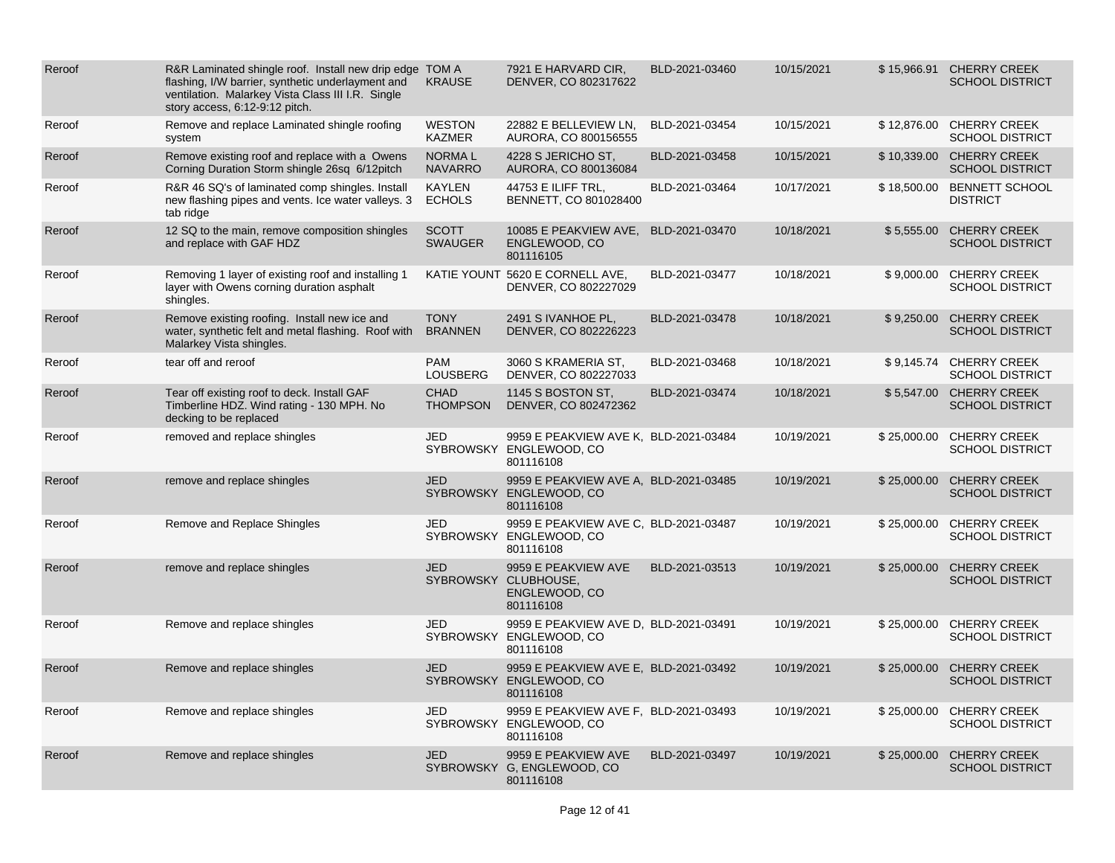| Reroof | R&R Laminated shingle roof. Install new drip edge TOM A<br>flashing, I/W barrier, synthetic underlayment and<br>ventilation. Malarkey Vista Class III I.R. Single<br>story access, 6:12-9:12 pitch. | <b>KRAUSE</b>                   | 7921 E HARVARD CIR,<br>DENVER, CO 802317622                                   | BLD-2021-03460 | 10/15/2021 |             | \$15,966.91 CHERRY CREEK<br><b>SCHOOL DISTRICT</b> |
|--------|-----------------------------------------------------------------------------------------------------------------------------------------------------------------------------------------------------|---------------------------------|-------------------------------------------------------------------------------|----------------|------------|-------------|----------------------------------------------------|
| Reroof | Remove and replace Laminated shingle roofing<br>system                                                                                                                                              | <b>WESTON</b><br><b>KAZMER</b>  | 22882 E BELLEVIEW LN.<br>AURORA, CO 800156555                                 | BLD-2021-03454 | 10/15/2021 |             | \$12,876.00 CHERRY CREEK<br><b>SCHOOL DISTRICT</b> |
| Reroof | Remove existing roof and replace with a Owens<br>Corning Duration Storm shingle 26sq 6/12pitch                                                                                                      | <b>NORMAL</b><br><b>NAVARRO</b> | 4228 S JERICHO ST.<br>AURORA, CO 800136084                                    | BLD-2021-03458 | 10/15/2021 |             | \$10,339.00 CHERRY CREEK<br><b>SCHOOL DISTRICT</b> |
| Reroof | R&R 46 SQ's of laminated comp shingles. Install<br>new flashing pipes and vents. Ice water valleys. 3<br>tab ridge                                                                                  | <b>KAYLEN</b><br><b>ECHOLS</b>  | 44753 E ILIFF TRL,<br>BENNETT, CO 801028400                                   | BLD-2021-03464 | 10/17/2021 |             | \$18,500.00 BENNETT SCHOOL<br><b>DISTRICT</b>      |
| Reroof | 12 SQ to the main, remove composition shingles<br>and replace with GAF HDZ                                                                                                                          | <b>SCOTT</b><br><b>SWAUGER</b>  | 10085 E PEAKVIEW AVE,<br>ENGLEWOOD, CO<br>801116105                           | BLD-2021-03470 | 10/18/2021 |             | \$5,555.00 CHERRY CREEK<br><b>SCHOOL DISTRICT</b>  |
| Reroof | Removing 1 layer of existing roof and installing 1<br>layer with Owens corning duration asphalt<br>shingles.                                                                                        |                                 | KATIE YOUNT 5620 E CORNELL AVE,<br>DENVER, CO 802227029                       | BLD-2021-03477 | 10/18/2021 |             | \$9,000.00 CHERRY CREEK<br><b>SCHOOL DISTRICT</b>  |
| Reroof | Remove existing roofing. Install new ice and<br>water, synthetic felt and metal flashing. Roof with<br>Malarkey Vista shingles.                                                                     | <b>TONY</b><br><b>BRANNEN</b>   | 2491 S IVANHOE PL,<br>DENVER, CO 802226223                                    | BLD-2021-03478 | 10/18/2021 | \$9,250.00  | <b>CHERRY CREEK</b><br><b>SCHOOL DISTRICT</b>      |
| Reroof | tear off and reroof                                                                                                                                                                                 | <b>PAM</b><br><b>LOUSBERG</b>   | 3060 S KRAMERIA ST,<br>DENVER, CO 802227033                                   | BLD-2021-03468 | 10/18/2021 |             | \$9,145.74 CHERRY CREEK<br><b>SCHOOL DISTRICT</b>  |
| Reroof | Tear off existing roof to deck. Install GAF<br>Timberline HDZ. Wind rating - 130 MPH. No<br>decking to be replaced                                                                                  | <b>CHAD</b><br><b>THOMPSON</b>  | 1145 S BOSTON ST.<br>DENVER, CO 802472362                                     | BLD-2021-03474 | 10/18/2021 |             | \$5,547.00 CHERRY CREEK<br><b>SCHOOL DISTRICT</b>  |
| Reroof | removed and replace shingles                                                                                                                                                                        | <b>JED</b>                      | 9959 E PEAKVIEW AVE K, BLD-2021-03484<br>SYBROWSKY ENGLEWOOD, CO<br>801116108 |                | 10/19/2021 | \$25,000.00 | <b>CHERRY CREEK</b><br><b>SCHOOL DISTRICT</b>      |
| Reroof | remove and replace shingles                                                                                                                                                                         | <b>JED</b>                      | 9959 E PEAKVIEW AVE A, BLD-2021-03485<br>SYBROWSKY ENGLEWOOD, CO<br>801116108 |                | 10/19/2021 |             | \$25,000.00 CHERRY CREEK<br><b>SCHOOL DISTRICT</b> |
| Reroof | Remove and Replace Shingles                                                                                                                                                                         | <b>JED</b>                      | 9959 E PEAKVIEW AVE C, BLD-2021-03487<br>SYBROWSKY ENGLEWOOD, CO<br>801116108 |                | 10/19/2021 |             | \$25,000.00 CHERRY CREEK<br><b>SCHOOL DISTRICT</b> |
| Reroof | remove and replace shingles                                                                                                                                                                         | <b>JED</b>                      | 9959 E PEAKVIEW AVE<br>SYBROWSKY CLUBHOUSE,<br>ENGLEWOOD, CO<br>801116108     | BLD-2021-03513 | 10/19/2021 | \$25,000.00 | <b>CHERRY CREEK</b><br><b>SCHOOL DISTRICT</b>      |
| Reroof | Remove and replace shingles                                                                                                                                                                         | <b>JED</b>                      | 9959 E PEAKVIEW AVE D, BLD-2021-03491<br>SYBROWSKY ENGLEWOOD, CO<br>801116108 |                | 10/19/2021 |             | \$25,000.00 CHERRY CREEK<br><b>SCHOOL DISTRICT</b> |
| Reroof | Remove and replace shingles                                                                                                                                                                         | <b>JED</b>                      | 9959 E PEAKVIEW AVE E, BLD-2021-03492<br>SYBROWSKY ENGLEWOOD, CO<br>801116108 |                | 10/19/2021 | \$25,000.00 | <b>CHERRY CREEK</b><br><b>SCHOOL DISTRICT</b>      |
| Reroof | Remove and replace shingles                                                                                                                                                                         | <b>JED</b>                      | 9959 E PEAKVIEW AVE F, BLD-2021-03493<br>SYBROWSKY ENGLEWOOD, CO<br>801116108 |                | 10/19/2021 | \$25,000.00 | <b>CHERRY CREEK</b><br><b>SCHOOL DISTRICT</b>      |
| Reroof | Remove and replace shingles                                                                                                                                                                         | <b>JED</b>                      | 9959 E PEAKVIEW AVE<br>SYBROWSKY G, ENGLEWOOD, CO<br>801116108                | BLD-2021-03497 | 10/19/2021 | \$25,000.00 | <b>CHERRY CREEK</b><br><b>SCHOOL DISTRICT</b>      |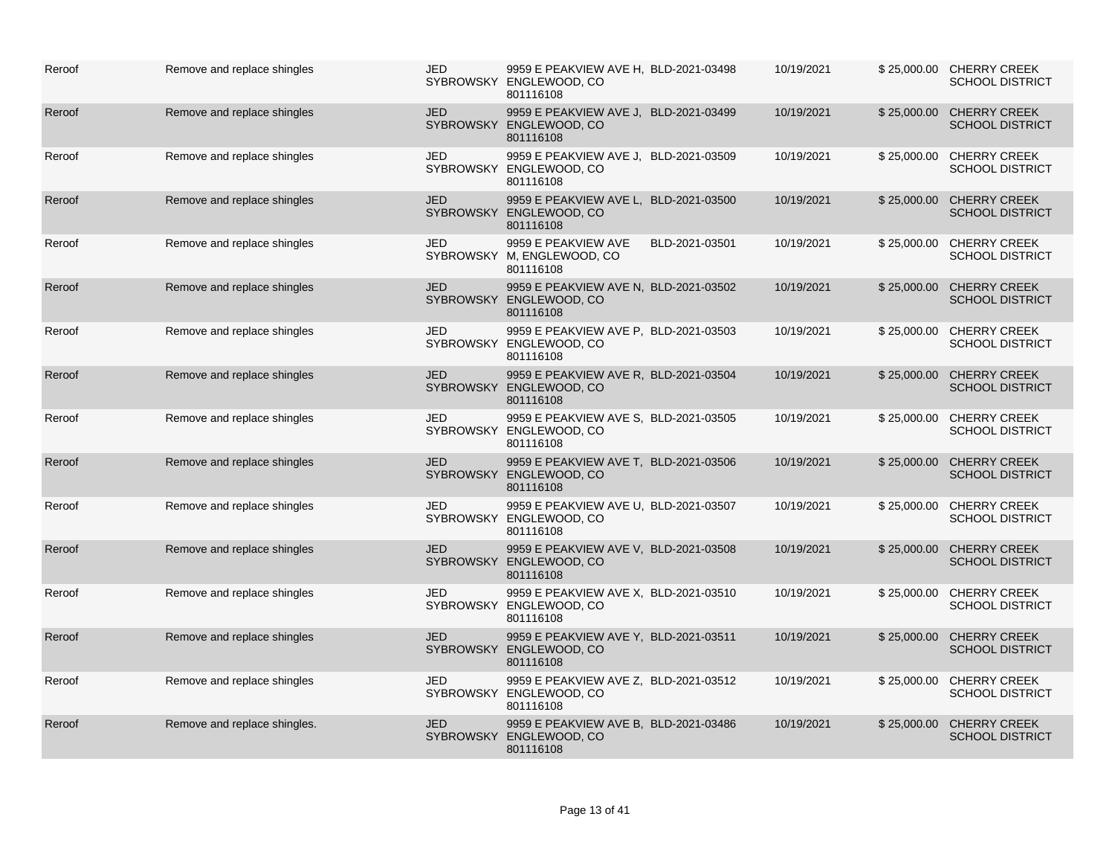| Reroof | Remove and replace shingles  | JED        | 9959 E PEAKVIEW AVE H, BLD-2021-03498<br>SYBROWSKY ENGLEWOOD, CO<br>801116108 |                | 10/19/2021 |             | \$25,000.00 CHERRY CREEK<br><b>SCHOOL DISTRICT</b> |
|--------|------------------------------|------------|-------------------------------------------------------------------------------|----------------|------------|-------------|----------------------------------------------------|
| Reroof | Remove and replace shingles  | <b>JED</b> | 9959 E PEAKVIEW AVE J. BLD-2021-03499<br>SYBROWSKY ENGLEWOOD, CO<br>801116108 |                | 10/19/2021 | \$25,000.00 | <b>CHERRY CREEK</b><br><b>SCHOOL DISTRICT</b>      |
| Reroof | Remove and replace shingles  | <b>JED</b> | 9959 E PEAKVIEW AVE J, BLD-2021-03509<br>SYBROWSKY ENGLEWOOD, CO<br>801116108 |                | 10/19/2021 |             | \$25,000.00 CHERRY CREEK<br><b>SCHOOL DISTRICT</b> |
| Reroof | Remove and replace shingles  | <b>JED</b> | 9959 E PEAKVIEW AVE L, BLD-2021-03500<br>SYBROWSKY ENGLEWOOD, CO<br>801116108 |                | 10/19/2021 |             | \$25,000.00 CHERRY CREEK<br><b>SCHOOL DISTRICT</b> |
| Reroof | Remove and replace shingles  | JED        | 9959 E PEAKVIEW AVE<br>SYBROWSKY M, ENGLEWOOD, CO<br>801116108                | BLD-2021-03501 | 10/19/2021 |             | \$25,000.00 CHERRY CREEK<br><b>SCHOOL DISTRICT</b> |
| Reroof | Remove and replace shingles  | <b>JED</b> | 9959 E PEAKVIEW AVE N. BLD-2021-03502<br>SYBROWSKY ENGLEWOOD, CO<br>801116108 |                | 10/19/2021 | \$25,000.00 | <b>CHERRY CREEK</b><br><b>SCHOOL DISTRICT</b>      |
| Reroof | Remove and replace shingles  | JED        | 9959 E PEAKVIEW AVE P, BLD-2021-03503<br>SYBROWSKY ENGLEWOOD, CO<br>801116108 |                | 10/19/2021 |             | \$25,000.00 CHERRY CREEK<br><b>SCHOOL DISTRICT</b> |
| Reroof | Remove and replace shingles  | <b>JED</b> | 9959 E PEAKVIEW AVE R, BLD-2021-03504<br>SYBROWSKY ENGLEWOOD, CO<br>801116108 |                | 10/19/2021 | \$25,000.00 | <b>CHERRY CREEK</b><br><b>SCHOOL DISTRICT</b>      |
| Reroof | Remove and replace shingles  | <b>JED</b> | 9959 E PEAKVIEW AVE S, BLD-2021-03505<br>SYBROWSKY ENGLEWOOD, CO<br>801116108 |                | 10/19/2021 | \$25,000.00 | <b>CHERRY CREEK</b><br><b>SCHOOL DISTRICT</b>      |
| Reroof | Remove and replace shingles  | <b>JED</b> | 9959 E PEAKVIEW AVE T, BLD-2021-03506<br>SYBROWSKY ENGLEWOOD, CO<br>801116108 |                | 10/19/2021 | \$25,000.00 | <b>CHERRY CREEK</b><br><b>SCHOOL DISTRICT</b>      |
| Reroof | Remove and replace shingles  | JED        | 9959 E PEAKVIEW AVE U, BLD-2021-03507<br>SYBROWSKY ENGLEWOOD, CO<br>801116108 |                | 10/19/2021 | \$25,000.00 | <b>CHERRY CREEK</b><br><b>SCHOOL DISTRICT</b>      |
| Reroof | Remove and replace shingles  | <b>JED</b> | 9959 E PEAKVIEW AVE V, BLD-2021-03508<br>SYBROWSKY ENGLEWOOD, CO<br>801116108 |                | 10/19/2021 | \$25,000.00 | <b>CHERRY CREEK</b><br><b>SCHOOL DISTRICT</b>      |
| Reroof | Remove and replace shingles  | JED        | 9959 E PEAKVIEW AVE X, BLD-2021-03510<br>SYBROWSKY ENGLEWOOD, CO<br>801116108 |                | 10/19/2021 | \$25,000.00 | <b>CHERRY CREEK</b><br><b>SCHOOL DISTRICT</b>      |
| Reroof | Remove and replace shingles  | <b>JED</b> | 9959 E PEAKVIEW AVE Y, BLD-2021-03511<br>SYBROWSKY ENGLEWOOD, CO<br>801116108 |                | 10/19/2021 | \$25,000.00 | <b>CHERRY CREEK</b><br><b>SCHOOL DISTRICT</b>      |
| Reroof | Remove and replace shingles  | JED        | 9959 E PEAKVIEW AVE Z, BLD-2021-03512<br>SYBROWSKY ENGLEWOOD, CO<br>801116108 |                | 10/19/2021 | \$25,000.00 | <b>CHERRY CREEK</b><br><b>SCHOOL DISTRICT</b>      |
| Reroof | Remove and replace shingles. | <b>JED</b> | 9959 E PEAKVIEW AVE B. BLD-2021-03486<br>SYBROWSKY ENGLEWOOD, CO<br>801116108 |                | 10/19/2021 | \$25,000.00 | <b>CHERRY CREEK</b><br><b>SCHOOL DISTRICT</b>      |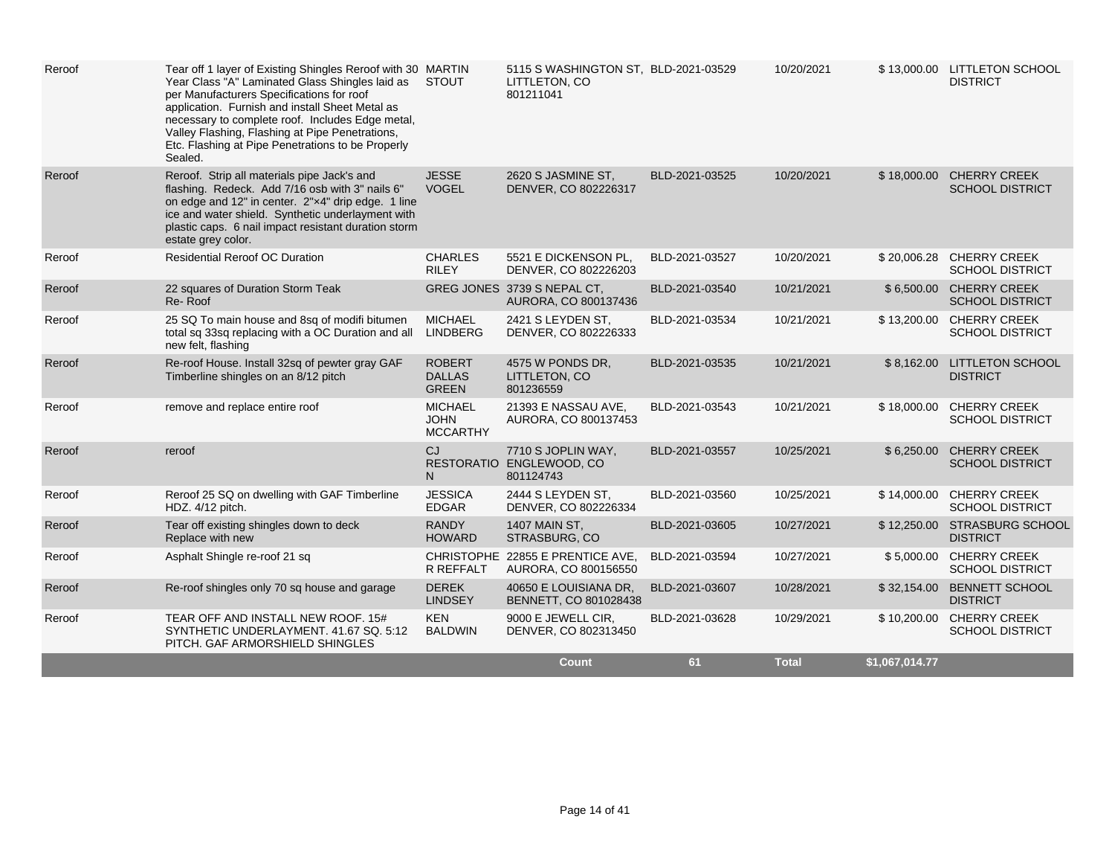| Reroof | Tear off 1 layer of Existing Shingles Reroof with 30 MARTIN<br>Year Class "A" Laminated Glass Shingles laid as<br>per Manufacturers Specifications for roof<br>application. Furnish and install Sheet Metal as<br>necessary to complete roof. Includes Edge metal,<br>Valley Flashing, Flashing at Pipe Penetrations,<br>Etc. Flashing at Pipe Penetrations to be Properly<br>Sealed. | STOUT                                            | 5115 S WASHINGTON ST, BLD-2021-03529<br>LITTLETON, CO<br>801211041 |                | 10/20/2021   |                | \$13,000.00 LITTLETON SCHOOL<br><b>DISTRICT</b>    |
|--------|---------------------------------------------------------------------------------------------------------------------------------------------------------------------------------------------------------------------------------------------------------------------------------------------------------------------------------------------------------------------------------------|--------------------------------------------------|--------------------------------------------------------------------|----------------|--------------|----------------|----------------------------------------------------|
| Reroof | Reroof. Strip all materials pipe Jack's and<br>flashing. Redeck. Add 7/16 osb with 3" nails 6"<br>on edge and 12" in center. 2"x4" drip edge. 1 line<br>ice and water shield. Synthetic underlayment with<br>plastic caps. 6 nail impact resistant duration storm<br>estate grey color.                                                                                               | <b>JESSE</b><br><b>VOGEL</b>                     | 2620 S JASMINE ST,<br>DENVER, CO 802226317                         | BLD-2021-03525 | 10/20/2021   | \$18,000.00    | <b>CHERRY CREEK</b><br><b>SCHOOL DISTRICT</b>      |
| Reroof | <b>Residential Reroof OC Duration</b>                                                                                                                                                                                                                                                                                                                                                 | <b>CHARLES</b><br><b>RILEY</b>                   | 5521 E DICKENSON PL.<br>DENVER, CO 802226203                       | BLD-2021-03527 | 10/20/2021   |                | \$20,006.28 CHERRY CREEK<br><b>SCHOOL DISTRICT</b> |
| Reroof | 22 squares of Duration Storm Teak<br>Re-Roof                                                                                                                                                                                                                                                                                                                                          |                                                  | GREG JONES 3739 S NEPAL CT.<br>AURORA, CO 800137436                | BLD-2021-03540 | 10/21/2021   |                | \$6,500.00 CHERRY CREEK<br><b>SCHOOL DISTRICT</b>  |
| Reroof | 25 SQ To main house and 8sq of modifi bitumen<br>total sq 33sq replacing with a OC Duration and all<br>new felt, flashing                                                                                                                                                                                                                                                             | <b>MICHAEL</b><br><b>LINDBERG</b>                | 2421 S LEYDEN ST,<br>DENVER, CO 802226333                          | BLD-2021-03534 | 10/21/2021   |                | \$13,200.00 CHERRY CREEK<br><b>SCHOOL DISTRICT</b> |
| Reroof | Re-roof House. Install 32sq of pewter gray GAF<br>Timberline shingles on an 8/12 pitch                                                                                                                                                                                                                                                                                                | <b>ROBERT</b><br><b>DALLAS</b><br><b>GREEN</b>   | 4575 W PONDS DR,<br>LITTLETON, CO<br>801236559                     | BLD-2021-03535 | 10/21/2021   | \$8,162.00     | LITTLETON SCHOOL<br><b>DISTRICT</b>                |
| Reroof | remove and replace entire roof                                                                                                                                                                                                                                                                                                                                                        | <b>MICHAEL</b><br><b>JOHN</b><br><b>MCCARTHY</b> | 21393 E NASSAU AVE.<br>AURORA, CO 800137453                        | BLD-2021-03543 | 10/21/2021   | \$18,000.00    | <b>CHERRY CREEK</b><br><b>SCHOOL DISTRICT</b>      |
| Reroof | reroof                                                                                                                                                                                                                                                                                                                                                                                | <b>CJ</b><br><b>RESTORATIO</b><br>N.             | 7710 S JOPLIN WAY,<br>ENGLEWOOD, CO<br>801124743                   | BLD-2021-03557 | 10/25/2021   |                | \$6,250.00 CHERRY CREEK<br><b>SCHOOL DISTRICT</b>  |
| Reroof | Reroof 25 SQ on dwelling with GAF Timberline<br>HDZ. 4/12 pitch.                                                                                                                                                                                                                                                                                                                      | <b>JESSICA</b><br><b>EDGAR</b>                   | 2444 S LEYDEN ST,<br>DENVER, CO 802226334                          | BLD-2021-03560 | 10/25/2021   |                | \$14,000.00 CHERRY CREEK<br><b>SCHOOL DISTRICT</b> |
| Reroof | Tear off existing shingles down to deck<br>Replace with new                                                                                                                                                                                                                                                                                                                           | <b>RANDY</b><br><b>HOWARD</b>                    | <b>1407 MAIN ST.</b><br>STRASBURG, CO                              | BLD-2021-03605 | 10/27/2021   | \$12,250.00    | <b>STRASBURG SCHOOL</b><br><b>DISTRICT</b>         |
| Reroof | Asphalt Shingle re-roof 21 sq                                                                                                                                                                                                                                                                                                                                                         | R REFFALT                                        | CHRISTOPHE 22855 E PRENTICE AVE.<br>AURORA, CO 800156550           | BLD-2021-03594 | 10/27/2021   |                | \$5,000.00 CHERRY CREEK<br><b>SCHOOL DISTRICT</b>  |
| Reroof | Re-roof shingles only 70 sq house and garage                                                                                                                                                                                                                                                                                                                                          | <b>DEREK</b><br><b>LINDSEY</b>                   | 40650 E LOUISIANA DR.<br>BENNETT, CO 801028438                     | BLD-2021-03607 | 10/28/2021   | \$32,154.00    | <b>BENNETT SCHOOL</b><br><b>DISTRICT</b>           |
| Reroof | TEAR OFF AND INSTALL NEW ROOF, 15#<br>SYNTHETIC UNDERLAYMENT. 41.67 SQ. 5:12<br>PITCH. GAF ARMORSHIELD SHINGLES                                                                                                                                                                                                                                                                       | <b>KEN</b><br><b>BALDWIN</b>                     | 9000 E JEWELL CIR,<br>DENVER, CO 802313450                         | BLD-2021-03628 | 10/29/2021   | \$10,200.00    | <b>CHERRY CREEK</b><br><b>SCHOOL DISTRICT</b>      |
|        |                                                                                                                                                                                                                                                                                                                                                                                       |                                                  | <b>Count</b>                                                       | 61             | <b>Total</b> | \$1,067,014.77 |                                                    |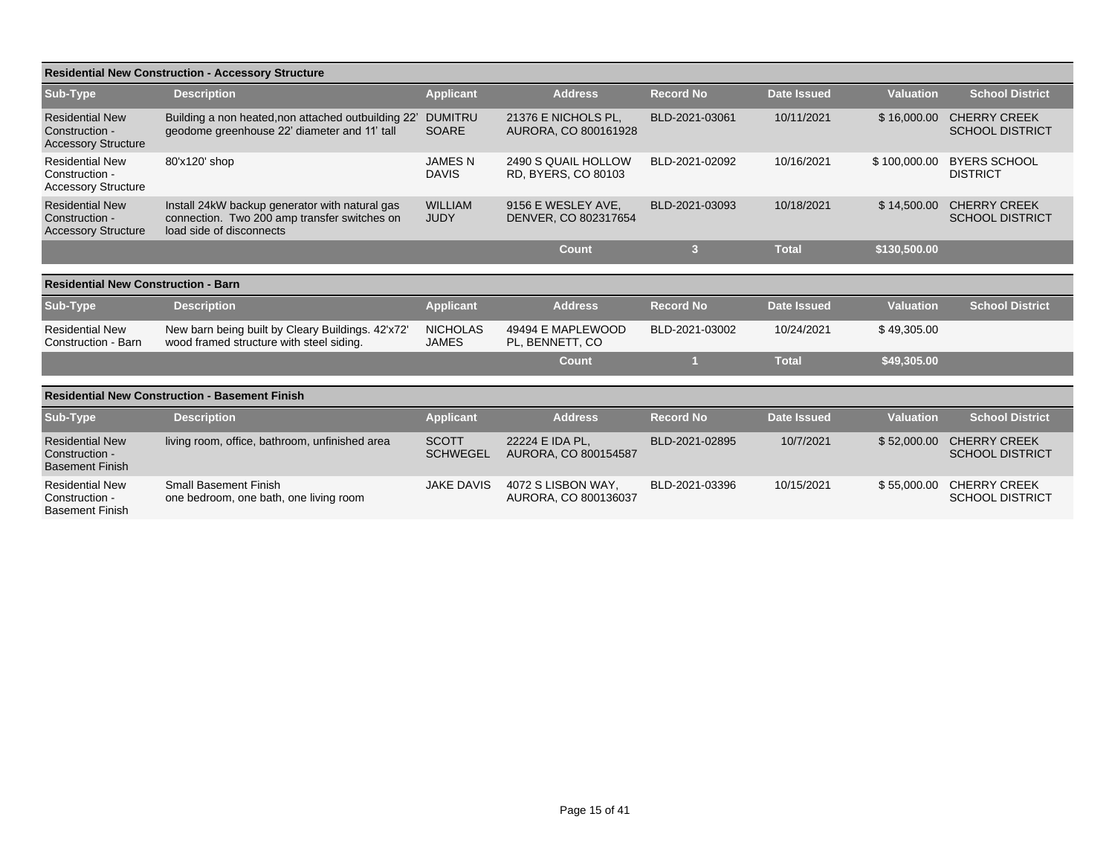|                                                                        | <b>Residential New Construction - Accessory Structure</b>                                                                  |                                 |                                                   |                  |                    |                  |                                               |
|------------------------------------------------------------------------|----------------------------------------------------------------------------------------------------------------------------|---------------------------------|---------------------------------------------------|------------------|--------------------|------------------|-----------------------------------------------|
| Sub-Type                                                               | <b>Description</b>                                                                                                         | <b>Applicant</b>                | <b>Address</b>                                    | <b>Record No</b> | <b>Date Issued</b> | <b>Valuation</b> | <b>School District</b>                        |
| <b>Residential New</b><br>Construction -<br><b>Accessory Structure</b> | Building a non heated, non attached outbuilding 22'<br>geodome greenhouse 22' diameter and 11' tall                        | <b>DUMITRU</b><br><b>SOARE</b>  | 21376 E NICHOLS PL.<br>AURORA, CO 800161928       | BLD-2021-03061   | 10/11/2021         | \$16,000.00      | <b>CHERRY CREEK</b><br><b>SCHOOL DISTRICT</b> |
| <b>Residential New</b><br>Construction -<br><b>Accessory Structure</b> | 80'x120' shop                                                                                                              | <b>JAMESN</b><br><b>DAVIS</b>   | 2490 S QUAIL HOLLOW<br><b>RD, BYERS, CO 80103</b> | BLD-2021-02092   | 10/16/2021         | \$100,000.00     | <b>BYERS SCHOOL</b><br><b>DISTRICT</b>        |
| <b>Residential New</b><br>Construction -<br><b>Accessory Structure</b> | Install 24kW backup generator with natural gas<br>connection. Two 200 amp transfer switches on<br>load side of disconnects | <b>WILLIAM</b><br><b>JUDY</b>   | 9156 E WESLEY AVE.<br>DENVER, CO 802317654        | BLD-2021-03093   | 10/18/2021         | \$14,500.00      | <b>CHERRY CREEK</b><br><b>SCHOOL DISTRICT</b> |
|                                                                        |                                                                                                                            |                                 | <b>Count</b>                                      | 3                | <b>Total</b>       | \$130,500.00     |                                               |
| <b>Residential New Construction - Barn</b>                             |                                                                                                                            |                                 |                                                   |                  |                    |                  |                                               |
| <b>Sub-Type</b>                                                        | <b>Description</b>                                                                                                         | <b>Applicant</b>                | <b>Address</b>                                    | <b>Record No</b> | <b>Date Issued</b> | <b>Valuation</b> | <b>School District</b>                        |
| <b>Residential New</b><br>Construction - Barn                          | New barn being built by Cleary Buildings. 42'x72'<br>wood framed structure with steel siding.                              | <b>NICHOLAS</b><br><b>JAMES</b> | 49494 E MAPLEWOOD<br>PL. BENNETT, CO              | BLD-2021-03002   | 10/24/2021         | \$49,305.00      |                                               |
|                                                                        |                                                                                                                            |                                 | Count                                             |                  | <b>Total</b>       | \$49,305.00      |                                               |
|                                                                        | <b>Residential New Construction - Basement Finish</b>                                                                      |                                 |                                                   |                  |                    |                  |                                               |
| <b>Sub-Type</b>                                                        | <b>Description</b>                                                                                                         | <b>Applicant</b>                | <b>Address</b>                                    | <b>Record No</b> | <b>Date Issued</b> | <b>Valuation</b> | <b>School District</b>                        |
| <b>Residential New</b><br>Construction -<br><b>Basement Finish</b>     | living room, office, bathroom, unfinished area                                                                             | <b>SCOTT</b><br><b>SCHWEGEL</b> | 22224 E IDA PL.<br>AURORA, CO 800154587           | BLD-2021-02895   | 10/7/2021          | \$52,000.00      | <b>CHERRY CREEK</b><br><b>SCHOOL DISTRICT</b> |
| <b>Residential New</b><br>Construction -<br><b>Basement Finish</b>     | <b>Small Basement Finish</b><br>one bedroom, one bath, one living room                                                     | <b>JAKE DAVIS</b>               | 4072 S LISBON WAY.<br>AURORA, CO 800136037        | BLD-2021-03396   | 10/15/2021         | \$55,000.00      | <b>CHERRY CREEK</b><br><b>SCHOOL DISTRICT</b> |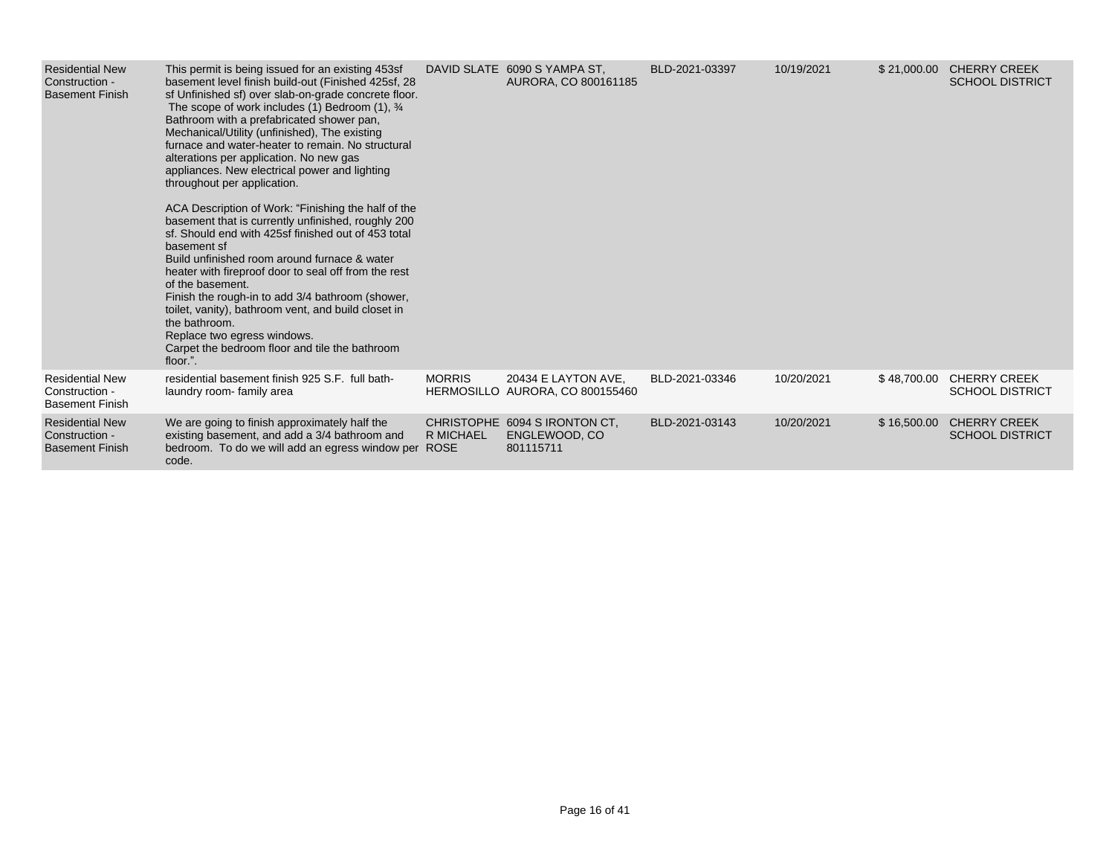| <b>Residential New</b><br>Construction -<br><b>Basement Finish</b> | This permit is being issued for an existing 453sf<br>basement level finish build-out (Finished 425sf, 28<br>sf Unfinished sf) over slab-on-grade concrete floor.<br>The scope of work includes (1) Bedroom (1), $\frac{3}{4}$<br>Bathroom with a prefabricated shower pan,<br>Mechanical/Utility (unfinished), The existing<br>furnace and water-heater to remain. No structural<br>alterations per application. No new gas<br>appliances. New electrical power and lighting<br>throughout per application.                          |                  | DAVID SLATE 6090 S YAMPA ST,<br>AURORA, CO 800161185        | BLD-2021-03397 | 10/19/2021 | \$21,000.00 | <b>CHERRY CREEK</b><br><b>SCHOOL DISTRICT</b> |
|--------------------------------------------------------------------|--------------------------------------------------------------------------------------------------------------------------------------------------------------------------------------------------------------------------------------------------------------------------------------------------------------------------------------------------------------------------------------------------------------------------------------------------------------------------------------------------------------------------------------|------------------|-------------------------------------------------------------|----------------|------------|-------------|-----------------------------------------------|
|                                                                    | ACA Description of Work: "Finishing the half of the<br>basement that is currently unfinished, roughly 200<br>sf. Should end with 425sf finished out of 453 total<br>basement sf<br>Build unfinished room around furnace & water<br>heater with fireproof door to seal off from the rest<br>of the basement.<br>Finish the rough-in to add 3/4 bathroom (shower,<br>toilet, vanity), bathroom vent, and build closet in<br>the bathroom.<br>Replace two egress windows.<br>Carpet the bedroom floor and tile the bathroom<br>floor.". |                  |                                                             |                |            |             |                                               |
| <b>Residential New</b><br>Construction -<br><b>Basement Finish</b> | residential basement finish 925 S.F. full bath-<br>laundry room- family area                                                                                                                                                                                                                                                                                                                                                                                                                                                         | <b>MORRIS</b>    | 20434 E LAYTON AVE.<br>HERMOSILLO AURORA, CO 800155460      | BLD-2021-03346 | 10/20/2021 | \$48,700.00 | <b>CHERRY CREEK</b><br><b>SCHOOL DISTRICT</b> |
| <b>Residential New</b><br>Construction -<br><b>Basement Finish</b> | We are going to finish approximately half the<br>existing basement, and add a 3/4 bathroom and<br>bedroom. To do we will add an egress window per ROSE<br>code.                                                                                                                                                                                                                                                                                                                                                                      | <b>R MICHAEL</b> | CHRISTOPHE 6094 S IRONTON CT.<br>ENGLEWOOD, CO<br>801115711 | BLD-2021-03143 | 10/20/2021 | \$16,500.00 | <b>CHERRY CREEK</b><br><b>SCHOOL DISTRICT</b> |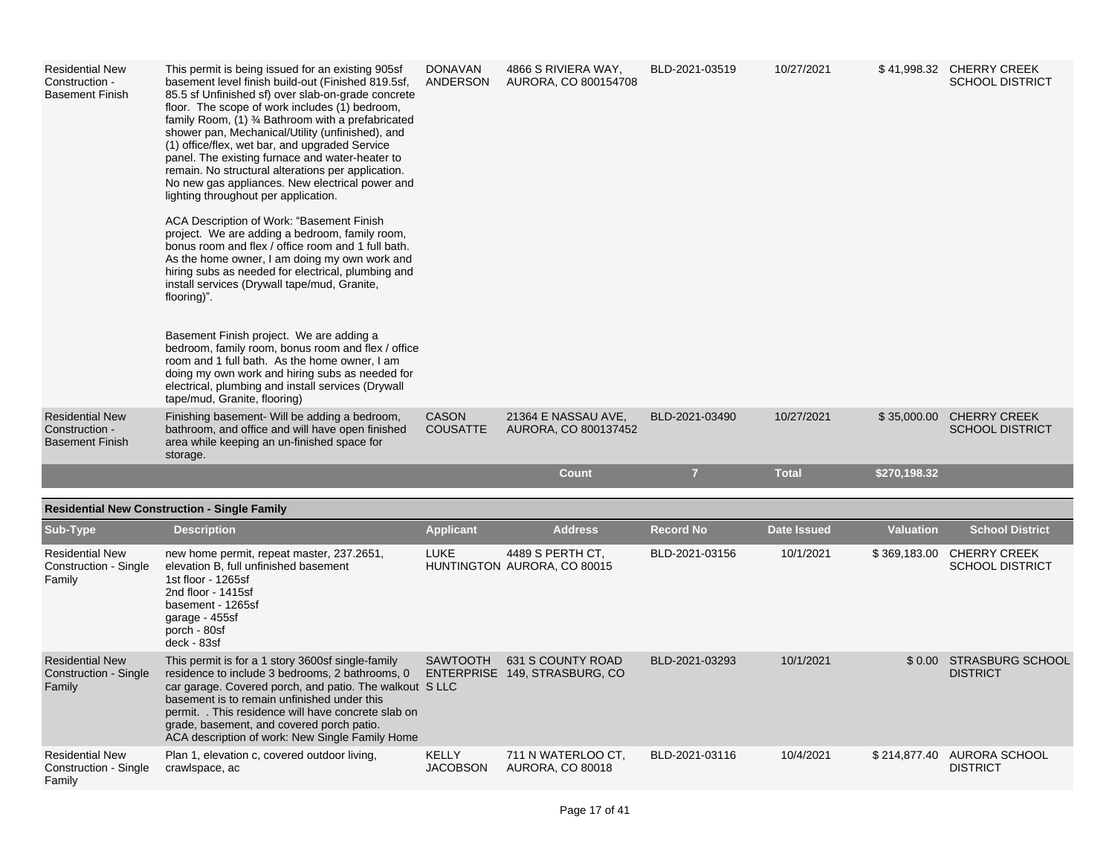| <b>Residential New</b><br>Construction -<br><b>Basement Finish</b> | This permit is being issued for an existing 905sf<br>basement level finish build-out (Finished 819.5sf,<br>85.5 sf Unfinished sf) over slab-on-grade concrete<br>floor. The scope of work includes (1) bedroom,<br>family Room, (1) 3⁄4 Bathroom with a prefabricated<br>shower pan, Mechanical/Utility (unfinished), and<br>(1) office/flex, wet bar, and upgraded Service<br>panel. The existing furnace and water-heater to<br>remain. No structural alterations per application.<br>No new gas appliances. New electrical power and<br>lighting throughout per application.<br>ACA Description of Work: "Basement Finish<br>project. We are adding a bedroom, family room,<br>bonus room and flex / office room and 1 full bath.<br>As the home owner, I am doing my own work and<br>hiring subs as needed for electrical, plumbing and<br>install services (Drywall tape/mud, Granite,<br>flooring)".<br>Basement Finish project. We are adding a<br>bedroom, family room, bonus room and flex / office<br>room and 1 full bath. As the home owner, I am<br>doing my own work and hiring subs as needed for<br>electrical, plumbing and install services (Drywall<br>tape/mud, Granite, flooring) | <b>DONAVAN</b><br>ANDERSON      | 4866 S RIVIERA WAY,<br>AURORA, CO 800154708        | BLD-2021-03519   | 10/27/2021         |                  | \$41,998.32 CHERRY CREEK<br><b>SCHOOL DISTRICT</b>  |
|--------------------------------------------------------------------|--------------------------------------------------------------------------------------------------------------------------------------------------------------------------------------------------------------------------------------------------------------------------------------------------------------------------------------------------------------------------------------------------------------------------------------------------------------------------------------------------------------------------------------------------------------------------------------------------------------------------------------------------------------------------------------------------------------------------------------------------------------------------------------------------------------------------------------------------------------------------------------------------------------------------------------------------------------------------------------------------------------------------------------------------------------------------------------------------------------------------------------------------------------------------------------------------------|---------------------------------|----------------------------------------------------|------------------|--------------------|------------------|-----------------------------------------------------|
| <b>Residential New</b><br>Construction -<br><b>Basement Finish</b> | Finishing basement- Will be adding a bedroom,<br>bathroom, and office and will have open finished<br>area while keeping an un-finished space for<br>storage.                                                                                                                                                                                                                                                                                                                                                                                                                                                                                                                                                                                                                                                                                                                                                                                                                                                                                                                                                                                                                                           | <b>CASON</b><br><b>COUSATTE</b> | 21364 E NASSAU AVE,<br>AURORA, CO 800137452        | BLD-2021-03490   | 10/27/2021         |                  | \$35,000.00 CHERRY CREEK<br><b>SCHOOL DISTRICT</b>  |
|                                                                    |                                                                                                                                                                                                                                                                                                                                                                                                                                                                                                                                                                                                                                                                                                                                                                                                                                                                                                                                                                                                                                                                                                                                                                                                        |                                 | <b>Count</b>                                       | $\overline{7}$   | <b>Total</b>       | \$270,198.32     |                                                     |
|                                                                    | <b>Residential New Construction - Single Family</b>                                                                                                                                                                                                                                                                                                                                                                                                                                                                                                                                                                                                                                                                                                                                                                                                                                                                                                                                                                                                                                                                                                                                                    |                                 |                                                    |                  |                    |                  |                                                     |
| Sub-Type                                                           | <b>Description</b>                                                                                                                                                                                                                                                                                                                                                                                                                                                                                                                                                                                                                                                                                                                                                                                                                                                                                                                                                                                                                                                                                                                                                                                     | <b>Applicant</b>                | <b>Address</b>                                     | <b>Record No</b> | <b>Date Issued</b> | <b>Valuation</b> | <b>School District</b>                              |
| <b>Residential New</b><br>Construction - Single<br>Family          | new home permit, repeat master, 237.2651,<br>elevation B, full unfinished basement<br>1st floor - 1265sf<br>2nd floor - 1415sf<br>basement - 1265sf<br>garage - 455sf<br>porch - 80sf<br>deck - 83sf                                                                                                                                                                                                                                                                                                                                                                                                                                                                                                                                                                                                                                                                                                                                                                                                                                                                                                                                                                                                   | <b>LUKE</b>                     | 4489 S PERTH CT,<br>HUNTINGTON AURORA, CO 80015    | BLD-2021-03156   | 10/1/2021          |                  | \$369,183.00 CHERRY CREEK<br><b>SCHOOL DISTRICT</b> |
| <b>Residential New</b><br><b>Construction - Single</b><br>Family   | This permit is for a 1 story 3600sf single-family<br>residence to include 3 bedrooms, 2 bathrooms, 0<br>car garage. Covered porch, and patio. The walkout S LLC<br>basement is to remain unfinished under this<br>permit. . This residence will have concrete slab on<br>grade, basement, and covered porch patio.<br>ACA description of work: New Single Family Home                                                                                                                                                                                                                                                                                                                                                                                                                                                                                                                                                                                                                                                                                                                                                                                                                                  | <b>SAWTOOTH</b>                 | 631 S COUNTY ROAD<br>ENTERPRISE 149, STRASBURG, CO | BLD-2021-03293   | 10/1/2021          |                  | \$0.00 STRASBURG SCHOOL<br><b>DISTRICT</b>          |

| <b>Residential New</b><br>Construction - Single crawlspace, ac | Plan 1, elevation c, covered outdoor living, | <b>KELLY</b> | 711 N WATERLOO CT.<br>JACOBSON AURORA, CO 80018 | BLD-2021-03116 | 10/4/2021 | \$214.877.40 AURORA SCHOOL<br><b>DISTRICT</b> |
|----------------------------------------------------------------|----------------------------------------------|--------------|-------------------------------------------------|----------------|-----------|-----------------------------------------------|
| $F_{\alpha}$ mail $\epsilon$                                   |                                              |              |                                                 |                |           |                                               |

Family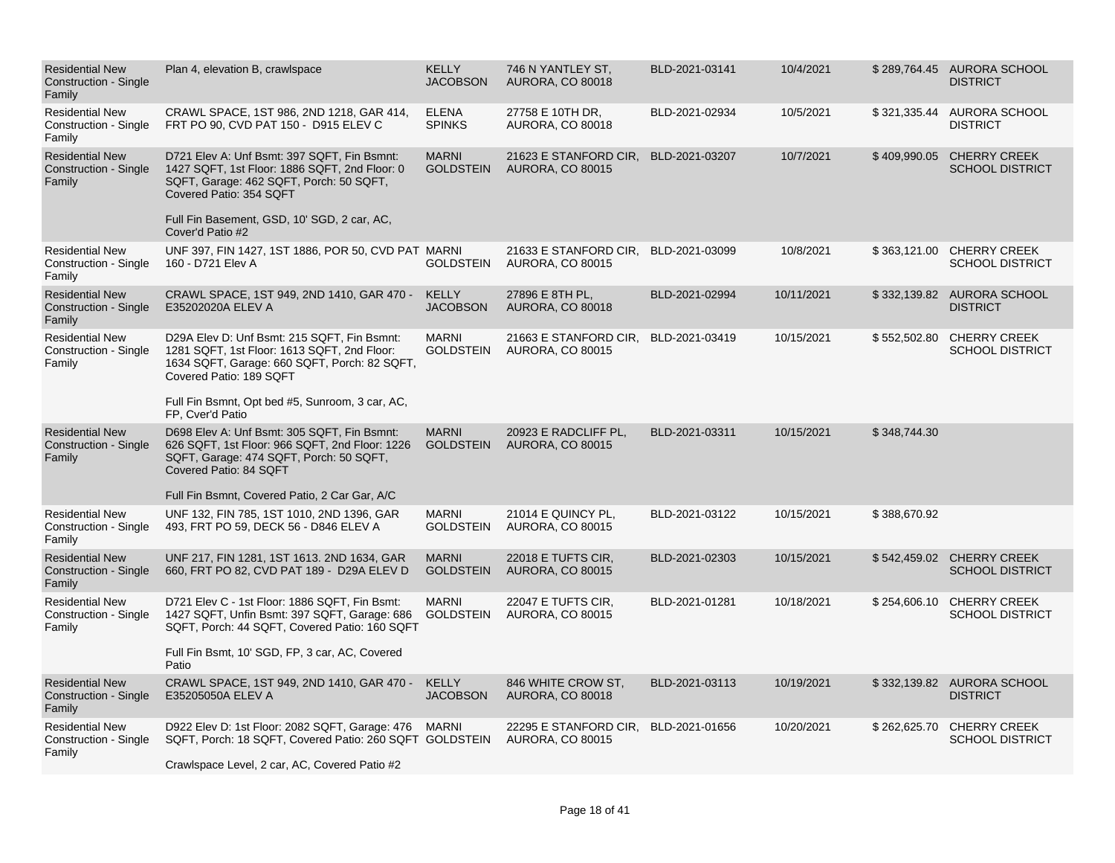| <b>Residential New</b><br>Construction - Single<br>Family        | Plan 4, elevation B, crawlspace                                                                                                                                       | <b>KELLY</b><br><b>JACOBSON</b>  | 746 N YANTLEY ST.<br><b>AURORA, CO 80018</b>     | BLD-2021-03141 | 10/4/2021  |              | \$289,764.45 AURORA SCHOOL<br><b>DISTRICT</b>       |
|------------------------------------------------------------------|-----------------------------------------------------------------------------------------------------------------------------------------------------------------------|----------------------------------|--------------------------------------------------|----------------|------------|--------------|-----------------------------------------------------|
| <b>Residential New</b><br>Construction - Single<br>Family        | CRAWL SPACE, 1ST 986, 2ND 1218, GAR 414,<br>FRT PO 90, CVD PAT 150 - D915 ELEV C                                                                                      | <b>ELENA</b><br><b>SPINKS</b>    | 27758 E 10TH DR,<br><b>AURORA, CO 80018</b>      | BLD-2021-02934 | 10/5/2021  |              | \$321,335.44 AURORA SCHOOL<br><b>DISTRICT</b>       |
| <b>Residential New</b><br><b>Construction - Single</b><br>Family | D721 Elev A: Unf Bsmt: 397 SQFT, Fin Bsmnt:<br>1427 SQFT, 1st Floor: 1886 SQFT, 2nd Floor: 0<br>SQFT, Garage: 462 SQFT, Porch: 50 SQFT,<br>Covered Patio: 354 SQFT    | <b>MARNI</b><br><b>GOLDSTEIN</b> | 21623 E STANFORD CIR,<br><b>AURORA, CO 80015</b> | BLD-2021-03207 | 10/7/2021  | \$409,990.05 | <b>CHERRY CREEK</b><br><b>SCHOOL DISTRICT</b>       |
|                                                                  | Full Fin Basement, GSD, 10' SGD, 2 car, AC,<br>Cover'd Patio #2                                                                                                       |                                  |                                                  |                |            |              |                                                     |
| <b>Residential New</b><br>Construction - Single<br>Family        | UNF 397, FIN 1427, 1ST 1886, POR 50, CVD PAT MARNI<br>160 - D721 Elev A                                                                                               | GOLDSTEIN                        | 21633 E STANFORD CIR,<br><b>AURORA, CO 80015</b> | BLD-2021-03099 | 10/8/2021  | \$363,121.00 | <b>CHERRY CREEK</b><br><b>SCHOOL DISTRICT</b>       |
| <b>Residential New</b><br><b>Construction - Single</b><br>Family | CRAWL SPACE, 1ST 949, 2ND 1410, GAR 470 -<br>E35202020A ELEV A                                                                                                        | <b>KELLY</b><br><b>JACOBSON</b>  | 27896 E 8TH PL,<br><b>AURORA, CO 80018</b>       | BLD-2021-02994 | 10/11/2021 | \$332,139.82 | AURORA SCHOOL<br><b>DISTRICT</b>                    |
| <b>Residential New</b><br><b>Construction - Single</b><br>Family | D29A Elev D: Unf Bsmt: 215 SQFT, Fin Bsmnt:<br>1281 SQFT, 1st Floor: 1613 SQFT, 2nd Floor:<br>1634 SQFT, Garage: 660 SQFT, Porch: 82 SQFT,<br>Covered Patio: 189 SQFT | <b>MARNI</b><br><b>GOLDSTEIN</b> | 21663 E STANFORD CIR,<br><b>AURORA, CO 80015</b> | BLD-2021-03419 | 10/15/2021 |              | \$552,502.80 CHERRY CREEK<br><b>SCHOOL DISTRICT</b> |
|                                                                  | Full Fin Bsmnt, Opt bed #5, Sunroom, 3 car, AC,<br>FP, Cver'd Patio                                                                                                   |                                  |                                                  |                |            |              |                                                     |
| <b>Residential New</b><br>Construction - Single<br>Family        | D698 Elev A: Unf Bsmt: 305 SQFT, Fin Bsmnt:<br>626 SQFT, 1st Floor: 966 SQFT, 2nd Floor: 1226<br>SQFT, Garage: 474 SQFT, Porch: 50 SQFT,<br>Covered Patio: 84 SQFT    | <b>MARNI</b><br><b>GOLDSTEIN</b> | 20923 E RADCLIFF PL,<br><b>AURORA, CO 80015</b>  | BLD-2021-03311 | 10/15/2021 | \$348,744.30 |                                                     |
|                                                                  | Full Fin Bsmnt, Covered Patio, 2 Car Gar, A/C                                                                                                                         |                                  |                                                  |                |            |              |                                                     |
| <b>Residential New</b><br>Construction - Single<br>Family        | UNF 132, FIN 785, 1ST 1010, 2ND 1396, GAR<br>493, FRT PO 59, DECK 56 - D846 ELEV A                                                                                    | <b>MARNI</b><br><b>GOLDSTEIN</b> | 21014 E QUINCY PL,<br><b>AURORA, CO 80015</b>    | BLD-2021-03122 | 10/15/2021 | \$388,670.92 |                                                     |
| <b>Residential New</b><br>Construction - Single<br>Family        | UNF 217, FIN 1281, 1ST 1613. 2ND 1634, GAR<br>660, FRT PO 82, CVD PAT 189 - D29A ELEV D                                                                               | <b>MARNI</b><br><b>GOLDSTEIN</b> | 22018 E TUFTS CIR.<br><b>AURORA, CO 80015</b>    | BLD-2021-02303 | 10/15/2021 |              | \$542,459.02 CHERRY CREEK<br><b>SCHOOL DISTRICT</b> |
| <b>Residential New</b><br>Construction - Single<br>Family        | D721 Elev C - 1st Floor: 1886 SQFT, Fin Bsmt:<br>1427 SQFT, Unfin Bsmt: 397 SQFT, Garage: 686<br>SQFT, Porch: 44 SQFT, Covered Patio: 160 SQFT                        | <b>MARNI</b><br><b>GOLDSTEIN</b> | 22047 E TUFTS CIR,<br>AURORA, CO 80015           | BLD-2021-01281 | 10/18/2021 | \$254,606.10 | <b>CHERRY CREEK</b><br><b>SCHOOL DISTRICT</b>       |
|                                                                  | Full Fin Bsmt, 10' SGD, FP, 3 car, AC, Covered<br>Patio                                                                                                               |                                  |                                                  |                |            |              |                                                     |
| <b>Residential New</b><br>Construction - Single<br>Family        | CRAWL SPACE, 1ST 949, 2ND 1410, GAR 470 -<br>E35205050A ELEV A                                                                                                        | KELLY<br><b>JACOBSON</b>         | 846 WHITE CROW ST.<br><b>AURORA, CO 80018</b>    | BLD-2021-03113 | 10/19/2021 |              | \$332,139.82 AURORA SCHOOL<br><b>DISTRICT</b>       |
| <b>Residential New</b><br>Construction - Single<br>Family        | D922 Elev D: 1st Floor: 2082 SQFT, Garage: 476<br>SQFT, Porch: 18 SQFT, Covered Patio: 260 SQFT GOLDSTEIN                                                             | <b>MARNI</b>                     | 22295 E STANFORD CIR,<br><b>AURORA, CO 80015</b> | BLD-2021-01656 | 10/20/2021 | \$262,625.70 | <b>CHERRY CREEK</b><br><b>SCHOOL DISTRICT</b>       |
|                                                                  | Crawlspace Level, 2 car, AC, Covered Patio #2                                                                                                                         |                                  |                                                  |                |            |              |                                                     |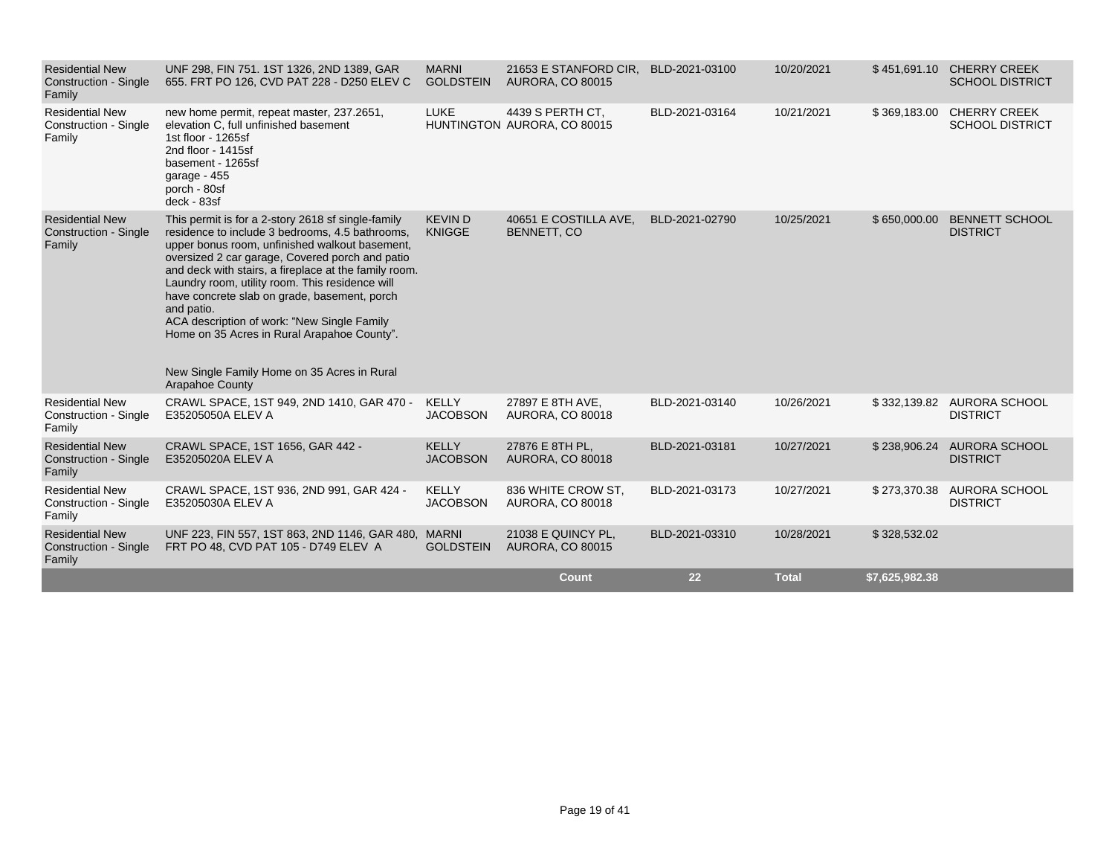|                                                                  |                                                                                                                                                                                                                                                                                      |                                 | <b>Count</b>                                    | 22             | <b>Total</b> | \$7,625,982.38 |                                               |
|------------------------------------------------------------------|--------------------------------------------------------------------------------------------------------------------------------------------------------------------------------------------------------------------------------------------------------------------------------------|---------------------------------|-------------------------------------------------|----------------|--------------|----------------|-----------------------------------------------|
| <b>Residential New</b><br>Construction - Single<br>Family        | UNF 223, FIN 557, 1ST 863, 2ND 1146, GAR 480, MARNI<br>FRT PO 48, CVD PAT 105 - D749 ELEV A                                                                                                                                                                                          | <b>GOLDSTEIN</b>                | 21038 E QUINCY PL,<br><b>AURORA, CO 80015</b>   | BLD-2021-03310 | 10/28/2021   | \$328,532.02   |                                               |
| <b>Residential New</b><br>Construction - Single<br>Family        | CRAWL SPACE, 1ST 936, 2ND 991, GAR 424 -<br>E35205030A ELEV A                                                                                                                                                                                                                        | <b>KELLY</b><br><b>JACOBSON</b> | 836 WHITE CROW ST.<br><b>AURORA, CO 80018</b>   | BLD-2021-03173 | 10/27/2021   |                | \$273,370.38 AURORA SCHOOL<br><b>DISTRICT</b> |
| <b>Residential New</b><br>Construction - Single<br>Family        | CRAWL SPACE, 1ST 1656, GAR 442 -<br>E35205020A ELEV A                                                                                                                                                                                                                                | <b>KELLY</b><br><b>JACOBSON</b> | 27876 E 8TH PL.<br><b>AURORA, CO 80018</b>      | BLD-2021-03181 | 10/27/2021   | \$238,906.24   | AURORA SCHOOL<br><b>DISTRICT</b>              |
| <b>Residential New</b><br>Construction - Single<br>Family        | CRAWL SPACE, 1ST 949, 2ND 1410, GAR 470 -<br>E35205050A ELEV A                                                                                                                                                                                                                       | KELLY<br><b>JACOBSON</b>        | 27897 E 8TH AVE.<br>AURORA, CO 80018            | BLD-2021-03140 | 10/26/2021   |                | \$332,139.82 AURORA SCHOOL<br><b>DISTRICT</b> |
|                                                                  | Laundry room, utility room. This residence will<br>have concrete slab on grade, basement, porch<br>and patio.<br>ACA description of work: "New Single Family<br>Home on 35 Acres in Rural Arapahoe County".<br>New Single Family Home on 35 Acres in Rural<br><b>Arapahoe County</b> |                                 |                                                 |                |              |                |                                               |
| <b>Residential New</b><br><b>Construction - Single</b><br>Family | This permit is for a 2-story 2618 sf single-family<br>residence to include 3 bedrooms, 4.5 bathrooms,<br>upper bonus room, unfinished walkout basement,<br>oversized 2 car garage, Covered porch and patio<br>and deck with stairs, a fireplace at the family room.                  | <b>KEVIND</b><br><b>KNIGGE</b>  | 40651 E COSTILLA AVE,<br>BENNETT, CO            | BLD-2021-02790 | 10/25/2021   | \$650,000.00   | <b>BENNETT SCHOOL</b><br><b>DISTRICT</b>      |
| <b>Residential New</b><br><b>Construction - Single</b><br>Family | new home permit, repeat master, 237.2651,<br>elevation C, full unfinished basement<br>1st floor - 1265sf<br>2nd floor - 1415sf<br>basement - 1265sf<br>garage - 455<br>porch - 80sf<br>deck - 83sf                                                                                   |                                 | 4439 S PERTH CT,<br>HUNTINGTON AURORA, CO 80015 | BLD-2021-03164 | 10/21/2021   | \$369,183.00   | <b>CHERRY CREEK</b><br><b>SCHOOL DISTRICT</b> |
| <b>Construction - Single</b><br>Family                           | 655. FRT PO 126, CVD PAT 228 - D250 ELEV C                                                                                                                                                                                                                                           | <b>GOLDSTEIN</b><br><b>LUKE</b> | <b>AURORA, CO 80015</b>                         |                |              |                | <b>SCHOOL DISTRICT</b>                        |
| <b>Residential New</b>                                           | UNF 298, FIN 751. 1ST 1326, 2ND 1389, GAR                                                                                                                                                                                                                                            | <b>MARNI</b>                    | 21653 E STANFORD CIR,                           | BLD-2021-03100 | 10/20/2021   |                | \$451,691.10 CHERRY CREEK                     |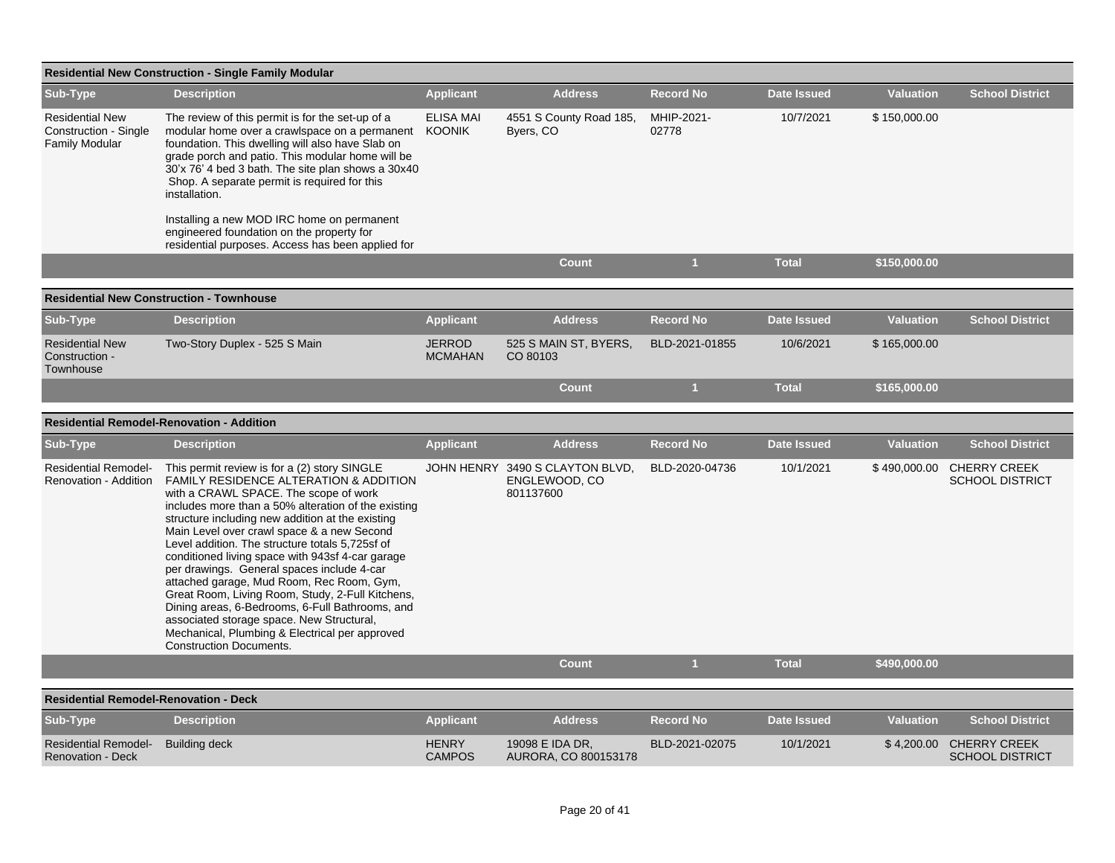|                                                                                 | <b>Residential New Construction - Single Family Modular</b>                                                                                                                                                                                                                                                                                                                                                                                                                                                                                                                                                                                                                                                                        |                                 |                                                               |                     |                    |                  |                                                   |  |  |  |  |
|---------------------------------------------------------------------------------|------------------------------------------------------------------------------------------------------------------------------------------------------------------------------------------------------------------------------------------------------------------------------------------------------------------------------------------------------------------------------------------------------------------------------------------------------------------------------------------------------------------------------------------------------------------------------------------------------------------------------------------------------------------------------------------------------------------------------------|---------------------------------|---------------------------------------------------------------|---------------------|--------------------|------------------|---------------------------------------------------|--|--|--|--|
| Sub-Type                                                                        | <b>Description</b>                                                                                                                                                                                                                                                                                                                                                                                                                                                                                                                                                                                                                                                                                                                 | <b>Applicant</b>                | <b>Address</b>                                                | <b>Record No</b>    | <b>Date Issued</b> | <b>Valuation</b> | <b>School District</b>                            |  |  |  |  |
| <b>Residential New</b><br><b>Construction - Single</b><br><b>Family Modular</b> | The review of this permit is for the set-up of a<br>modular home over a crawlspace on a permanent KOONIK<br>foundation. This dwelling will also have Slab on<br>grade porch and patio. This modular home will be<br>30'x 76' 4 bed 3 bath. The site plan shows a 30x40<br>Shop. A separate permit is required for this<br>installation.                                                                                                                                                                                                                                                                                                                                                                                            | <b>ELISA MAI</b>                | 4551 S County Road 185,<br>Byers, CO                          | MHIP-2021-<br>02778 | 10/7/2021          | \$150,000.00     |                                                   |  |  |  |  |
|                                                                                 | Installing a new MOD IRC home on permanent<br>engineered foundation on the property for<br>residential purposes. Access has been applied for                                                                                                                                                                                                                                                                                                                                                                                                                                                                                                                                                                                       |                                 |                                                               |                     |                    |                  |                                                   |  |  |  |  |
|                                                                                 |                                                                                                                                                                                                                                                                                                                                                                                                                                                                                                                                                                                                                                                                                                                                    |                                 | <b>Count</b>                                                  | $\mathbf{1}$        | <b>Total</b>       | \$150,000.00     |                                                   |  |  |  |  |
|                                                                                 | <b>Residential New Construction - Townhouse</b>                                                                                                                                                                                                                                                                                                                                                                                                                                                                                                                                                                                                                                                                                    |                                 |                                                               |                     |                    |                  |                                                   |  |  |  |  |
| Sub-Type                                                                        | <b>Description</b>                                                                                                                                                                                                                                                                                                                                                                                                                                                                                                                                                                                                                                                                                                                 | <b>Applicant</b>                | <b>Address</b>                                                | <b>Record No</b>    | <b>Date Issued</b> | <b>Valuation</b> | <b>School District</b>                            |  |  |  |  |
| <b>Residential New</b><br>Construction -<br>Townhouse                           | Two-Story Duplex - 525 S Main                                                                                                                                                                                                                                                                                                                                                                                                                                                                                                                                                                                                                                                                                                      | <b>JERROD</b><br><b>MCMAHAN</b> | 525 S MAIN ST, BYERS,<br>CO 80103                             | BLD-2021-01855      | 10/6/2021          | \$165,000.00     |                                                   |  |  |  |  |
|                                                                                 |                                                                                                                                                                                                                                                                                                                                                                                                                                                                                                                                                                                                                                                                                                                                    |                                 | <b>Count</b>                                                  | $\mathbf{1}$        | <b>Total</b>       | \$165,000.00     |                                                   |  |  |  |  |
|                                                                                 | <b>Residential Remodel-Renovation - Addition</b>                                                                                                                                                                                                                                                                                                                                                                                                                                                                                                                                                                                                                                                                                   |                                 |                                                               |                     |                    |                  |                                                   |  |  |  |  |
| Sub-Type                                                                        | <b>Description</b>                                                                                                                                                                                                                                                                                                                                                                                                                                                                                                                                                                                                                                                                                                                 | <b>Applicant</b>                | <b>Address</b>                                                | <b>Record No</b>    | <b>Date Issued</b> | <b>Valuation</b> | <b>School District</b>                            |  |  |  |  |
| <b>Residential Remodel-</b><br>Renovation - Addition                            | This permit review is for a (2) story SINGLE<br>FAMILY RESIDENCE ALTERATION & ADDITION<br>with a CRAWL SPACE. The scope of work<br>includes more than a 50% alteration of the existing<br>structure including new addition at the existing<br>Main Level over crawl space & a new Second<br>Level addition. The structure totals 5,725sf of<br>conditioned living space with 943sf 4-car garage<br>per drawings. General spaces include 4-car<br>attached garage, Mud Room, Rec Room, Gym,<br>Great Room, Living Room, Study, 2-Full Kitchens,<br>Dining areas, 6-Bedrooms, 6-Full Bathrooms, and<br>associated storage space. New Structural,<br>Mechanical, Plumbing & Electrical per approved<br><b>Construction Documents.</b> |                                 | JOHN HENRY 3490 S CLAYTON BLVD,<br>ENGLEWOOD, CO<br>801137600 | BLD-2020-04736      | 10/1/2021          | \$490,000.00     | <b>CHERRY CREEK</b><br><b>SCHOOL DISTRICT</b>     |  |  |  |  |
|                                                                                 |                                                                                                                                                                                                                                                                                                                                                                                                                                                                                                                                                                                                                                                                                                                                    |                                 | <b>Count</b>                                                  | $\mathbf{1}$        | <b>Total</b>       | \$490,000.00     |                                                   |  |  |  |  |
| <b>Residential Remodel-Renovation - Deck</b>                                    |                                                                                                                                                                                                                                                                                                                                                                                                                                                                                                                                                                                                                                                                                                                                    |                                 |                                                               |                     |                    |                  |                                                   |  |  |  |  |
| Sub-Type                                                                        | <b>Description</b>                                                                                                                                                                                                                                                                                                                                                                                                                                                                                                                                                                                                                                                                                                                 | <b>Applicant</b>                | <b>Address</b>                                                | <b>Record No</b>    | <b>Date Issued</b> | <b>Valuation</b> | <b>School District</b>                            |  |  |  |  |
| <b>Residential Remodel-</b><br><b>Renovation - Deck</b>                         | <b>Building deck</b>                                                                                                                                                                                                                                                                                                                                                                                                                                                                                                                                                                                                                                                                                                               | <b>HENRY</b><br><b>CAMPOS</b>   | 19098 E IDA DR,<br>AURORA, CO 800153178                       | BLD-2021-02075      | 10/1/2021          |                  | \$4,200.00 CHERRY CREEK<br><b>SCHOOL DISTRICT</b> |  |  |  |  |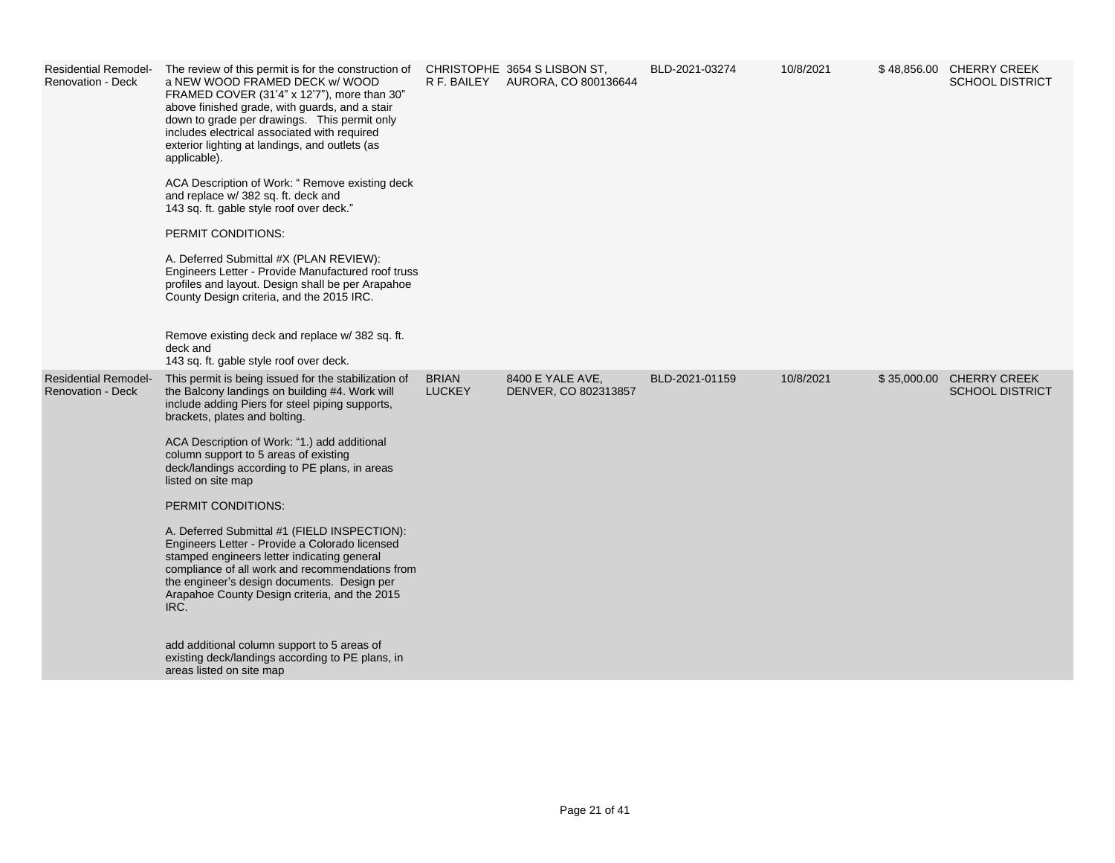| <b>Residential Remodel-</b><br><b>Renovation - Deck</b> | The review of this permit is for the construction of CHRISTOPHE 3654 S LISBON ST,<br>a NEW WOOD FRAMED DECK w/ WOOD<br>FRAMED COVER (31'4" x 12'7"), more than 30"<br>above finished grade, with guards, and a stair<br>down to grade per drawings. This permit only<br>includes electrical associated with required<br>exterior lighting at landings, and outlets (as<br>applicable).<br>ACA Description of Work: " Remove existing deck<br>and replace w/ 382 sq. ft. deck and<br>143 sq. ft. gable style roof over deck."<br>PERMIT CONDITIONS:<br>A. Deferred Submittal #X (PLAN REVIEW):<br>Engineers Letter - Provide Manufactured roof truss<br>profiles and layout. Design shall be per Arapahoe<br>County Design criteria, and the 2015 IRC.<br>Remove existing deck and replace w/382 sq. ft.<br>deck and<br>143 sq. ft. gable style roof over deck. |                               | R F. BAILEY AURORA, CO 800136644         | BLD-2021-03274 | 10/8/2021 | \$48,856.00 CHERRY CREEK<br><b>SCHOOL DISTRICT</b> |
|---------------------------------------------------------|----------------------------------------------------------------------------------------------------------------------------------------------------------------------------------------------------------------------------------------------------------------------------------------------------------------------------------------------------------------------------------------------------------------------------------------------------------------------------------------------------------------------------------------------------------------------------------------------------------------------------------------------------------------------------------------------------------------------------------------------------------------------------------------------------------------------------------------------------------------|-------------------------------|------------------------------------------|----------------|-----------|----------------------------------------------------|
| <b>Residential Remodel-</b><br><b>Renovation - Deck</b> | This permit is being issued for the stabilization of<br>the Balcony landings on building #4. Work will<br>include adding Piers for steel piping supports,<br>brackets, plates and bolting.<br>ACA Description of Work: "1.) add additional<br>column support to 5 areas of existing<br>deck/landings according to PE plans, in areas<br>listed on site map<br>PERMIT CONDITIONS:<br>A. Deferred Submittal #1 (FIELD INSPECTION):<br>Engineers Letter - Provide a Colorado licensed<br>stamped engineers letter indicating general<br>compliance of all work and recommendations from<br>the engineer's design documents. Design per<br>Arapahoe County Design criteria, and the 2015<br>IRC.<br>add additional column support to 5 areas of<br>existing deck/landings according to PE plans, in<br>areas listed on site map                                    | <b>BRIAN</b><br><b>LUCKEY</b> | 8400 E YALE AVE,<br>DENVER, CO 802313857 | BLD-2021-01159 | 10/8/2021 | \$35,000.00 CHERRY CREEK<br><b>SCHOOL DISTRICT</b> |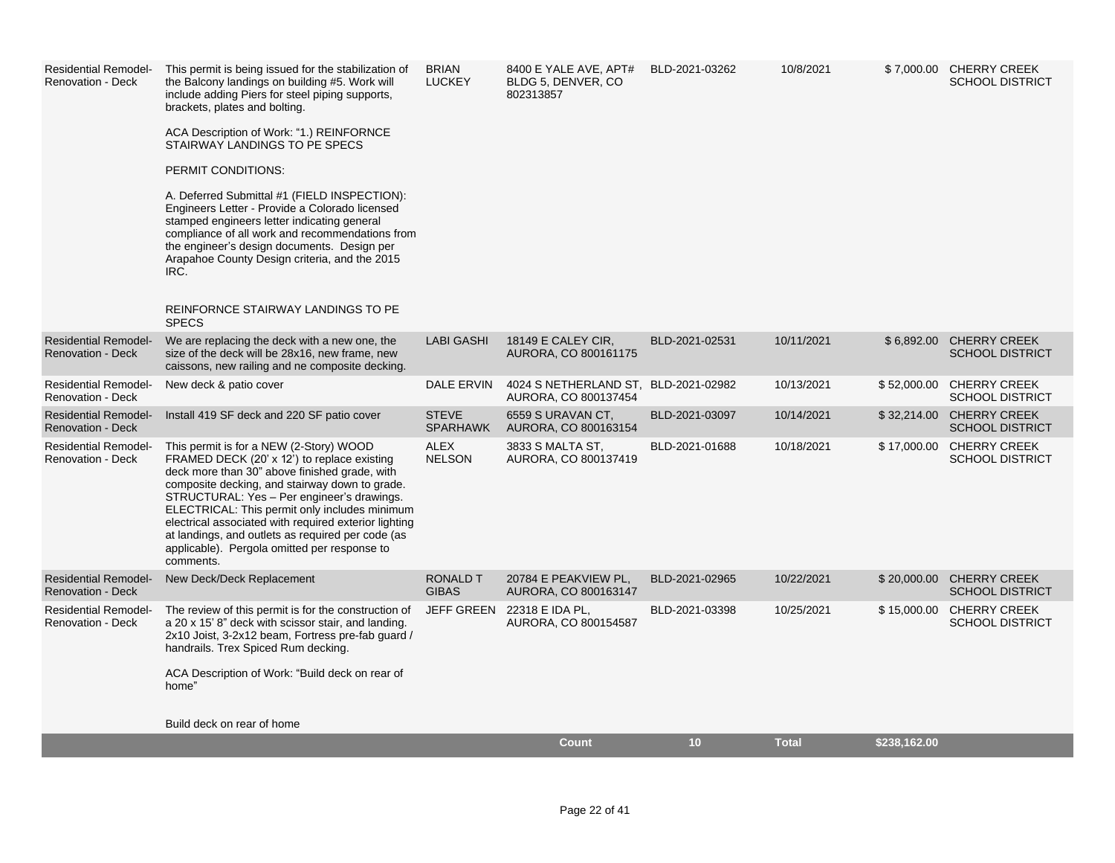| <b>Residential Remodel-</b><br><b>Renovation - Deck</b> | This permit is being issued for the stabilization of<br>the Balcony landings on building #5. Work will<br>include adding Piers for steel piping supports,<br>brackets, plates and bolting.<br>ACA Description of Work: "1.) REINFORNCE<br>STAIRWAY LANDINGS TO PE SPECS<br>PERMIT CONDITIONS:<br>A. Deferred Submittal #1 (FIELD INSPECTION):<br>Engineers Letter - Provide a Colorado licensed<br>stamped engineers letter indicating general<br>compliance of all work and recommendations from<br>the engineer's design documents. Design per<br>Arapahoe County Design criteria, and the 2015<br>IRC.<br>REINFORNCE STAIRWAY LANDINGS TO PE<br><b>SPECS</b> | <b>BRIAN</b><br><b>LUCKEY</b>   | 8400 E YALE AVE, APT#<br>BLDG 5, DENVER, CO<br>802313857     | BLD-2021-03262  | 10/8/2021    |              | \$7,000.00 CHERRY CREEK<br><b>SCHOOL DISTRICT</b>  |
|---------------------------------------------------------|-----------------------------------------------------------------------------------------------------------------------------------------------------------------------------------------------------------------------------------------------------------------------------------------------------------------------------------------------------------------------------------------------------------------------------------------------------------------------------------------------------------------------------------------------------------------------------------------------------------------------------------------------------------------|---------------------------------|--------------------------------------------------------------|-----------------|--------------|--------------|----------------------------------------------------|
| <b>Residential Remodel-</b><br><b>Renovation - Deck</b> | We are replacing the deck with a new one, the<br>size of the deck will be 28x16, new frame, new<br>caissons, new railing and ne composite decking.                                                                                                                                                                                                                                                                                                                                                                                                                                                                                                              | <b>LABI GASHI</b>               | 18149 E CALEY CIR,<br>AURORA, CO 800161175                   | BLD-2021-02531  | 10/11/2021   | \$6,892.00   | <b>CHERRY CREEK</b><br><b>SCHOOL DISTRICT</b>      |
| <b>Residential Remodel-</b><br>Renovation - Deck        | New deck & patio cover                                                                                                                                                                                                                                                                                                                                                                                                                                                                                                                                                                                                                                          | DALE ERVIN                      | 4024 S NETHERLAND ST, BLD-2021-02982<br>AURORA, CO 800137454 |                 | 10/13/2021   |              | \$52,000.00 CHERRY CREEK<br><b>SCHOOL DISTRICT</b> |
| <b>Residential Remodel-</b><br><b>Renovation - Deck</b> | Install 419 SF deck and 220 SF patio cover                                                                                                                                                                                                                                                                                                                                                                                                                                                                                                                                                                                                                      | <b>STEVE</b><br><b>SPARHAWK</b> | 6559 S URAVAN CT.<br>AURORA, CO 800163154                    | BLD-2021-03097  | 10/14/2021   |              | \$32,214.00 CHERRY CREEK<br><b>SCHOOL DISTRICT</b> |
| <b>Residential Remodel-</b><br><b>Renovation - Deck</b> | This permit is for a NEW (2-Story) WOOD<br>FRAMED DECK (20' x 12') to replace existing<br>deck more than 30" above finished grade, with<br>composite decking, and stairway down to grade.<br>STRUCTURAL: Yes - Per engineer's drawings.<br>ELECTRICAL: This permit only includes minimum<br>electrical associated with required exterior lighting<br>at landings, and outlets as required per code (as<br>applicable). Pergola omitted per response to<br>comments.                                                                                                                                                                                             | <b>ALEX</b><br><b>NELSON</b>    | 3833 S MALTA ST,<br>AURORA, CO 800137419                     | BLD-2021-01688  | 10/18/2021   |              | \$17,000.00 CHERRY CREEK<br><b>SCHOOL DISTRICT</b> |
| <b>Residential Remodel-</b><br><b>Renovation - Deck</b> | New Deck/Deck Replacement                                                                                                                                                                                                                                                                                                                                                                                                                                                                                                                                                                                                                                       | <b>RONALD T</b><br><b>GIBAS</b> | 20784 E PEAKVIEW PL,<br>AURORA, CO 800163147                 | BLD-2021-02965  | 10/22/2021   |              | \$20,000.00 CHERRY CREEK<br><b>SCHOOL DISTRICT</b> |
| <b>Residential Remodel-</b><br><b>Renovation - Deck</b> | The review of this permit is for the construction of<br>a 20 x 15' 8" deck with scissor stair, and landing.<br>2x10 Joist, 3-2x12 beam, Fortress pre-fab guard /<br>handrails. Trex Spiced Rum decking.<br>ACA Description of Work: "Build deck on rear of<br>home"                                                                                                                                                                                                                                                                                                                                                                                             | <b>JEFF GREEN</b>               | 22318 E IDA PL,<br>AURORA, CO 800154587                      | BLD-2021-03398  | 10/25/2021   |              | \$15,000.00 CHERRY CREEK<br><b>SCHOOL DISTRICT</b> |
|                                                         | Build deck on rear of home                                                                                                                                                                                                                                                                                                                                                                                                                                                                                                                                                                                                                                      |                                 |                                                              | 10 <sub>1</sub> | <b>Total</b> |              |                                                    |
|                                                         |                                                                                                                                                                                                                                                                                                                                                                                                                                                                                                                                                                                                                                                                 |                                 | <b>Count</b>                                                 |                 |              | \$238,162.00 |                                                    |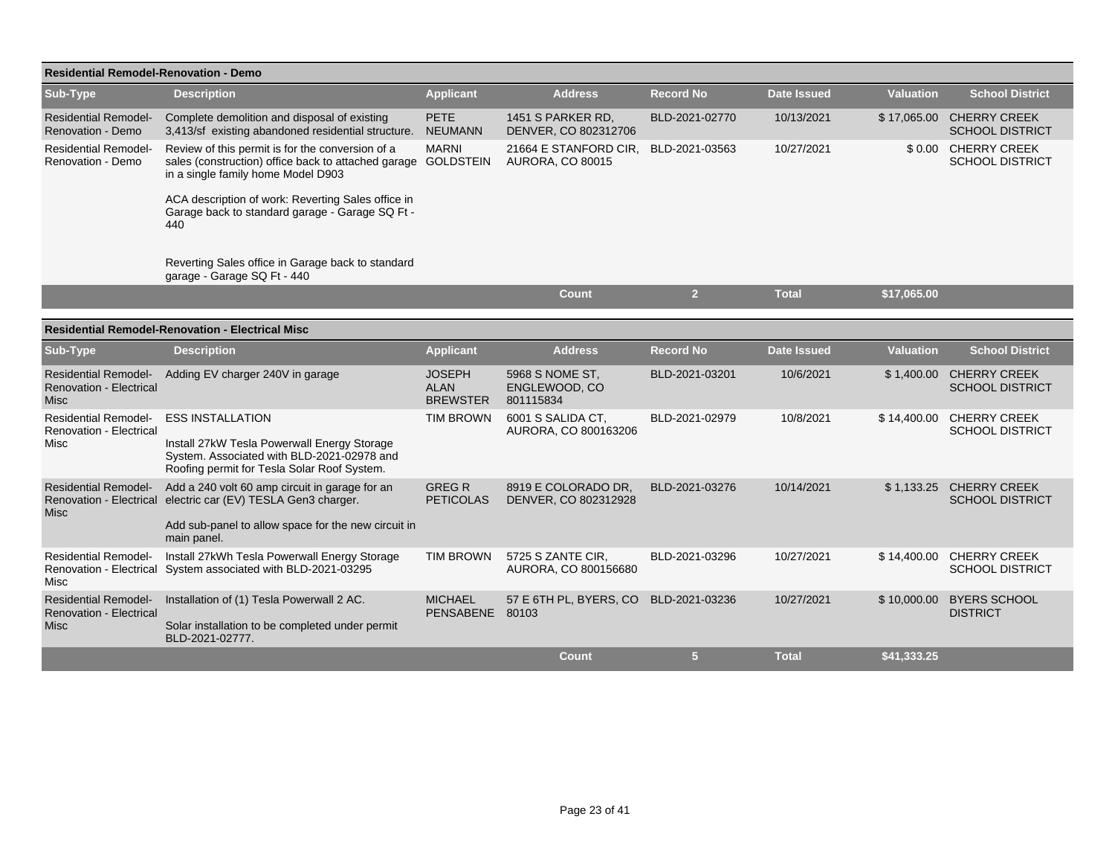| <b>Residential Remodel-Renovation - Demo</b>                                 |                                                                                                                                                                                       |                                                 |                                                  |                  |                    |                  |                                                    |
|------------------------------------------------------------------------------|---------------------------------------------------------------------------------------------------------------------------------------------------------------------------------------|-------------------------------------------------|--------------------------------------------------|------------------|--------------------|------------------|----------------------------------------------------|
| Sub-Type                                                                     | <b>Description</b>                                                                                                                                                                    | <b>Applicant</b>                                | <b>Address</b>                                   | <b>Record No</b> | <b>Date Issued</b> | <b>Valuation</b> | <b>School District</b>                             |
| <b>Residential Remodel-</b><br>Renovation - Demo                             | Complete demolition and disposal of existing<br>3,413/sf existing abandoned residential structure.                                                                                    | <b>PETE</b><br><b>NEUMANN</b>                   | 1451 S PARKER RD,<br>DENVER, CO 802312706        | BLD-2021-02770   | 10/13/2021         |                  | \$17,065.00 CHERRY CREEK<br><b>SCHOOL DISTRICT</b> |
| <b>Residential Remodel-</b><br>Renovation - Demo                             | Review of this permit is for the conversion of a<br>sales (construction) office back to attached garage GOLDSTEIN<br>in a single family home Model D903                               | <b>MARNI</b>                                    | 21664 E STANFORD CIR,<br><b>AURORA, CO 80015</b> | BLD-2021-03563   | 10/27/2021         |                  | \$0.00 CHERRY CREEK<br><b>SCHOOL DISTRICT</b>      |
|                                                                              | ACA description of work: Reverting Sales office in<br>Garage back to standard garage - Garage SQ Ft -<br>440                                                                          |                                                 |                                                  |                  |                    |                  |                                                    |
|                                                                              | Reverting Sales office in Garage back to standard<br>garage - Garage SQ Ft - 440                                                                                                      |                                                 |                                                  |                  |                    |                  |                                                    |
|                                                                              |                                                                                                                                                                                       |                                                 | Count                                            | $\overline{2}$   | <b>Total</b>       | \$17,065.00      |                                                    |
|                                                                              | <b>Residential Remodel-Renovation - Electrical Misc</b>                                                                                                                               |                                                 |                                                  |                  |                    |                  |                                                    |
| Sub-Type                                                                     | <b>Description</b>                                                                                                                                                                    | <b>Applicant</b>                                | <b>Address</b>                                   | <b>Record No</b> | <b>Date Issued</b> | <b>Valuation</b> | <b>School District</b>                             |
| <b>Residential Remodel-</b><br><b>Renovation - Electrical</b><br><b>Misc</b> | Adding EV charger 240V in garage                                                                                                                                                      | <b>JOSEPH</b><br><b>ALAN</b><br><b>BREWSTER</b> | 5968 S NOME ST.<br>ENGLEWOOD, CO<br>801115834    | BLD-2021-03201   | 10/6/2021          |                  | \$1,400.00 CHERRY CREEK<br><b>SCHOOL DISTRICT</b>  |
| <b>Residential Remodel-</b><br><b>Renovation - Electrical</b><br>Misc        | <b>ESS INSTALLATION</b><br>Install 27kW Tesla Powerwall Energy Storage<br>System. Associated with BLD-2021-02978 and<br>Roofing permit for Tesla Solar Roof System.                   | <b>TIM BROWN</b>                                | 6001 S SALIDA CT,<br>AURORA, CO 800163206        | BLD-2021-02979   | 10/8/2021          | \$14,400.00      | <b>CHERRY CREEK</b><br><b>SCHOOL DISTRICT</b>      |
| <b>Residential Remodel-</b><br>Misc                                          | Add a 240 volt 60 amp circuit in garage for an<br>Renovation - Electrical electric car (EV) TESLA Gen3 charger.<br>Add sub-panel to allow space for the new circuit in<br>main panel. | <b>GREGR</b><br><b>PETICOLAS</b>                | 8919 E COLORADO DR.<br>DENVER, CO 802312928      | BLD-2021-03276   | 10/14/2021         |                  | \$1,133.25 CHERRY CREEK<br><b>SCHOOL DISTRICT</b>  |
| <b>Residential Remodel-</b><br>Renovation - Electrical<br>Misc               | Install 27kWh Tesla Powerwall Energy Storage<br>System associated with BLD-2021-03295                                                                                                 | <b>TIM BROWN</b>                                | 5725 S ZANTE CIR.<br>AURORA, CO 800156680        | BLD-2021-03296   | 10/27/2021         |                  | \$14,400.00 CHERRY CREEK<br><b>SCHOOL DISTRICT</b> |
| <b>Residential Remodel-</b><br><b>Renovation - Electrical</b><br><b>Misc</b> | Installation of (1) Tesla Powerwall 2 AC.<br>Solar installation to be completed under permit<br>BLD-2021-02777.                                                                       | <b>MICHAEL</b><br><b>PENSABENE</b>              | 57 E 6TH PL, BYERS, CO<br>80103                  | BLD-2021-03236   | 10/27/2021         | \$10,000.00      | <b>BYERS SCHOOL</b><br><b>DISTRICT</b>             |
|                                                                              |                                                                                                                                                                                       |                                                 | <b>Count</b>                                     | 5                | <b>Total</b>       | \$41,333.25      |                                                    |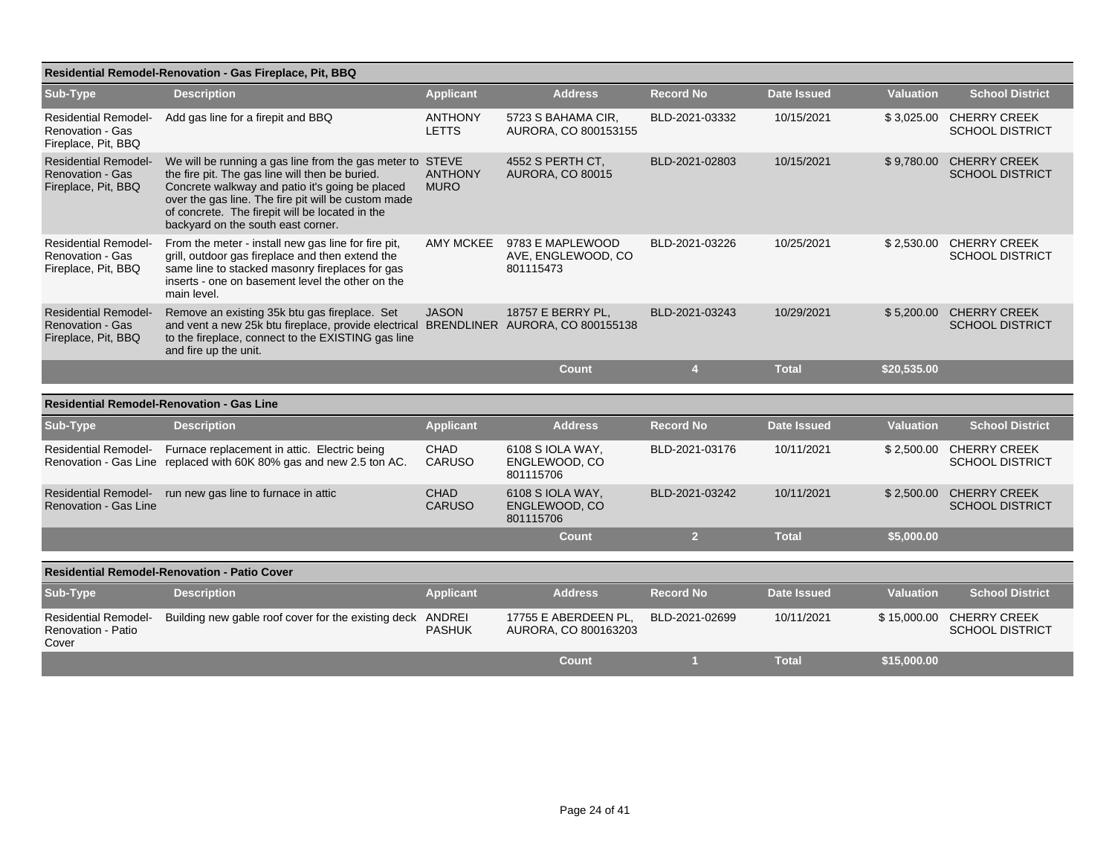|                                                                               | Residential Remodel-Renovation - Gas Fireplace, Pit, BBQ                                                                                                                                                                                                                                                        |                                |                                                     |                  |                    |                  |                                               |
|-------------------------------------------------------------------------------|-----------------------------------------------------------------------------------------------------------------------------------------------------------------------------------------------------------------------------------------------------------------------------------------------------------------|--------------------------------|-----------------------------------------------------|------------------|--------------------|------------------|-----------------------------------------------|
| <b>Sub-Type</b>                                                               | <b>Description</b>                                                                                                                                                                                                                                                                                              | <b>Applicant</b>               | <b>Address</b>                                      | <b>Record No</b> | Date Issued        | <b>Valuation</b> | <b>School District</b>                        |
| <b>Residential Remodel-</b><br><b>Renovation - Gas</b><br>Fireplace, Pit, BBQ | Add gas line for a firepit and BBQ                                                                                                                                                                                                                                                                              | <b>ANTHONY</b><br><b>LETTS</b> | 5723 S BAHAMA CIR.<br>AURORA, CO 800153155          | BLD-2021-03332   | 10/15/2021         | \$3,025.00       | <b>CHERRY CREEK</b><br><b>SCHOOL DISTRICT</b> |
| <b>Residential Remodel-</b><br><b>Renovation - Gas</b><br>Fireplace, Pit, BBQ | We will be running a gas line from the gas meter to STEVE<br>the fire pit. The gas line will then be buried.<br>Concrete walkway and patio it's going be placed<br>over the gas line. The fire pit will be custom made<br>of concrete. The firepit will be located in the<br>backyard on the south east corner. | <b>ANTHONY</b><br><b>MURO</b>  | 4552 S PERTH CT.<br>AURORA, CO 80015                | BLD-2021-02803   | 10/15/2021         | \$9,780.00       | <b>CHERRY CREEK</b><br><b>SCHOOL DISTRICT</b> |
| <b>Residential Remodel-</b><br>Renovation - Gas<br>Fireplace, Pit, BBQ        | From the meter - install new gas line for fire pit,<br>grill, outdoor gas fireplace and then extend the<br>same line to stacked masonry fireplaces for gas<br>inserts - one on basement level the other on the<br>main level.                                                                                   | <b>AMY MCKEE</b>               | 9783 E MAPLEWOOD<br>AVE, ENGLEWOOD, CO<br>801115473 | BLD-2021-03226   | 10/25/2021         | \$2,530.00       | <b>CHERRY CREEK</b><br><b>SCHOOL DISTRICT</b> |
| <b>Residential Remodel-</b><br><b>Renovation - Gas</b><br>Fireplace, Pit, BBQ | Remove an existing 35k btu gas fireplace. Set<br>and vent a new 25k btu fireplace, provide electrical BRENDLINER AURORA, CO 800155138<br>to the fireplace, connect to the EXISTING gas line<br>and fire up the unit.                                                                                            | <b>JASON</b>                   | 18757 E BERRY PL.                                   | BLD-2021-03243   | 10/29/2021         | \$5,200.00       | <b>CHERRY CREEK</b><br><b>SCHOOL DISTRICT</b> |
|                                                                               |                                                                                                                                                                                                                                                                                                                 |                                | <b>Count</b>                                        | $\overline{4}$   | <b>Total</b>       | \$20,535.00      |                                               |
|                                                                               | <b>Residential Remodel-Renovation - Gas Line</b>                                                                                                                                                                                                                                                                |                                |                                                     |                  |                    |                  |                                               |
| Sub-Type                                                                      | <b>Description</b>                                                                                                                                                                                                                                                                                              | <b>Applicant</b>               | <b>Address</b>                                      | Record No        | <b>Date Issued</b> | <b>Valuation</b> | <b>School District</b>                        |
| <b>Residential Remodel-</b>                                                   | Furnace replacement in attic. Electric being<br>Renovation - Gas Line replaced with 60K 80% gas and new 2.5 ton AC.                                                                                                                                                                                             | <b>CHAD</b><br><b>CARUSO</b>   | 6108 S IOLA WAY,<br>ENGLEWOOD, CO<br>801115706      | BLD-2021-03176   | 10/11/2021         | \$2,500.00       | <b>CHERRY CREEK</b><br><b>SCHOOL DISTRICT</b> |
| <b>Residential Remodel-</b><br>Renovation - Gas Line                          | run new gas line to furnace in attic                                                                                                                                                                                                                                                                            | <b>CHAD</b><br><b>CARUSO</b>   | 6108 S IOLA WAY.<br>ENGLEWOOD, CO<br>801115706      | BLD-2021-03242   | 10/11/2021         | \$2,500.00       | <b>CHERRY CREEK</b><br><b>SCHOOL DISTRICT</b> |
|                                                                               |                                                                                                                                                                                                                                                                                                                 |                                | <b>Count</b>                                        | $\overline{2}$   | <b>Total</b>       | \$5,000.00       |                                               |
|                                                                               | <b>Residential Remodel-Renovation - Patio Cover</b>                                                                                                                                                                                                                                                             |                                |                                                     |                  |                    |                  |                                               |
|                                                                               |                                                                                                                                                                                                                                                                                                                 |                                |                                                     |                  |                    |                  |                                               |
| Sub-Type                                                                      | <b>Description</b>                                                                                                                                                                                                                                                                                              | <b>Applicant</b>               | <b>Address</b>                                      | <b>Record No</b> | <b>Date Issued</b> | <b>Valuation</b> | <b>School District</b>                        |
| <b>Residential Remodel-</b><br>Renovation - Patio<br>Cover                    | Building new gable roof cover for the existing deck ANDREI                                                                                                                                                                                                                                                      | <b>PASHUK</b>                  | 17755 E ABERDEEN PL.<br>AURORA, CO 800163203        | BLD-2021-02699   | 10/11/2021         | \$15,000.00      | <b>CHERRY CREEK</b><br><b>SCHOOL DISTRICT</b> |
|                                                                               |                                                                                                                                                                                                                                                                                                                 |                                | Count                                               |                  | <b>Total</b>       | \$15,000.00      |                                               |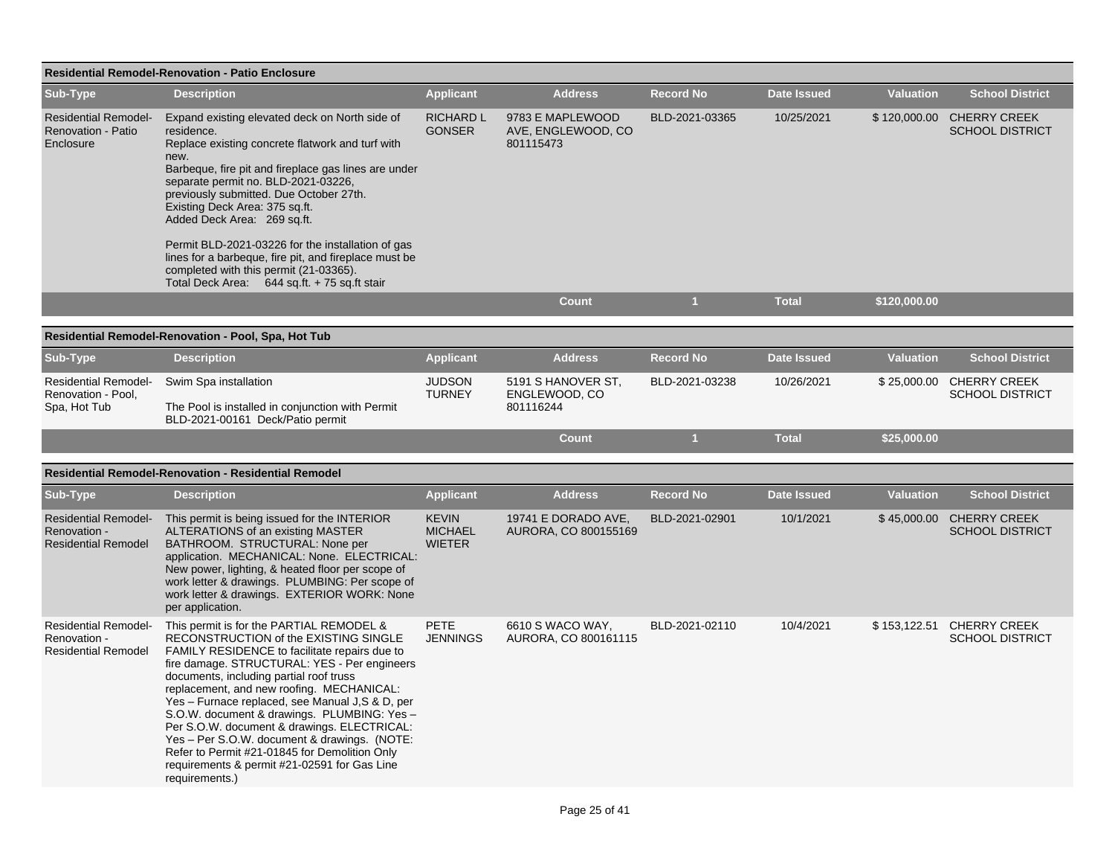| <b>Residential Remodel-Renovation - Patio Enclosure</b>                   |                                                                                                                                                                                                                                                                                                                                                                                                                                                                                                                                                                                                 |                                                 |                                                     |                  |                    |                  |                                                     |  |  |  |
|---------------------------------------------------------------------------|-------------------------------------------------------------------------------------------------------------------------------------------------------------------------------------------------------------------------------------------------------------------------------------------------------------------------------------------------------------------------------------------------------------------------------------------------------------------------------------------------------------------------------------------------------------------------------------------------|-------------------------------------------------|-----------------------------------------------------|------------------|--------------------|------------------|-----------------------------------------------------|--|--|--|
| Sub-Type                                                                  | <b>Description</b>                                                                                                                                                                                                                                                                                                                                                                                                                                                                                                                                                                              | <b>Applicant</b>                                | <b>Address</b>                                      | <b>Record No</b> | <b>Date Issued</b> | <b>Valuation</b> | <b>School District</b>                              |  |  |  |
| <b>Residential Remodel-</b><br>Renovation - Patio<br>Enclosure            | Expand existing elevated deck on North side of<br>residence.<br>Replace existing concrete flatwork and turf with<br>new.<br>Barbeque, fire pit and fireplace gas lines are under<br>separate permit no. BLD-2021-03226,<br>previously submitted. Due October 27th.<br>Existing Deck Area: 375 sq.ft.<br>Added Deck Area: 269 sq.ft.<br>Permit BLD-2021-03226 for the installation of gas<br>lines for a barbeque, fire pit, and fireplace must be                                                                                                                                               | <b>RICHARD L</b><br><b>GONSER</b>               | 9783 E MAPLEWOOD<br>AVE, ENGLEWOOD, CO<br>801115473 | BLD-2021-03365   | 10/25/2021         |                  | \$120,000.00 CHERRY CREEK<br><b>SCHOOL DISTRICT</b> |  |  |  |
|                                                                           | completed with this permit (21-03365).                                                                                                                                                                                                                                                                                                                                                                                                                                                                                                                                                          |                                                 |                                                     |                  |                    |                  |                                                     |  |  |  |
|                                                                           | Total Deck Area: 644 sq.ft. + 75 sq.ft stair                                                                                                                                                                                                                                                                                                                                                                                                                                                                                                                                                    |                                                 | <b>Count</b>                                        | $\mathbf{1}$     | <b>Total</b>       | \$120,000.00     |                                                     |  |  |  |
|                                                                           | Residential Remodel-Renovation - Pool, Spa, Hot Tub                                                                                                                                                                                                                                                                                                                                                                                                                                                                                                                                             |                                                 |                                                     |                  |                    |                  |                                                     |  |  |  |
| Sub-Type                                                                  | <b>Description</b>                                                                                                                                                                                                                                                                                                                                                                                                                                                                                                                                                                              | <b>Applicant</b>                                | <b>Address</b>                                      | <b>Record No</b> | <b>Date Issued</b> | <b>Valuation</b> | <b>School District</b>                              |  |  |  |
| <b>Residential Remodel-</b><br>Renovation - Pool,<br>Spa, Hot Tub         | Swim Spa installation<br>The Pool is installed in conjunction with Permit<br>BLD-2021-00161 Deck/Patio permit                                                                                                                                                                                                                                                                                                                                                                                                                                                                                   | <b>JUDSON</b><br><b>TURNEY</b>                  | 5191 S HANOVER ST,<br>ENGLEWOOD, CO<br>801116244    | BLD-2021-03238   | 10/26/2021         | \$25,000.00      | <b>CHERRY CREEK</b><br><b>SCHOOL DISTRICT</b>       |  |  |  |
|                                                                           |                                                                                                                                                                                                                                                                                                                                                                                                                                                                                                                                                                                                 |                                                 | <b>Count</b>                                        | $\mathbf{1}$     | <b>Total</b>       | \$25,000.00      |                                                     |  |  |  |
|                                                                           | <b>Residential Remodel-Renovation - Residential Remodel</b>                                                                                                                                                                                                                                                                                                                                                                                                                                                                                                                                     |                                                 |                                                     |                  |                    |                  |                                                     |  |  |  |
| Sub-Type                                                                  | <b>Description</b>                                                                                                                                                                                                                                                                                                                                                                                                                                                                                                                                                                              | <b>Applicant</b>                                | <b>Address</b>                                      | <b>Record No</b> | <b>Date Issued</b> | <b>Valuation</b> | <b>School District</b>                              |  |  |  |
| <b>Residential Remodel-</b><br>Renovation -<br><b>Residential Remodel</b> | This permit is being issued for the INTERIOR<br>ALTERATIONS of an existing MASTER<br>BATHROOM. STRUCTURAL: None per<br>application. MECHANICAL: None. ELECTRICAL:<br>New power, lighting, & heated floor per scope of<br>work letter & drawings. PLUMBING: Per scope of<br>work letter & drawings. EXTERIOR WORK: None<br>per application.                                                                                                                                                                                                                                                      | <b>KEVIN</b><br><b>MICHAEL</b><br><b>WIETER</b> | 19741 E DORADO AVE,<br>AURORA, CO 800155169         | BLD-2021-02901   | 10/1/2021          |                  | \$45,000.00 CHERRY CREEK<br><b>SCHOOL DISTRICT</b>  |  |  |  |
| <b>Residential Remodel-</b><br>Renovation -<br><b>Residential Remodel</b> | This permit is for the PARTIAL REMODEL &<br>RECONSTRUCTION of the EXISTING SINGLE<br>FAMILY RESIDENCE to facilitate repairs due to<br>fire damage. STRUCTURAL: YES - Per engineers<br>documents, including partial roof truss<br>replacement, and new roofing. MECHANICAL:<br>Yes - Furnace replaced, see Manual J, S & D, per<br>S.O.W. document & drawings. PLUMBING: Yes -<br>Per S.O.W. document & drawings. ELECTRICAL:<br>Yes - Per S.O.W. document & drawings. (NOTE:<br>Refer to Permit #21-01845 for Demolition Only<br>requirements & permit #21-02591 for Gas Line<br>requirements.) | <b>PETE</b><br><b>JENNINGS</b>                  | 6610 S WACO WAY,<br>AURORA, CO 800161115            | BLD-2021-02110   | 10/4/2021          | \$153,122.51     | <b>CHERRY CREEK</b><br><b>SCHOOL DISTRICT</b>       |  |  |  |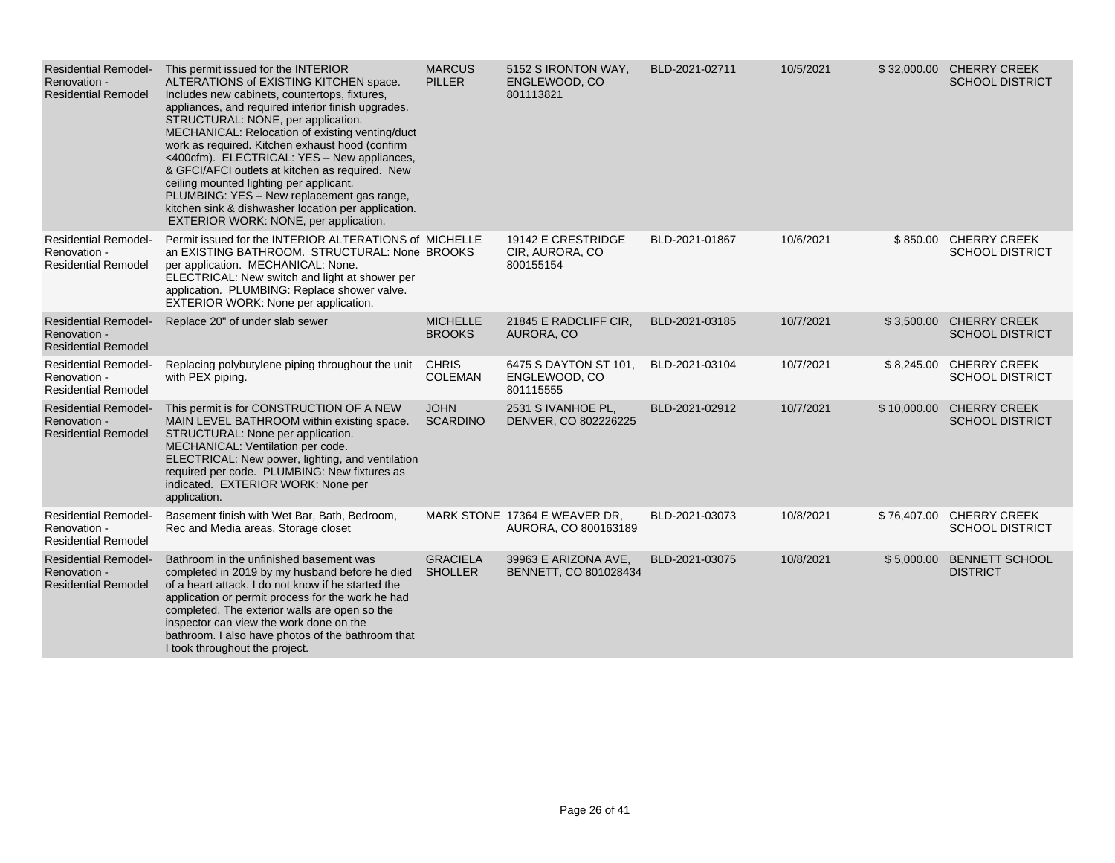| <b>Residential Remodel-</b><br>Renovation -<br><b>Residential Remodel</b> | This permit issued for the INTERIOR<br>ALTERATIONS of EXISTING KITCHEN space.<br>Includes new cabinets, countertops, fixtures,<br>appliances, and required interior finish upgrades.<br>STRUCTURAL: NONE, per application.<br>MECHANICAL: Relocation of existing venting/duct<br>work as required. Kitchen exhaust hood (confirm<br><400cfm). ELECTRICAL: YES - New appliances,<br>& GFCI/AFCI outlets at kitchen as required. New<br>ceiling mounted lighting per applicant.<br>PLUMBING: YES - New replacement gas range,<br>kitchen sink & dishwasher location per application.<br>EXTERIOR WORK: NONE, per application. | <b>MARCUS</b><br><b>PILLER</b>    | 5152 S IRONTON WAY,<br>ENGLEWOOD, CO<br>801113821     | BLD-2021-02711 | 10/5/2021 |             | \$32,000.00 CHERRY CREEK<br><b>SCHOOL DISTRICT</b> |
|---------------------------------------------------------------------------|-----------------------------------------------------------------------------------------------------------------------------------------------------------------------------------------------------------------------------------------------------------------------------------------------------------------------------------------------------------------------------------------------------------------------------------------------------------------------------------------------------------------------------------------------------------------------------------------------------------------------------|-----------------------------------|-------------------------------------------------------|----------------|-----------|-------------|----------------------------------------------------|
| <b>Residential Remodel-</b><br>Renovation -<br><b>Residential Remodel</b> | Permit issued for the INTERIOR ALTERATIONS of MICHELLE<br>an EXISTING BATHROOM. STRUCTURAL: None BROOKS<br>per application. MECHANICAL: None.<br>ELECTRICAL: New switch and light at shower per<br>application. PLUMBING: Replace shower valve.<br><b>EXTERIOR WORK: None per application.</b>                                                                                                                                                                                                                                                                                                                              |                                   | 19142 E CRESTRIDGE<br>CIR, AURORA, CO<br>800155154    | BLD-2021-01867 | 10/6/2021 | \$850.00    | <b>CHERRY CREEK</b><br><b>SCHOOL DISTRICT</b>      |
| <b>Residential Remodel-</b><br>Renovation -<br><b>Residential Remodel</b> | Replace 20" of under slab sewer                                                                                                                                                                                                                                                                                                                                                                                                                                                                                                                                                                                             | <b>MICHELLE</b><br><b>BROOKS</b>  | 21845 E RADCLIFF CIR,<br>AURORA, CO                   | BLD-2021-03185 | 10/7/2021 | \$3,500.00  | <b>CHERRY CREEK</b><br><b>SCHOOL DISTRICT</b>      |
| <b>Residential Remodel-</b><br>Renovation -<br><b>Residential Remodel</b> | Replacing polybutylene piping throughout the unit<br>with PEX piping.                                                                                                                                                                                                                                                                                                                                                                                                                                                                                                                                                       | <b>CHRIS</b><br><b>COLEMAN</b>    | 6475 S DAYTON ST 101,<br>ENGLEWOOD, CO<br>801115555   | BLD-2021-03104 | 10/7/2021 | \$8,245.00  | <b>CHERRY CREEK</b><br><b>SCHOOL DISTRICT</b>      |
| <b>Residential Remodel-</b><br>Renovation -<br><b>Residential Remodel</b> | This permit is for CONSTRUCTION OF A NEW<br>MAIN LEVEL BATHROOM within existing space.<br>STRUCTURAL: None per application.<br>MECHANICAL: Ventilation per code.<br>ELECTRICAL: New power, lighting, and ventilation<br>required per code. PLUMBING: New fixtures as<br>indicated. EXTERIOR WORK: None per<br>application.                                                                                                                                                                                                                                                                                                  | <b>JOHN</b><br><b>SCARDINO</b>    | 2531 S IVANHOE PL.<br>DENVER, CO 802226225            | BLD-2021-02912 | 10/7/2021 | \$10,000.00 | <b>CHERRY CREEK</b><br><b>SCHOOL DISTRICT</b>      |
| <b>Residential Remodel-</b><br>Renovation -<br><b>Residential Remodel</b> | Basement finish with Wet Bar, Bath, Bedroom,<br>Rec and Media areas, Storage closet                                                                                                                                                                                                                                                                                                                                                                                                                                                                                                                                         |                                   | MARK STONE 17364 E WEAVER DR.<br>AURORA, CO 800163189 | BLD-2021-03073 | 10/8/2021 | \$76,407.00 | <b>CHERRY CREEK</b><br><b>SCHOOL DISTRICT</b>      |
| <b>Residential Remodel-</b><br>Renovation -<br><b>Residential Remodel</b> | Bathroom in the unfinished basement was<br>completed in 2019 by my husband before he died<br>of a heart attack. I do not know if he started the<br>application or permit process for the work he had<br>completed. The exterior walls are open so the<br>inspector can view the work done on the<br>bathroom. I also have photos of the bathroom that<br>I took throughout the project.                                                                                                                                                                                                                                     | <b>GRACIELA</b><br><b>SHOLLER</b> | 39963 E ARIZONA AVE,<br>BENNETT, CO 801028434         | BLD-2021-03075 | 10/8/2021 | \$5,000.00  | <b>BENNETT SCHOOL</b><br><b>DISTRICT</b>           |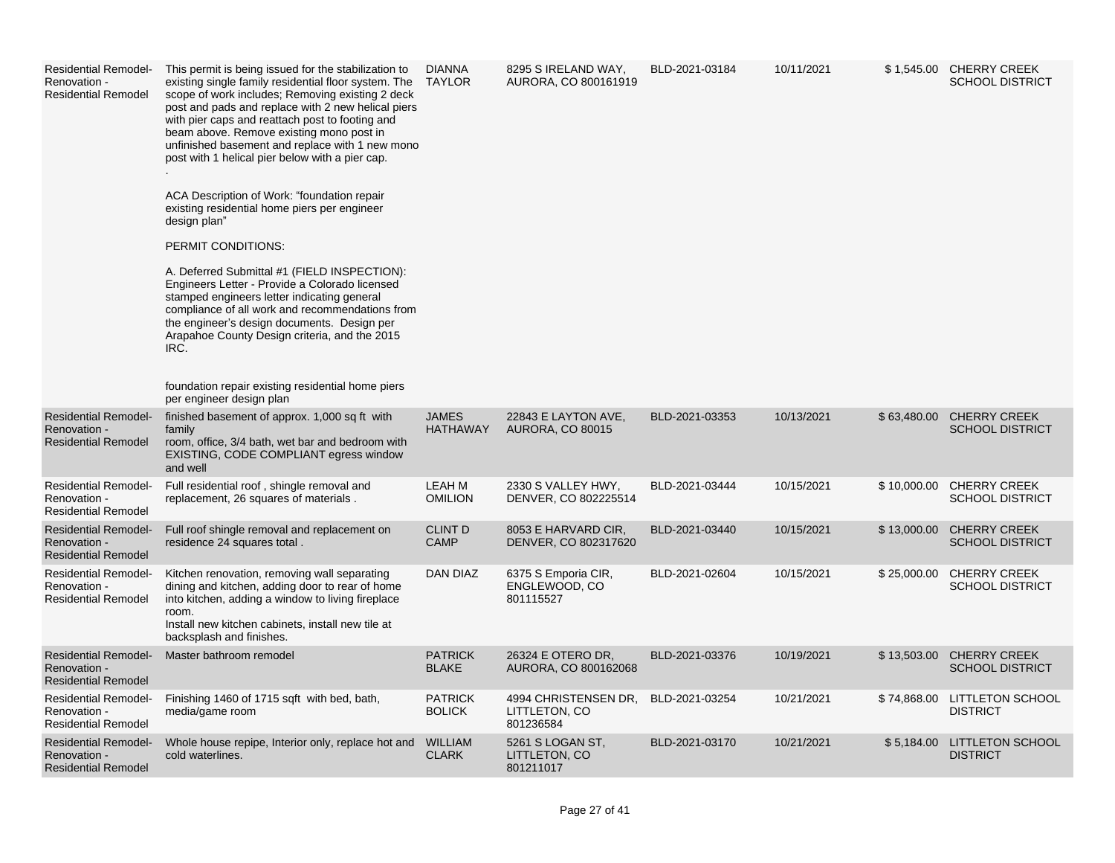| <b>Residential Remodel-</b><br>Renovation -<br><b>Residential Remodel</b> | This permit is being issued for the stabilization to<br>existing single family residential floor system. The<br>scope of work includes; Removing existing 2 deck<br>post and pads and replace with 2 new helical piers<br>with pier caps and reattach post to footing and<br>beam above. Remove existing mono post in<br>unfinished basement and replace with 1 new mono<br>post with 1 helical pier below with a pier cap.<br>ACA Description of Work: "foundation repair<br>existing residential home piers per engineer<br>design plan"<br>PERMIT CONDITIONS:<br>A. Deferred Submittal #1 (FIELD INSPECTION):<br>Engineers Letter - Provide a Colorado licensed<br>stamped engineers letter indicating general<br>compliance of all work and recommendations from<br>the engineer's design documents. Design per<br>Arapahoe County Design criteria, and the 2015<br>IRC.<br>foundation repair existing residential home piers<br>per engineer design plan | <b>DIANNA</b><br>TAYLOR         | 8295 S IRELAND WAY,<br>AURORA, CO 800161919        | BLD-2021-03184 | 10/11/2021 |             | \$1,545.00 CHERRY CREEK<br><b>SCHOOL DISTRICT</b> |
|---------------------------------------------------------------------------|---------------------------------------------------------------------------------------------------------------------------------------------------------------------------------------------------------------------------------------------------------------------------------------------------------------------------------------------------------------------------------------------------------------------------------------------------------------------------------------------------------------------------------------------------------------------------------------------------------------------------------------------------------------------------------------------------------------------------------------------------------------------------------------------------------------------------------------------------------------------------------------------------------------------------------------------------------------|---------------------------------|----------------------------------------------------|----------------|------------|-------------|---------------------------------------------------|
| <b>Residential Remodel-</b><br>Renovation -<br><b>Residential Remodel</b> | finished basement of approx. 1,000 sq ft with<br>family<br>room, office, 3/4 bath, wet bar and bedroom with<br>EXISTING, CODE COMPLIANT egress window<br>and well                                                                                                                                                                                                                                                                                                                                                                                                                                                                                                                                                                                                                                                                                                                                                                                             | <b>JAMES</b><br><b>HATHAWAY</b> | 22843 E LAYTON AVE,<br><b>AURORA, CO 80015</b>     | BLD-2021-03353 | 10/13/2021 | \$63,480.00 | <b>CHERRY CREEK</b><br><b>SCHOOL DISTRICT</b>     |
| <b>Residential Remodel-</b><br>Renovation -<br><b>Residential Remodel</b> | Full residential roof, shingle removal and<br>replacement, 26 squares of materials.                                                                                                                                                                                                                                                                                                                                                                                                                                                                                                                                                                                                                                                                                                                                                                                                                                                                           | LEAH M<br><b>OMILION</b>        | 2330 S VALLEY HWY,<br>DENVER, CO 802225514         | BLD-2021-03444 | 10/15/2021 | \$10,000.00 | <b>CHERRY CREEK</b><br><b>SCHOOL DISTRICT</b>     |
| <b>Residential Remodel-</b><br>Renovation -<br><b>Residential Remodel</b> | Full roof shingle removal and replacement on<br>residence 24 squares total.                                                                                                                                                                                                                                                                                                                                                                                                                                                                                                                                                                                                                                                                                                                                                                                                                                                                                   | <b>CLINT D</b><br><b>CAMP</b>   | 8053 E HARVARD CIR,<br>DENVER, CO 802317620        | BLD-2021-03440 | 10/15/2021 | \$13,000.00 | <b>CHERRY CREEK</b><br><b>SCHOOL DISTRICT</b>     |
| <b>Residential Remodel-</b><br>Renovation -<br><b>Residential Remodel</b> | Kitchen renovation, removing wall separating<br>dining and kitchen, adding door to rear of home<br>into kitchen, adding a window to living fireplace<br>room.<br>Install new kitchen cabinets, install new tile at<br>backsplash and finishes.                                                                                                                                                                                                                                                                                                                                                                                                                                                                                                                                                                                                                                                                                                                | DAN DIAZ                        | 6375 S Emporia CIR,<br>ENGLEWOOD, CO<br>801115527  | BLD-2021-02604 | 10/15/2021 | \$25,000.00 | <b>CHERRY CREEK</b><br><b>SCHOOL DISTRICT</b>     |
| <b>Residential Remodel-</b><br>Renovation -<br><b>Residential Remodel</b> | Master bathroom remodel                                                                                                                                                                                                                                                                                                                                                                                                                                                                                                                                                                                                                                                                                                                                                                                                                                                                                                                                       | <b>PATRICK</b><br><b>BLAKE</b>  | 26324 E OTERO DR,<br>AURORA, CO 800162068          | BLD-2021-03376 | 10/19/2021 | \$13,503.00 | <b>CHERRY CREEK</b><br><b>SCHOOL DISTRICT</b>     |
| <b>Residential Remodel-</b><br>Renovation -<br><b>Residential Remodel</b> | Finishing 1460 of 1715 sqft with bed, bath,<br>media/game room                                                                                                                                                                                                                                                                                                                                                                                                                                                                                                                                                                                                                                                                                                                                                                                                                                                                                                | <b>PATRICK</b><br><b>BOLICK</b> | 4994 CHRISTENSEN DR.<br>LITTLETON, CO<br>801236584 | BLD-2021-03254 | 10/21/2021 | \$74,868.00 | <b>LITTLETON SCHOOL</b><br><b>DISTRICT</b>        |
| <b>Residential Remodel-</b><br>Renovation -<br><b>Residential Remodel</b> | Whole house repipe, Interior only, replace hot and<br>cold waterlines.                                                                                                                                                                                                                                                                                                                                                                                                                                                                                                                                                                                                                                                                                                                                                                                                                                                                                        | <b>WILLIAM</b><br><b>CLARK</b>  | 5261 S LOGAN ST,<br>LITTLETON, CO<br>801211017     | BLD-2021-03170 | 10/21/2021 | \$5,184.00  | <b>LITTLETON SCHOOL</b><br><b>DISTRICT</b>        |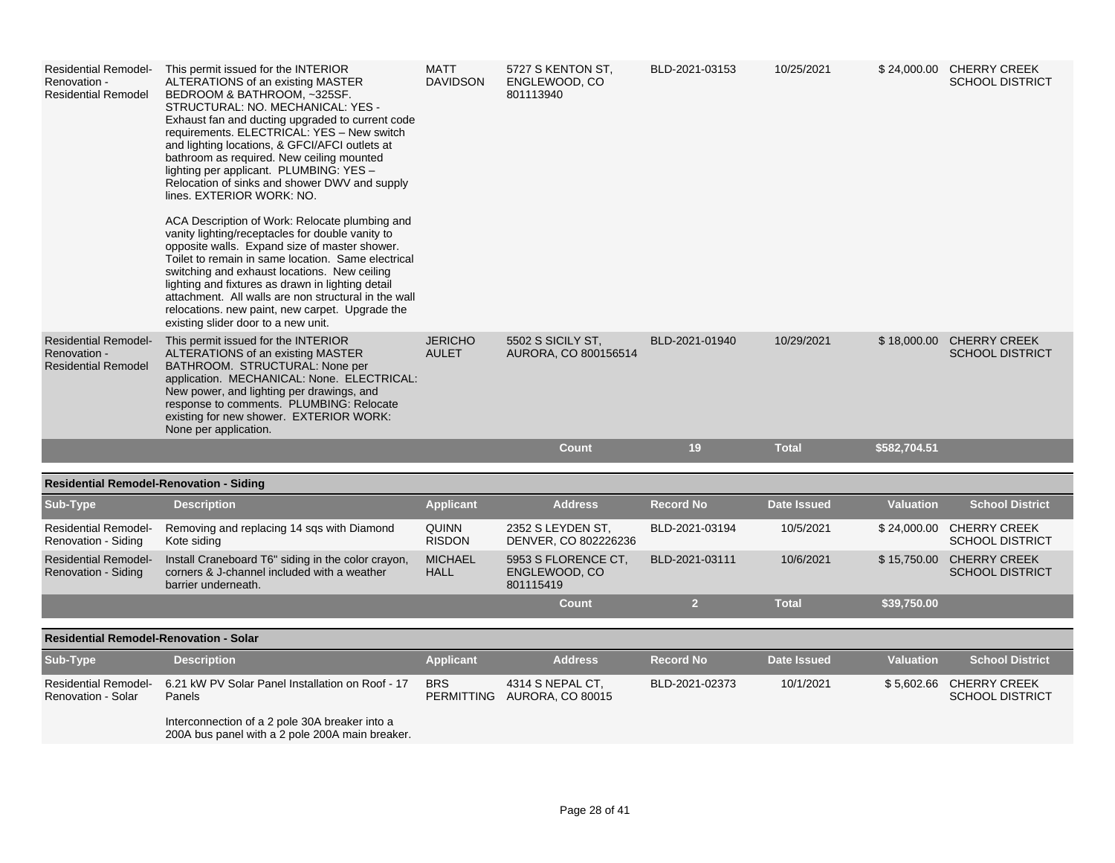| <b>Residential Remodel-</b><br>Renovation -<br><b>Residential Remodel</b> | This permit issued for the INTERIOR<br>ALTERATIONS of an existing MASTER<br>BEDROOM & BATHROOM, ~325SF.<br>STRUCTURAL: NO. MECHANICAL: YES -<br>Exhaust fan and ducting upgraded to current code<br>requirements. ELECTRICAL: YES - New switch<br>and lighting locations, & GFCI/AFCI outlets at<br>bathroom as required. New ceiling mounted<br>lighting per applicant. PLUMBING: YES -<br>Relocation of sinks and shower DWV and supply<br>lines. EXTERIOR WORK: NO.<br>ACA Description of Work: Relocate plumbing and<br>vanity lighting/receptacles for double vanity to<br>opposite walls. Expand size of master shower.<br>Toilet to remain in same location. Same electrical<br>switching and exhaust locations. New ceiling<br>lighting and fixtures as drawn in lighting detail<br>attachment. All walls are non structural in the wall<br>relocations, new paint, new carpet. Upgrade the<br>existing slider door to a new unit. | <b>MATT</b><br><b>DAVIDSON</b> | 5727 S KENTON ST,<br>ENGLEWOOD, CO<br>801113940   | BLD-2021-03153   | 10/25/2021         |                  | \$24,000.00 CHERRY CREEK<br><b>SCHOOL DISTRICT</b> |
|---------------------------------------------------------------------------|--------------------------------------------------------------------------------------------------------------------------------------------------------------------------------------------------------------------------------------------------------------------------------------------------------------------------------------------------------------------------------------------------------------------------------------------------------------------------------------------------------------------------------------------------------------------------------------------------------------------------------------------------------------------------------------------------------------------------------------------------------------------------------------------------------------------------------------------------------------------------------------------------------------------------------------------|--------------------------------|---------------------------------------------------|------------------|--------------------|------------------|----------------------------------------------------|
| <b>Residential Remodel-</b><br>Renovation -<br><b>Residential Remodel</b> | This permit issued for the INTERIOR<br>ALTERATIONS of an existing MASTER<br>BATHROOM. STRUCTURAL: None per<br>application. MECHANICAL: None. ELECTRICAL:<br>New power, and lighting per drawings, and<br>response to comments. PLUMBING: Relocate<br>existing for new shower. EXTERIOR WORK:<br>None per application.                                                                                                                                                                                                                                                                                                                                                                                                                                                                                                                                                                                                                      | <b>JERICHO</b><br><b>AULET</b> | 5502 S SICILY ST.<br>AURORA, CO 800156514         | BLD-2021-01940   | 10/29/2021         |                  | \$18,000.00 CHERRY CREEK<br><b>SCHOOL DISTRICT</b> |
|                                                                           |                                                                                                                                                                                                                                                                                                                                                                                                                                                                                                                                                                                                                                                                                                                                                                                                                                                                                                                                            |                                | <b>Count</b>                                      | 19               | <b>Total</b>       | \$582,704.51     |                                                    |
| <b>Residential Remodel-Renovation - Siding</b>                            |                                                                                                                                                                                                                                                                                                                                                                                                                                                                                                                                                                                                                                                                                                                                                                                                                                                                                                                                            |                                |                                                   |                  |                    |                  |                                                    |
| Sub-Type                                                                  | <b>Description</b>                                                                                                                                                                                                                                                                                                                                                                                                                                                                                                                                                                                                                                                                                                                                                                                                                                                                                                                         | <b>Applicant</b>               | <b>Address</b>                                    | <b>Record No</b> | <b>Date Issued</b> | <b>Valuation</b> | <b>School District</b>                             |
| <b>Residential Remodel-</b><br>Renovation - Siding                        | Removing and replacing 14 sqs with Diamond<br>Kote siding                                                                                                                                                                                                                                                                                                                                                                                                                                                                                                                                                                                                                                                                                                                                                                                                                                                                                  | <b>QUINN</b><br><b>RISDON</b>  | 2352 S LEYDEN ST.<br>DENVER, CO 802226236         | BLD-2021-03194   | 10/5/2021          |                  | \$24,000.00 CHERRY CREEK<br><b>SCHOOL DISTRICT</b> |
| <b>Residential Remodel-</b><br>Renovation - Siding                        | Install Craneboard T6" siding in the color crayon,<br>corners & J-channel included with a weather<br>barrier underneath.                                                                                                                                                                                                                                                                                                                                                                                                                                                                                                                                                                                                                                                                                                                                                                                                                   | <b>MICHAEL</b><br><b>HALL</b>  | 5953 S FLORENCE CT.<br>ENGLEWOOD, CO<br>801115419 | BLD-2021-03111   | 10/6/2021          |                  | \$15,750.00 CHERRY CREEK<br><b>SCHOOL DISTRICT</b> |
|                                                                           |                                                                                                                                                                                                                                                                                                                                                                                                                                                                                                                                                                                                                                                                                                                                                                                                                                                                                                                                            |                                | <b>Count</b>                                      | $\overline{2}$   | <b>Total</b>       | \$39,750.00      |                                                    |
| <b>Residential Remodel-Renovation - Solar</b>                             |                                                                                                                                                                                                                                                                                                                                                                                                                                                                                                                                                                                                                                                                                                                                                                                                                                                                                                                                            |                                |                                                   |                  |                    |                  |                                                    |
| Sub-Type                                                                  | <b>Description</b>                                                                                                                                                                                                                                                                                                                                                                                                                                                                                                                                                                                                                                                                                                                                                                                                                                                                                                                         | <b>Applicant</b>               | <b>Address</b>                                    | <b>Record No</b> | <b>Date Issued</b> | <b>Valuation</b> | <b>School District</b>                             |
| <b>Residential Remodel-</b><br>Renovation - Solar                         | 6.21 kW PV Solar Panel Installation on Roof - 17<br>Panels                                                                                                                                                                                                                                                                                                                                                                                                                                                                                                                                                                                                                                                                                                                                                                                                                                                                                 | <b>BRS</b>                     | 4314 S NEPAL CT.<br>PERMITTING AURORA, CO 80015   | BLD-2021-02373   | 10/1/2021          |                  | \$5,602.66 CHERRY CREEK<br><b>SCHOOL DISTRICT</b>  |
|                                                                           | Interconnection of a 2 pole 30A breaker into a<br>200A bus panel with a 2 pole 200A main breaker.                                                                                                                                                                                                                                                                                                                                                                                                                                                                                                                                                                                                                                                                                                                                                                                                                                          |                                |                                                   |                  |                    |                  |                                                    |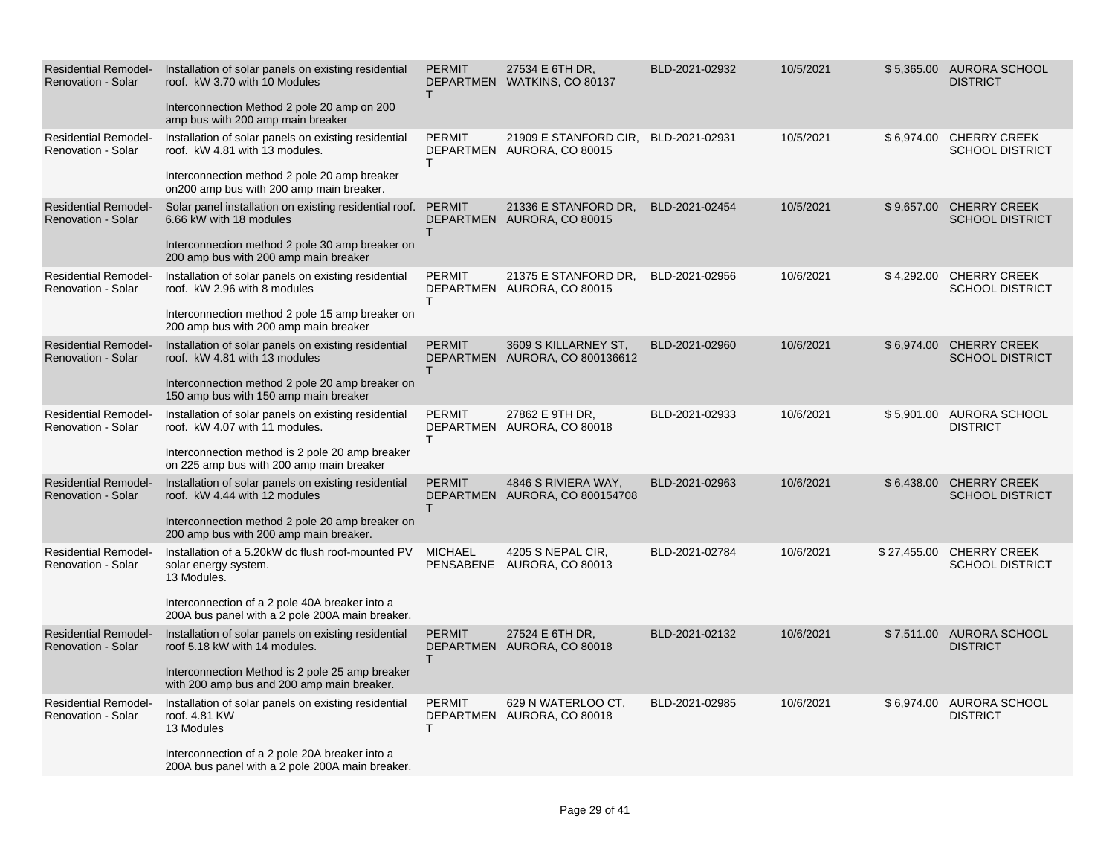| <b>Residential Remodel-</b><br><b>Renovation - Solar</b> | Installation of solar panels on existing residential<br>roof. kW 3.70 with 10 Modules<br>Interconnection Method 2 pole 20 amp on 200<br>amp bus with 200 amp main breaker                     | <b>PERMIT</b><br>T. | 27534 E 6TH DR,<br>DEPARTMEN WATKINS, CO 80137         | BLD-2021-02932 | 10/5/2021 |             | \$5,365.00 AURORA SCHOOL<br><b>DISTRICT</b>   |
|----------------------------------------------------------|-----------------------------------------------------------------------------------------------------------------------------------------------------------------------------------------------|---------------------|--------------------------------------------------------|----------------|-----------|-------------|-----------------------------------------------|
| <b>Residential Remodel-</b><br>Renovation - Solar        | Installation of solar panels on existing residential<br>roof. kW 4.81 with 13 modules.<br>Interconnection method 2 pole 20 amp breaker<br>on200 amp bus with 200 amp main breaker.            | <b>PERMIT</b><br>T. | 21909 E STANFORD CIR,<br>DEPARTMEN AURORA, CO 80015    | BLD-2021-02931 | 10/5/2021 | \$6,974.00  | <b>CHERRY CREEK</b><br><b>SCHOOL DISTRICT</b> |
| <b>Residential Remodel-</b><br><b>Renovation - Solar</b> | Solar panel installation on existing residential roof.<br>6.66 kW with 18 modules<br>Interconnection method 2 pole 30 amp breaker on<br>200 amp bus with 200 amp main breaker                 | <b>PERMIT</b><br>T. | 21336 E STANFORD DR.<br>DEPARTMEN AURORA, CO 80015     | BLD-2021-02454 | 10/5/2021 | \$9,657.00  | <b>CHERRY CREEK</b><br><b>SCHOOL DISTRICT</b> |
| <b>Residential Remodel-</b><br><b>Renovation - Solar</b> | Installation of solar panels on existing residential<br>roof. kW 2.96 with 8 modules<br>Interconnection method 2 pole 15 amp breaker on<br>200 amp bus with 200 amp main breaker              | <b>PERMIT</b><br>T. | 21375 E STANFORD DR.<br>DEPARTMEN AURORA, CO 80015     | BLD-2021-02956 | 10/6/2021 | \$4,292.00  | <b>CHERRY CREEK</b><br><b>SCHOOL DISTRICT</b> |
| <b>Residential Remodel-</b><br><b>Renovation - Solar</b> | Installation of solar panels on existing residential<br>roof. kW 4.81 with 13 modules<br>Interconnection method 2 pole 20 amp breaker on<br>150 amp bus with 150 amp main breaker             | <b>PERMIT</b><br>T. | 3609 S KILLARNEY ST.<br>DEPARTMEN AURORA, CO 800136612 | BLD-2021-02960 | 10/6/2021 | \$6,974.00  | <b>CHERRY CREEK</b><br><b>SCHOOL DISTRICT</b> |
| <b>Residential Remodel-</b><br><b>Renovation - Solar</b> | Installation of solar panels on existing residential<br>roof. kW 4.07 with 11 modules.<br>Interconnection method is 2 pole 20 amp breaker<br>on 225 amp bus with 200 amp main breaker         | <b>PERMIT</b><br>T. | 27862 E 9TH DR,<br>DEPARTMEN AURORA, CO 80018          | BLD-2021-02933 | 10/6/2021 |             | \$5,901.00 AURORA SCHOOL<br><b>DISTRICT</b>   |
| <b>Residential Remodel-</b><br>Renovation - Solar        | Installation of solar panels on existing residential<br>roof. kW 4.44 with 12 modules<br>Interconnection method 2 pole 20 amp breaker on<br>200 amp bus with 200 amp main breaker.            | <b>PERMIT</b><br>T. | 4846 S RIVIERA WAY,<br>DEPARTMEN AURORA, CO 800154708  | BLD-2021-02963 | 10/6/2021 | \$6,438.00  | <b>CHERRY CREEK</b><br><b>SCHOOL DISTRICT</b> |
| <b>Residential Remodel-</b><br>Renovation - Solar        | Installation of a 5.20kW dc flush roof-mounted PV<br>solar energy system.<br>13 Modules.<br>Interconnection of a 2 pole 40A breaker into a<br>200A bus panel with a 2 pole 200A main breaker. | <b>MICHAEL</b>      | 4205 S NEPAL CIR,<br>PENSABENE AURORA, CO 80013        | BLD-2021-02784 | 10/6/2021 | \$27,455.00 | <b>CHERRY CREEK</b><br><b>SCHOOL DISTRICT</b> |
| <b>Residential Remodel-</b><br><b>Renovation - Solar</b> | Installation of solar panels on existing residential<br>roof 5.18 kW with 14 modules.<br>Interconnection Method is 2 pole 25 amp breaker<br>with 200 amp bus and 200 amp main breaker.        | <b>PERMIT</b><br>T. | 27524 E 6TH DR.<br>DEPARTMEN AURORA, CO 80018          | BLD-2021-02132 | 10/6/2021 |             | \$7,511.00 AURORA SCHOOL<br><b>DISTRICT</b>   |
| Residential Remodel<br><b>Renovation - Solar</b>         | Installation of solar panels on existing residential<br>roof. 4.81 KW<br>13 Modules<br>Interconnection of a 2 pole 20A breaker into a<br>200A bus panel with a 2 pole 200A main breaker.      | <b>PERMIT</b><br>T. | 629 N WATERLOO CT,<br>DEPARTMEN AURORA, CO 80018       | BLD-2021-02985 | 10/6/2021 |             | \$6,974.00 AURORA SCHOOL<br><b>DISTRICT</b>   |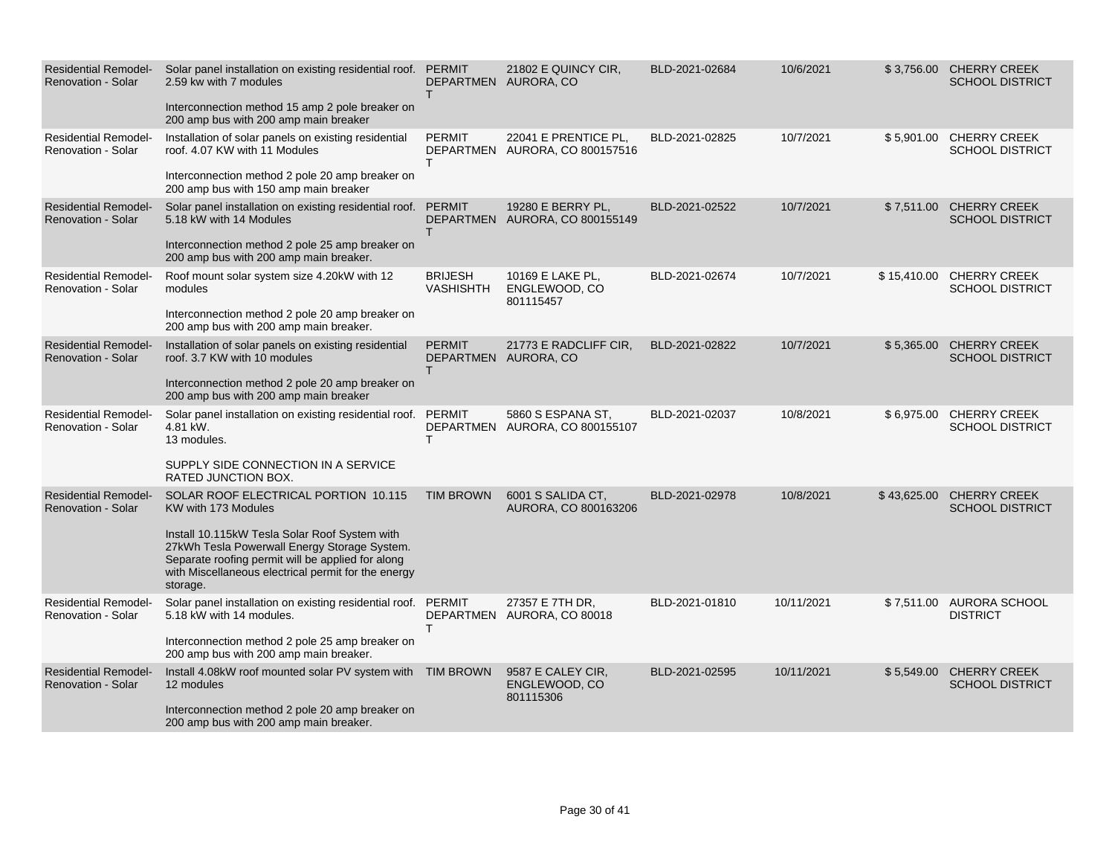| <b>Residential Remodel-</b><br><b>Renovation - Solar</b> | Solar panel installation on existing residential roof. PERMIT<br>2.59 kw with 7 modules<br>Interconnection method 15 amp 2 pole breaker on<br>200 amp bus with 200 amp main breaker                                                                                                  | T.                                 | 21802 E QUINCY CIR.<br>DEPARTMEN AURORA, CO            | BLD-2021-02684 | 10/6/2021  |             | \$3,756.00 CHERRY CREEK<br><b>SCHOOL DISTRICT</b> |
|----------------------------------------------------------|--------------------------------------------------------------------------------------------------------------------------------------------------------------------------------------------------------------------------------------------------------------------------------------|------------------------------------|--------------------------------------------------------|----------------|------------|-------------|---------------------------------------------------|
| <b>Residential Remodel-</b><br><b>Renovation - Solar</b> | Installation of solar panels on existing residential<br>roof. 4.07 KW with 11 Modules<br>Interconnection method 2 pole 20 amp breaker on<br>200 amp bus with 150 amp main breaker                                                                                                    | <b>PERMIT</b><br>T.                | 22041 E PRENTICE PL,<br>DEPARTMEN AURORA, CO 800157516 | BLD-2021-02825 | 10/7/2021  | \$5,901.00  | <b>CHERRY CREEK</b><br><b>SCHOOL DISTRICT</b>     |
| <b>Residential Remodel-</b><br><b>Renovation - Solar</b> | Solar panel installation on existing residential roof. PERMIT<br>5.18 kW with 14 Modules<br>Interconnection method 2 pole 25 amp breaker on<br>200 amp bus with 200 amp main breaker.                                                                                                | T.                                 | 19280 E BERRY PL.<br>DEPARTMEN AURORA, CO 800155149    | BLD-2021-02522 | 10/7/2021  | \$7,511.00  | <b>CHERRY CREEK</b><br><b>SCHOOL DISTRICT</b>     |
| <b>Residential Remodel-</b><br><b>Renovation - Solar</b> | Roof mount solar system size 4.20kW with 12<br>modules<br>Interconnection method 2 pole 20 amp breaker on<br>200 amp bus with 200 amp main breaker.                                                                                                                                  | <b>BRIJESH</b><br><b>VASHISHTH</b> | 10169 E LAKE PL,<br>ENGLEWOOD, CO<br>801115457         | BLD-2021-02674 | 10/7/2021  | \$15,410.00 | <b>CHERRY CREEK</b><br><b>SCHOOL DISTRICT</b>     |
| <b>Residential Remodel-</b><br><b>Renovation - Solar</b> | Installation of solar panels on existing residential<br>roof, 3.7 KW with 10 modules<br>Interconnection method 2 pole 20 amp breaker on<br>200 amp bus with 200 amp main breaker                                                                                                     | <b>PERMIT</b><br>T.                | 21773 E RADCLIFF CIR,<br>DEPARTMEN AURORA, CO          | BLD-2021-02822 | 10/7/2021  | \$5,365.00  | <b>CHERRY CREEK</b><br><b>SCHOOL DISTRICT</b>     |
| <b>Residential Remodel-</b><br><b>Renovation - Solar</b> | Solar panel installation on existing residential roof. PERMIT<br>4.81 kW.<br>13 modules.<br>SUPPLY SIDE CONNECTION IN A SERVICE<br><b>RATED JUNCTION BOX.</b>                                                                                                                        | T.                                 | 5860 S ESPANA ST.<br>DEPARTMEN AURORA, CO 800155107    | BLD-2021-02037 | 10/8/2021  |             | \$6,975.00 CHERRY CREEK<br><b>SCHOOL DISTRICT</b> |
| <b>Residential Remodel-</b><br><b>Renovation - Solar</b> | SOLAR ROOF ELECTRICAL PORTION 10.115<br>KW with 173 Modules<br>Install 10.115kW Tesla Solar Roof System with<br>27kWh Tesla Powerwall Energy Storage System.<br>Separate roofing permit will be applied for along<br>with Miscellaneous electrical permit for the energy<br>storage. | <b>TIM BROWN</b>                   | 6001 S SALIDA CT.<br>AURORA, CO 800163206              | BLD-2021-02978 | 10/8/2021  | \$43,625.00 | <b>CHERRY CREEK</b><br><b>SCHOOL DISTRICT</b>     |
| <b>Residential Remodel-</b><br>Renovation - Solar        | Solar panel installation on existing residential roof. PERMIT<br>5.18 kW with 14 modules.<br>Interconnection method 2 pole 25 amp breaker on<br>200 amp bus with 200 amp main breaker.                                                                                               | T                                  | 27357 E 7TH DR,<br>DEPARTMEN AURORA, CO 80018          | BLD-2021-01810 | 10/11/2021 |             | \$7,511.00 AURORA SCHOOL<br><b>DISTRICT</b>       |
| <b>Residential Remodel-</b><br><b>Renovation - Solar</b> | Install 4.08kW roof mounted solar PV system with TIM BROWN<br>12 modules<br>Interconnection method 2 pole 20 amp breaker on<br>200 amp bus with 200 amp main breaker.                                                                                                                |                                    | 9587 E CALEY CIR,<br>ENGLEWOOD, CO<br>801115306        | BLD-2021-02595 | 10/11/2021 | \$5,549.00  | <b>CHERRY CREEK</b><br><b>SCHOOL DISTRICT</b>     |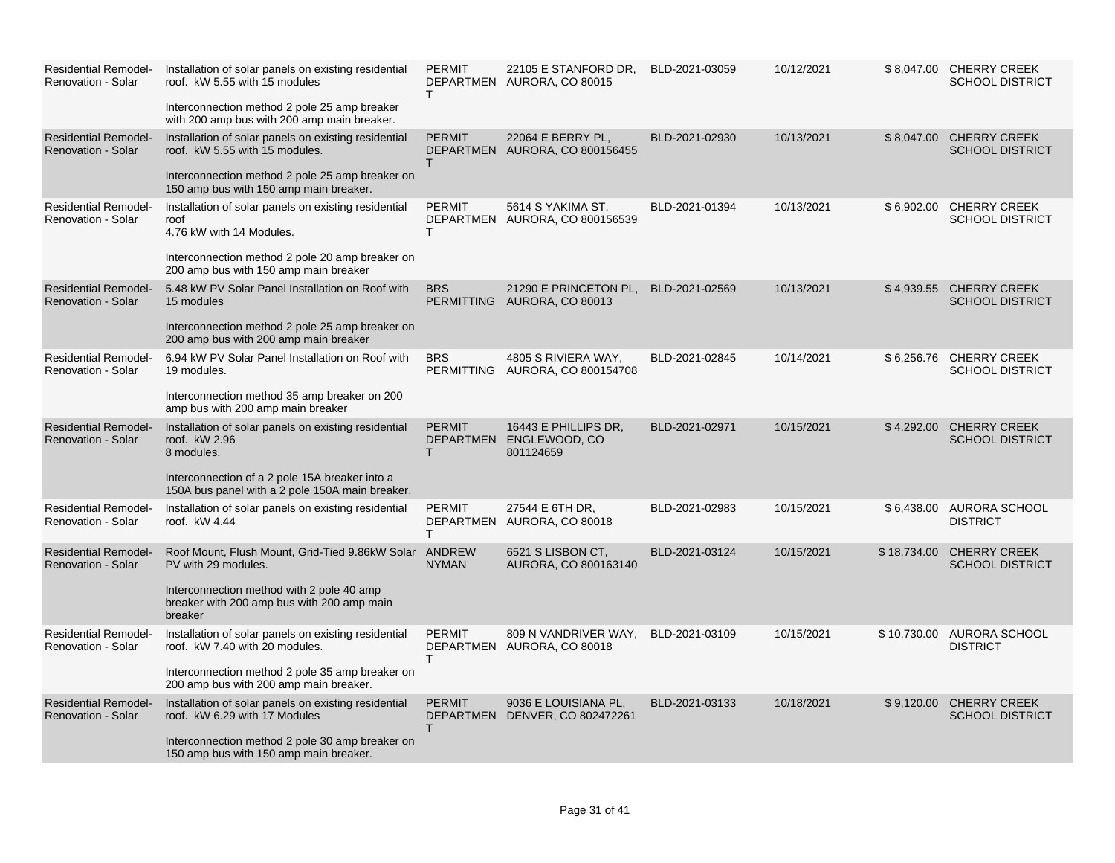| <b>Residential Remodel-</b><br><b>Renovation - Solar</b> | Installation of solar panels on existing residential<br>roof. kW 5.55 with 15 modules<br>Interconnection method 2 pole 25 amp breaker<br>with 200 amp bus with 200 amp main breaker.     | <b>PERMIT</b><br>T. | 22105 E STANFORD DR,<br>DEPARTMEN AURORA, CO 80015           | BLD-2021-03059 | 10/12/2021 |             | \$8,047.00 CHERRY CREEK<br><b>SCHOOL DISTRICT</b> |
|----------------------------------------------------------|------------------------------------------------------------------------------------------------------------------------------------------------------------------------------------------|---------------------|--------------------------------------------------------------|----------------|------------|-------------|---------------------------------------------------|
| <b>Residential Remodel-</b><br>Renovation - Solar        | Installation of solar panels on existing residential<br>roof. kW 5.55 with 15 modules.<br>Interconnection method 2 pole 25 amp breaker on<br>150 amp bus with 150 amp main breaker.      | <b>PERMIT</b><br>T. | 22064 E BERRY PL.<br>DEPARTMEN AURORA, CO 800156455          | BLD-2021-02930 | 10/13/2021 |             | \$8,047.00 CHERRY CREEK<br><b>SCHOOL DISTRICT</b> |
| <b>Residential Remodel-</b><br><b>Renovation - Solar</b> | Installation of solar panels on existing residential<br>roof<br>4.76 kW with 14 Modules.<br>Interconnection method 2 pole 20 amp breaker on<br>200 amp bus with 150 amp main breaker     | <b>PERMIT</b><br>T. | 5614 S YAKIMA ST,<br>DEPARTMEN AURORA, CO 800156539          | BLD-2021-01394 | 10/13/2021 |             | \$6,902.00 CHERRY CREEK<br><b>SCHOOL DISTRICT</b> |
| <b>Residential Remodel-</b><br><b>Renovation - Solar</b> | 5.48 kW PV Solar Panel Installation on Roof with<br>15 modules<br>Interconnection method 2 pole 25 amp breaker on<br>200 amp bus with 200 amp main breaker                               | <b>BRS</b>          | 21290 E PRINCETON PL,<br>PERMITTING AURORA, CO 80013         | BLD-2021-02569 | 10/13/2021 |             | \$4,939.55 CHERRY CREEK<br><b>SCHOOL DISTRICT</b> |
| <b>Residential Remodel-</b><br><b>Renovation - Solar</b> | 6.94 kW PV Solar Panel Installation on Roof with<br>19 modules.<br>Interconnection method 35 amp breaker on 200<br>amp bus with 200 amp main breaker                                     | <b>BRS</b>          | 4805 S RIVIERA WAY,<br>PERMITTING AURORA, CO 800154708       | BLD-2021-02845 | 10/14/2021 |             | \$6,256.76 CHERRY CREEK<br><b>SCHOOL DISTRICT</b> |
| <b>Residential Remodel-</b><br><b>Renovation - Solar</b> | Installation of solar panels on existing residential<br>roof. kW 2.96<br>8 modules.<br>Interconnection of a 2 pole 15A breaker into a<br>150A bus panel with a 2 pole 150A main breaker. | <b>PERMIT</b><br>T  | 16443 E PHILLIPS DR.<br>DEPARTMEN ENGLEWOOD, CO<br>801124659 | BLD-2021-02971 | 10/15/2021 |             | \$4,292.00 CHERRY CREEK<br><b>SCHOOL DISTRICT</b> |
| <b>Residential Remodel-</b><br>Renovation - Solar        | Installation of solar panels on existing residential<br>roof. kW 4.44                                                                                                                    | <b>PERMIT</b><br>T  | 27544 E 6TH DR,<br>DEPARTMEN AURORA, CO 80018                | BLD-2021-02983 | 10/15/2021 |             | \$6,438.00 AURORA SCHOOL<br><b>DISTRICT</b>       |
| <b>Residential Remodel-</b><br><b>Renovation - Solar</b> | Roof Mount, Flush Mount, Grid-Tied 9.86kW Solar ANDREW<br>PV with 29 modules.<br>Interconnection method with 2 pole 40 amp<br>breaker with 200 amp bus with 200 amp main<br>breaker      | <b>NYMAN</b>        | 6521 S LISBON CT,<br>AURORA, CO 800163140                    | BLD-2021-03124 | 10/15/2021 | \$18,734.00 | <b>CHERRY CREEK</b><br><b>SCHOOL DISTRICT</b>     |
| <b>Residential Remodel-</b><br><b>Renovation - Solar</b> | Installation of solar panels on existing residential<br>roof. kW 7.40 with 20 modules.<br>Interconnection method 2 pole 35 amp breaker on<br>200 amp bus with 200 amp main breaker.      | <b>PERMIT</b><br>T. | 809 N VANDRIVER WAY,<br>DEPARTMEN AURORA, CO 80018           | BLD-2021-03109 | 10/15/2021 |             | \$10,730.00 AURORA SCHOOL<br><b>DISTRICT</b>      |
| <b>Residential Remodel-</b><br><b>Renovation - Solar</b> | Installation of solar panels on existing residential<br>roof. kW 6.29 with 17 Modules<br>Interconnection method 2 pole 30 amp breaker on<br>150 amp bus with 150 amp main breaker.       | <b>PERMIT</b><br>т  | 9036 E LOUISIANA PL,<br>DEPARTMEN DENVER, CO 802472261       | BLD-2021-03133 | 10/18/2021 |             | \$9,120.00 CHERRY CREEK<br><b>SCHOOL DISTRICT</b> |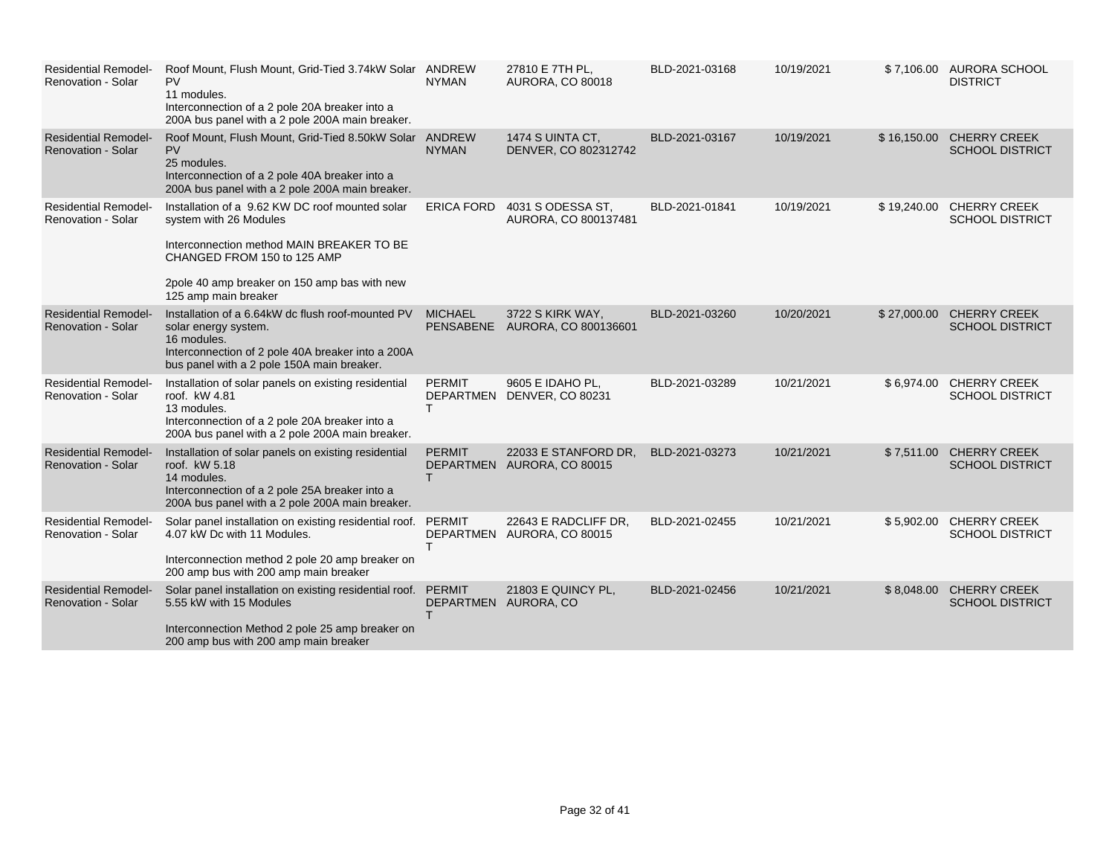| <b>Residential Remodel-</b><br><b>Renovation - Solar</b> | Roof Mount, Flush Mount, Grid-Tied 3.74kW Solar ANDREW<br><b>PV</b><br>11 modules.<br>Interconnection of a 2 pole 20A breaker into a<br>200A bus panel with a 2 pole 200A main breaker.                                       | <b>NYMAN</b>       | 27810 E 7TH PL.<br><b>AURORA, CO 80018</b>         | BLD-2021-03168 | 10/19/2021 |             | \$7.106.00 AURORA SCHOOL<br><b>DISTRICT</b>        |
|----------------------------------------------------------|-------------------------------------------------------------------------------------------------------------------------------------------------------------------------------------------------------------------------------|--------------------|----------------------------------------------------|----------------|------------|-------------|----------------------------------------------------|
| <b>Residential Remodel-</b><br><b>Renovation - Solar</b> | Roof Mount, Flush Mount, Grid-Tied 8.50kW Solar ANDREW<br><b>PV</b><br>25 modules.<br>Interconnection of a 2 pole 40A breaker into a<br>200A bus panel with a 2 pole 200A main breaker.                                       | <b>NYMAN</b>       | 1474 S UINTA CT,<br>DENVER, CO 802312742           | BLD-2021-03167 | 10/19/2021 |             | \$16,150.00 CHERRY CREEK<br><b>SCHOOL DISTRICT</b> |
| <b>Residential Remodel-</b><br><b>Renovation - Solar</b> | Installation of a 9.62 KW DC roof mounted solar<br>system with 26 Modules<br>Interconnection method MAIN BREAKER TO BE<br>CHANGED FROM 150 to 125 AMP<br>2pole 40 amp breaker on 150 amp bas with new<br>125 amp main breaker | <b>ERICA FORD</b>  | 4031 S ODESSA ST,<br>AURORA, CO 800137481          | BLD-2021-01841 | 10/19/2021 | \$19,240.00 | <b>CHERRY CREEK</b><br><b>SCHOOL DISTRICT</b>      |
| <b>Residential Remodel-</b><br><b>Renovation - Solar</b> | Installation of a 6.64kW dc flush roof-mounted PV<br>solar energy system.<br>16 modules.<br>Interconnection of 2 pole 40A breaker into a 200A<br>bus panel with a 2 pole 150A main breaker.                                   | <b>MICHAEL</b>     | 3722 S KIRK WAY,<br>PENSABENE AURORA, CO 800136601 | BLD-2021-03260 | 10/20/2021 |             | \$27,000.00 CHERRY CREEK<br><b>SCHOOL DISTRICT</b> |
| <b>Residential Remodel-</b><br>Renovation - Solar        | Installation of solar panels on existing residential<br>roof. kW 4.81<br>13 modules.<br>Interconnection of a 2 pole 20A breaker into a<br>200A bus panel with a 2 pole 200A main breaker.                                     | <b>PERMIT</b><br>т | 9605 E IDAHO PL,<br>DEPARTMEN DENVER, CO 80231     | BLD-2021-03289 | 10/21/2021 |             | \$6,974.00 CHERRY CREEK<br><b>SCHOOL DISTRICT</b>  |
| <b>Residential Remodel-</b><br>Renovation - Solar        | Installation of solar panels on existing residential<br>roof. kW 5.18<br>14 modules.<br>Interconnection of a 2 pole 25A breaker into a<br>200A bus panel with a 2 pole 200A main breaker.                                     | <b>PERMIT</b>      | 22033 E STANFORD DR,<br>DEPARTMEN AURORA, CO 80015 | BLD-2021-03273 | 10/21/2021 | \$7.511.00  | <b>CHERRY CREEK</b><br><b>SCHOOL DISTRICT</b>      |
| <b>Residential Remodel-</b><br>Renovation - Solar        | Solar panel installation on existing residential roof. PERMIT<br>4.07 kW Dc with 11 Modules.<br>Interconnection method 2 pole 20 amp breaker on<br>200 amp bus with 200 amp main breaker                                      | т                  | 22643 E RADCLIFF DR,<br>DEPARTMEN AURORA, CO 80015 | BLD-2021-02455 | 10/21/2021 | \$5,902.00  | <b>CHERRY CREEK</b><br><b>SCHOOL DISTRICT</b>      |
| <b>Residential Remodel-</b><br>Renovation - Solar        | Solar panel installation on existing residential roof. PERMIT<br>5.55 kW with 15 Modules<br>Interconnection Method 2 pole 25 amp breaker on<br>200 amp bus with 200 amp main breaker                                          |                    | 21803 E QUINCY PL,<br>DEPARTMEN AURORA, CO         | BLD-2021-02456 | 10/21/2021 |             | \$8,048.00 CHERRY CREEK<br><b>SCHOOL DISTRICT</b>  |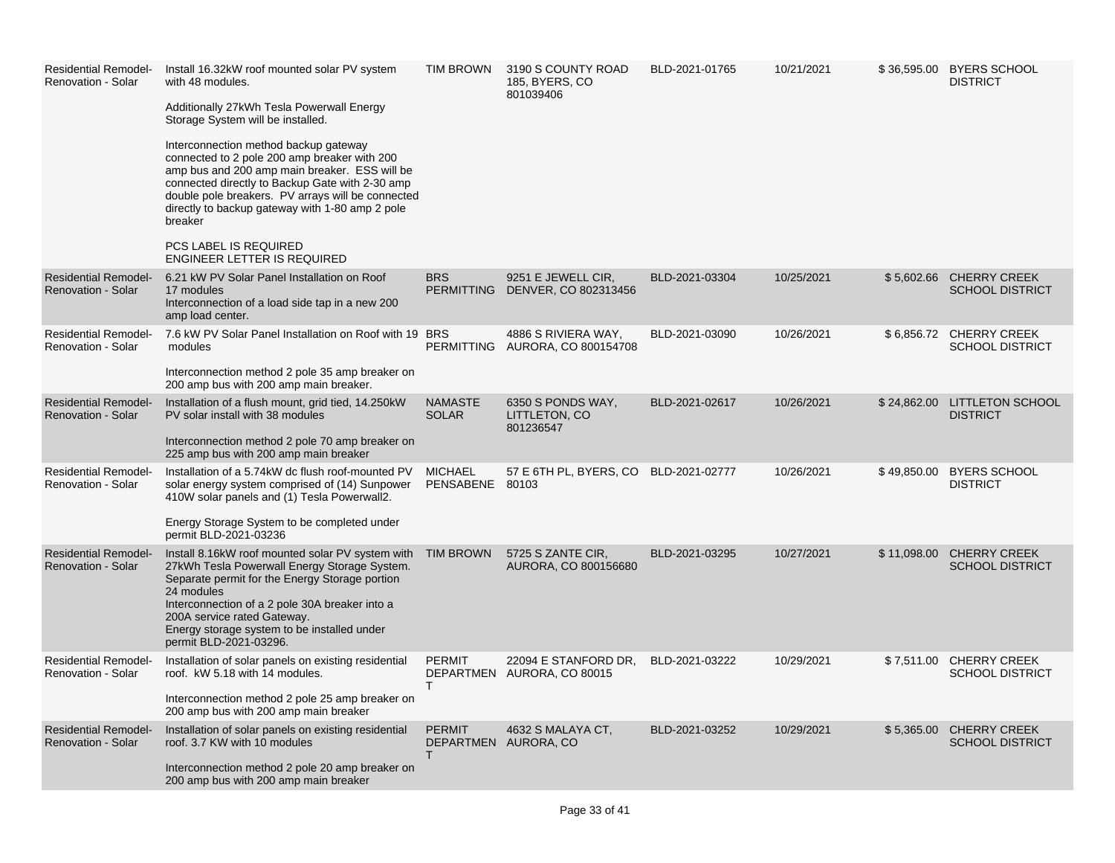| <b>Residential Remodel-</b><br><b>Renovation - Solar</b> | Install 16.32kW roof mounted solar PV system<br>with 48 modules.<br>Additionally 27kWh Tesla Powerwall Energy<br>Storage System will be installed.<br>Interconnection method backup gateway<br>connected to 2 pole 200 amp breaker with 200<br>amp bus and 200 amp main breaker. ESS will be<br>connected directly to Backup Gate with 2-30 amp<br>double pole breakers. PV arrays will be connected<br>directly to backup gateway with 1-80 amp 2 pole<br>breaker<br><b>PCS LABEL IS REQUIRED</b><br><b>ENGINEER LETTER IS REQUIRED</b> | <b>TIM BROWN</b>                  | 3190 S COUNTY ROAD<br>185, BYERS, CO<br>801039406      | BLD-2021-01765 | 10/21/2021 |             | \$36,595.00 BYERS SCHOOL<br><b>DISTRICT</b>       |
|----------------------------------------------------------|------------------------------------------------------------------------------------------------------------------------------------------------------------------------------------------------------------------------------------------------------------------------------------------------------------------------------------------------------------------------------------------------------------------------------------------------------------------------------------------------------------------------------------------|-----------------------------------|--------------------------------------------------------|----------------|------------|-------------|---------------------------------------------------|
| <b>Residential Remodel-</b><br>Renovation - Solar        | 6.21 kW PV Solar Panel Installation on Roof<br>17 modules<br>Interconnection of a load side tap in a new 200<br>amp load center.                                                                                                                                                                                                                                                                                                                                                                                                         | <b>BRS</b>                        | 9251 E JEWELL CIR,<br>PERMITTING DENVER, CO 802313456  | BLD-2021-03304 | 10/25/2021 |             | \$5,602.66 CHERRY CREEK<br><b>SCHOOL DISTRICT</b> |
| <b>Residential Remodel-</b><br>Renovation - Solar        | 7.6 kW PV Solar Panel Installation on Roof with 19 BRS<br>modules<br>Interconnection method 2 pole 35 amp breaker on<br>200 amp bus with 200 amp main breaker.                                                                                                                                                                                                                                                                                                                                                                           |                                   | 4886 S RIVIERA WAY,<br>PERMITTING AURORA, CO 800154708 | BLD-2021-03090 | 10/26/2021 |             | \$6,856.72 CHERRY CREEK<br><b>SCHOOL DISTRICT</b> |
| <b>Residential Remodel-</b><br><b>Renovation - Solar</b> | Installation of a flush mount, grid tied, 14.250kW<br>PV solar install with 38 modules<br>Interconnection method 2 pole 70 amp breaker on<br>225 amp bus with 200 amp main breaker                                                                                                                                                                                                                                                                                                                                                       | <b>NAMASTE</b><br><b>SOLAR</b>    | 6350 S PONDS WAY,<br>LITTLETON, CO<br>801236547        | BLD-2021-02617 | 10/26/2021 |             | \$24,862.00 LITTLETON SCHOOL<br><b>DISTRICT</b>   |
| <b>Residential Remodel-</b><br><b>Renovation - Solar</b> | Installation of a 5.74kW dc flush roof-mounted PV<br>solar energy system comprised of (14) Sunpower<br>410W solar panels and (1) Tesla Powerwall2.<br>Energy Storage System to be completed under<br>permit BLD-2021-03236                                                                                                                                                                                                                                                                                                               | <b>MICHAEL</b><br>PENSABENE 80103 | 57 E 6TH PL, BYERS, CO BLD-2021-02777                  |                | 10/26/2021 | \$49,850.00 | <b>BYERS SCHOOL</b><br><b>DISTRICT</b>            |
| <b>Residential Remodel-</b><br><b>Renovation - Solar</b> | Install 8.16kW roof mounted solar PV system with TIM BROWN<br>27kWh Tesla Powerwall Energy Storage System.<br>Separate permit for the Energy Storage portion<br>24 modules<br>Interconnection of a 2 pole 30A breaker into a<br>200A service rated Gateway.<br>Energy storage system to be installed under<br>permit BLD-2021-03296.                                                                                                                                                                                                     |                                   | 5725 S ZANTE CIR,<br>AURORA, CO 800156680              | BLD-2021-03295 | 10/27/2021 | \$11,098.00 | <b>CHERRY CREEK</b><br><b>SCHOOL DISTRICT</b>     |
| <b>Residential Remodel-</b><br>Renovation - Solar        | Installation of solar panels on existing residential<br>roof. kW 5.18 with 14 modules.<br>Interconnection method 2 pole 25 amp breaker on<br>200 amp bus with 200 amp main breaker                                                                                                                                                                                                                                                                                                                                                       | <b>PERMIT</b><br>T.               | 22094 E STANFORD DR,<br>DEPARTMEN AURORA, CO 80015     | BLD-2021-03222 | 10/29/2021 |             | \$7,511.00 CHERRY CREEK<br><b>SCHOOL DISTRICT</b> |
| <b>Residential Remodel-</b><br><b>Renovation - Solar</b> | Installation of solar panels on existing residential<br>roof, 3.7 KW with 10 modules<br>Interconnection method 2 pole 20 amp breaker on<br>200 amp bus with 200 amp main breaker                                                                                                                                                                                                                                                                                                                                                         | <b>PERMIT</b><br>T.               | 4632 S MALAYA CT,<br>DEPARTMEN AURORA, CO              | BLD-2021-03252 | 10/29/2021 |             | \$5,365.00 CHERRY CREEK<br><b>SCHOOL DISTRICT</b> |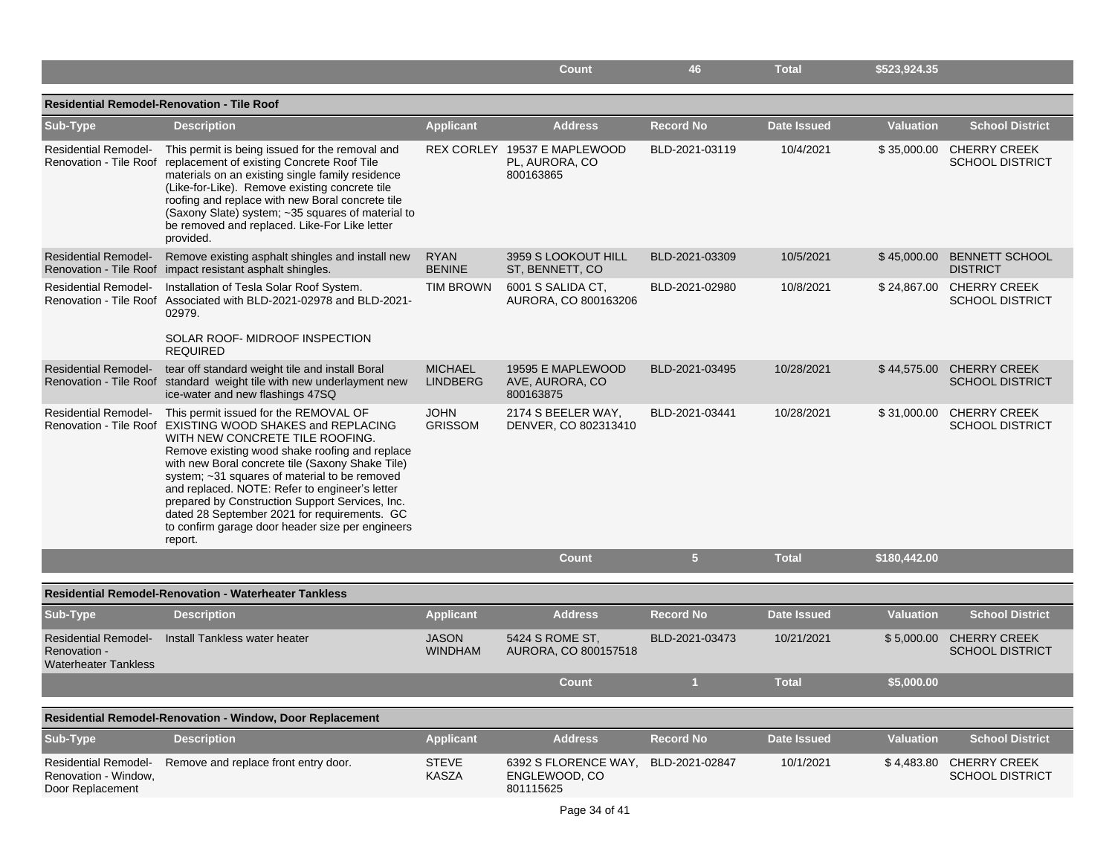|                                                                            |                                                                                                                                                                                                                                                                                                                                                                                                                                                                                                                  |                                   | <b>Count</b>                                                | 46               | <b>Total</b>       | \$523,924.35     |                                                    |
|----------------------------------------------------------------------------|------------------------------------------------------------------------------------------------------------------------------------------------------------------------------------------------------------------------------------------------------------------------------------------------------------------------------------------------------------------------------------------------------------------------------------------------------------------------------------------------------------------|-----------------------------------|-------------------------------------------------------------|------------------|--------------------|------------------|----------------------------------------------------|
|                                                                            | Residential Remodel-Renovation - Tile Roof                                                                                                                                                                                                                                                                                                                                                                                                                                                                       |                                   |                                                             |                  |                    |                  |                                                    |
| Sub-Type                                                                   | <b>Description</b>                                                                                                                                                                                                                                                                                                                                                                                                                                                                                               | <b>Applicant</b>                  | <b>Address</b>                                              | <b>Record No</b> | <b>Date Issued</b> | <b>Valuation</b> | <b>School District</b>                             |
| <b>Residential Remodel-</b>                                                | This permit is being issued for the removal and<br>Renovation - Tile Roof replacement of existing Concrete Roof Tile<br>materials on an existing single family residence<br>(Like-for-Like). Remove existing concrete tile<br>roofing and replace with new Boral concrete tile<br>(Saxony Slate) system; ~35 squares of material to<br>be removed and replaced. Like-For Like letter<br>provided.                                                                                                                |                                   | REX CORLEY 19537 E MAPLEWOOD<br>PL, AURORA, CO<br>800163865 | BLD-2021-03119   | 10/4/2021          |                  | \$35,000.00 CHERRY CREEK<br><b>SCHOOL DISTRICT</b> |
| <b>Residential Remodel-</b>                                                | Remove existing asphalt shingles and install new<br>Renovation - Tile Roof impact resistant asphalt shingles.                                                                                                                                                                                                                                                                                                                                                                                                    | <b>RYAN</b><br><b>BENINE</b>      | 3959 S LOOKOUT HILL<br>ST, BENNETT, CO                      | BLD-2021-03309   | 10/5/2021          | \$45,000.00      | <b>BENNETT SCHOOL</b><br><b>DISTRICT</b>           |
| <b>Residential Remodel-</b>                                                | Installation of Tesla Solar Roof System.<br>Renovation - Tile Roof Associated with BLD-2021-02978 and BLD-2021-<br>02979.<br>SOLAR ROOF- MIDROOF INSPECTION<br><b>REQUIRED</b>                                                                                                                                                                                                                                                                                                                                   | <b>TIM BROWN</b>                  | 6001 S SALIDA CT,<br>AURORA, CO 800163206                   | BLD-2021-02980   | 10/8/2021          |                  | \$24,867.00 CHERRY CREEK<br><b>SCHOOL DISTRICT</b> |
| <b>Residential Remodel-</b>                                                | tear off standard weight tile and install Boral<br>Renovation - Tile Roof standard weight tile with new underlayment new<br>ice-water and new flashings 47SQ                                                                                                                                                                                                                                                                                                                                                     | <b>MICHAEL</b><br><b>LINDBERG</b> | 19595 E MAPLEWOOD<br>AVE, AURORA, CO<br>800163875           | BLD-2021-03495   | 10/28/2021         |                  | \$44,575.00 CHERRY CREEK<br><b>SCHOOL DISTRICT</b> |
| <b>Residential Remodel-</b>                                                | This permit issued for the REMOVAL OF<br>Renovation - Tile Roof EXISTING WOOD SHAKES and REPLACING<br>WITH NEW CONCRETE TILE ROOFING.<br>Remove existing wood shake roofing and replace<br>with new Boral concrete tile (Saxony Shake Tile)<br>system; ~31 squares of material to be removed<br>and replaced. NOTE: Refer to engineer's letter<br>prepared by Construction Support Services, Inc.<br>dated 28 September 2021 for requirements. GC<br>to confirm garage door header size per engineers<br>report. | <b>JOHN</b><br><b>GRISSOM</b>     | 2174 S BEELER WAY,<br>DENVER, CO 802313410                  | BLD-2021-03441   | 10/28/2021         | \$31,000.00      | <b>CHERRY CREEK</b><br><b>SCHOOL DISTRICT</b>      |
|                                                                            |                                                                                                                                                                                                                                                                                                                                                                                                                                                                                                                  |                                   | <b>Count</b>                                                | 5 <sup>5</sup>   | <b>Total</b>       | \$180,442.00     |                                                    |
|                                                                            | <b>Residential Remodel-Renovation - Waterheater Tankless</b>                                                                                                                                                                                                                                                                                                                                                                                                                                                     |                                   |                                                             |                  |                    |                  |                                                    |
| Sub-Type                                                                   | <b>Description</b>                                                                                                                                                                                                                                                                                                                                                                                                                                                                                               | <b>Applicant</b>                  | <b>Address</b>                                              | <b>Record No</b> | <b>Date Issued</b> | <b>Valuation</b> | <b>School District</b>                             |
| <b>Residential Remodel-</b><br>Renovation -<br><b>Waterheater Tankless</b> | Install Tankless water heater                                                                                                                                                                                                                                                                                                                                                                                                                                                                                    | <b>JASON</b><br><b>WINDHAM</b>    | 5424 S ROME ST.<br>AURORA, CO 800157518                     | BLD-2021-03473   | 10/21/2021         | \$5,000.00       | <b>CHERRY CREEK</b><br><b>SCHOOL DISTRICT</b>      |
|                                                                            |                                                                                                                                                                                                                                                                                                                                                                                                                                                                                                                  |                                   | Count                                                       | и                | <b>Total</b>       | \$5,000.00       |                                                    |
|                                                                            | <b>Residential Remodel-Renovation - Window, Door Replacement</b>                                                                                                                                                                                                                                                                                                                                                                                                                                                 |                                   |                                                             |                  |                    |                  |                                                    |
| Sub-Type                                                                   | <b>Description</b>                                                                                                                                                                                                                                                                                                                                                                                                                                                                                               | <b>Applicant</b>                  | <b>Address</b>                                              | <b>Record No</b> | <b>Date Issued</b> | <b>Valuation</b> | <b>School District</b>                             |
| <b>Residential Remodel-</b><br>Renovation - Window,<br>Door Replacement    | Remove and replace front entry door.                                                                                                                                                                                                                                                                                                                                                                                                                                                                             | <b>STEVE</b><br>KASZA             | 6392 S FLORENCE WAY.<br>ENGLEWOOD, CO<br>801115625          | BLD-2021-02847   | 10/1/2021          | \$4,483.80       | <b>CHERRY CREEK</b><br><b>SCHOOL DISTRICT</b>      |
|                                                                            |                                                                                                                                                                                                                                                                                                                                                                                                                                                                                                                  |                                   | Page 34 of 41                                               |                  |                    |                  |                                                    |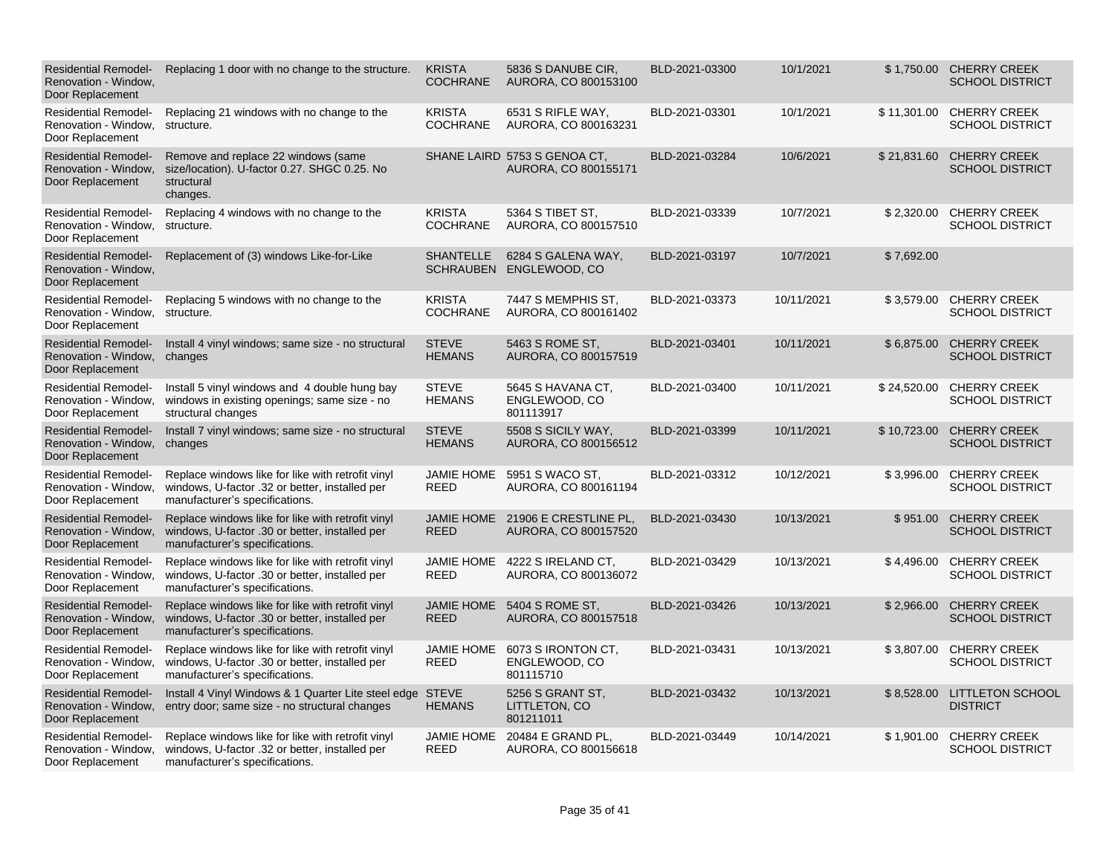| <b>Residential Remodel-</b><br>Renovation - Window,<br>Door Replacement | Replacing 1 door with no change to the structure.                                                                                     | <b>KRISTA</b><br><b>COCHRANE</b>     | 5836 S DANUBE CIR.<br>AURORA, CO 800153100           | BLD-2021-03300 | 10/1/2021  |             | \$1,750.00 CHERRY CREEK<br><b>SCHOOL DISTRICT</b>  |
|-------------------------------------------------------------------------|---------------------------------------------------------------------------------------------------------------------------------------|--------------------------------------|------------------------------------------------------|----------------|------------|-------------|----------------------------------------------------|
| <b>Residential Remodel-</b><br>Renovation - Window,<br>Door Replacement | Replacing 21 windows with no change to the<br>structure.                                                                              | <b>KRISTA</b><br><b>COCHRANE</b>     | 6531 S RIFLE WAY,<br>AURORA, CO 800163231            | BLD-2021-03301 | 10/1/2021  |             | \$11,301.00 CHERRY CREEK<br><b>SCHOOL DISTRICT</b> |
| <b>Residential Remodel-</b><br>Renovation - Window,<br>Door Replacement | Remove and replace 22 windows (same<br>size/location). U-factor 0.27. SHGC 0.25. No<br>structural<br>changes.                         |                                      | SHANE LAIRD 5753 S GENOA CT,<br>AURORA, CO 800155171 | BLD-2021-03284 | 10/6/2021  | \$21,831.60 | <b>CHERRY CREEK</b><br><b>SCHOOL DISTRICT</b>      |
| <b>Residential Remodel-</b><br>Renovation - Window.<br>Door Replacement | Replacing 4 windows with no change to the<br>structure.                                                                               | <b>KRISTA</b><br><b>COCHRANE</b>     | 5364 S TIBET ST,<br>AURORA, CO 800157510             | BLD-2021-03339 | 10/7/2021  |             | \$2,320.00 CHERRY CREEK<br><b>SCHOOL DISTRICT</b>  |
| <b>Residential Remodel-</b><br>Renovation - Window,<br>Door Replacement | Replacement of (3) windows Like-for-Like                                                                                              | <b>SHANTELLE</b><br><b>SCHRAUBEN</b> | 6284 S GALENA WAY,<br>ENGLEWOOD, CO                  | BLD-2021-03197 | 10/7/2021  | \$7,692.00  |                                                    |
| <b>Residential Remodel-</b><br>Renovation - Window,<br>Door Replacement | Replacing 5 windows with no change to the<br>structure.                                                                               | <b>KRISTA</b><br><b>COCHRANE</b>     | 7447 S MEMPHIS ST,<br>AURORA, CO 800161402           | BLD-2021-03373 | 10/11/2021 |             | \$3,579.00 CHERRY CREEK<br><b>SCHOOL DISTRICT</b>  |
| <b>Residential Remodel-</b><br>Renovation - Window,<br>Door Replacement | Install 4 vinyl windows; same size - no structural<br>changes                                                                         | <b>STEVE</b><br><b>HEMANS</b>        | 5463 S ROME ST.<br>AURORA, CO 800157519              | BLD-2021-03401 | 10/11/2021 |             | \$6,875.00 CHERRY CREEK<br><b>SCHOOL DISTRICT</b>  |
| <b>Residential Remodel-</b><br>Renovation - Window,<br>Door Replacement | Install 5 vinyl windows and 4 double hung bay<br>windows in existing openings; same size - no<br>structural changes                   | <b>STEVE</b><br><b>HEMANS</b>        | 5645 S HAVANA CT,<br>ENGLEWOOD, CO<br>801113917      | BLD-2021-03400 | 10/11/2021 | \$24,520.00 | <b>CHERRY CREEK</b><br><b>SCHOOL DISTRICT</b>      |
| <b>Residential Remodel-</b><br>Renovation - Window,<br>Door Replacement | Install 7 vinyl windows; same size - no structural<br>changes                                                                         | <b>STEVE</b><br><b>HEMANS</b>        | 5508 S SICILY WAY,<br>AURORA, CO 800156512           | BLD-2021-03399 | 10/11/2021 | \$10,723.00 | <b>CHERRY CREEK</b><br><b>SCHOOL DISTRICT</b>      |
| <b>Residential Remodel-</b><br>Renovation - Window,<br>Door Replacement | Replace windows like for like with retrofit vinyl<br>windows, U-factor .32 or better, installed per<br>manufacturer's specifications. | <b>JAMIE HOME</b><br>REED            | 5951 S WACO ST,<br>AURORA, CO 800161194              | BLD-2021-03312 | 10/12/2021 |             | \$3,996.00 CHERRY CREEK<br><b>SCHOOL DISTRICT</b>  |
| <b>Residential Remodel-</b><br>Renovation - Window,<br>Door Replacement | Replace windows like for like with retrofit vinyl<br>windows, U-factor .30 or better, installed per<br>manufacturer's specifications. | <b>JAMIE HOME</b><br><b>REED</b>     | 21906 E CRESTLINE PL.<br>AURORA, CO 800157520        | BLD-2021-03430 | 10/13/2021 | \$951.00    | <b>CHERRY CREEK</b><br><b>SCHOOL DISTRICT</b>      |
| <b>Residential Remodel-</b><br>Renovation - Window,<br>Door Replacement | Replace windows like for like with retrofit vinyl<br>windows, U-factor .30 or better, installed per<br>manufacturer's specifications. | <b>JAMIE HOME</b><br><b>REED</b>     | 4222 S IRELAND CT,<br>AURORA, CO 800136072           | BLD-2021-03429 | 10/13/2021 |             | \$4,496.00 CHERRY CREEK<br><b>SCHOOL DISTRICT</b>  |
| <b>Residential Remodel-</b><br>Renovation - Window,<br>Door Replacement | Replace windows like for like with retrofit vinyl<br>windows, U-factor .30 or better, installed per<br>manufacturer's specifications. | <b>JAMIE HOME</b><br><b>REED</b>     | 5404 S ROME ST.<br>AURORA, CO 800157518              | BLD-2021-03426 | 10/13/2021 | \$2,966.00  | <b>CHERRY CREEK</b><br><b>SCHOOL DISTRICT</b>      |
| <b>Residential Remodel-</b><br>Renovation - Window,<br>Door Replacement | Replace windows like for like with retrofit vinyl<br>windows, U-factor .30 or better, installed per<br>manufacturer's specifications. | <b>JAMIE HOME</b><br><b>REED</b>     | 6073 S IRONTON CT,<br>ENGLEWOOD, CO<br>801115710     | BLD-2021-03431 | 10/13/2021 |             | \$3,807.00 CHERRY CREEK<br><b>SCHOOL DISTRICT</b>  |
| <b>Residential Remodel-</b><br>Renovation - Window,<br>Door Replacement | Install 4 Vinyl Windows & 1 Quarter Lite steel edge STEVE<br>entry door; same size - no structural changes                            | <b>HEMANS</b>                        | 5256 S GRANT ST,<br>LITTLETON, CO<br>801211011       | BLD-2021-03432 | 10/13/2021 |             | \$8,528.00 LITTLETON SCHOOL<br><b>DISTRICT</b>     |
| <b>Residential Remodel-</b><br>Renovation - Window,<br>Door Replacement | Replace windows like for like with retrofit vinyl<br>windows, U-factor .32 or better, installed per<br>manufacturer's specifications. | <b>JAMIE HOME</b><br><b>REED</b>     | 20484 E GRAND PL,<br>AURORA, CO 800156618            | BLD-2021-03449 | 10/14/2021 |             | \$1,901.00 CHERRY CREEK<br><b>SCHOOL DISTRICT</b>  |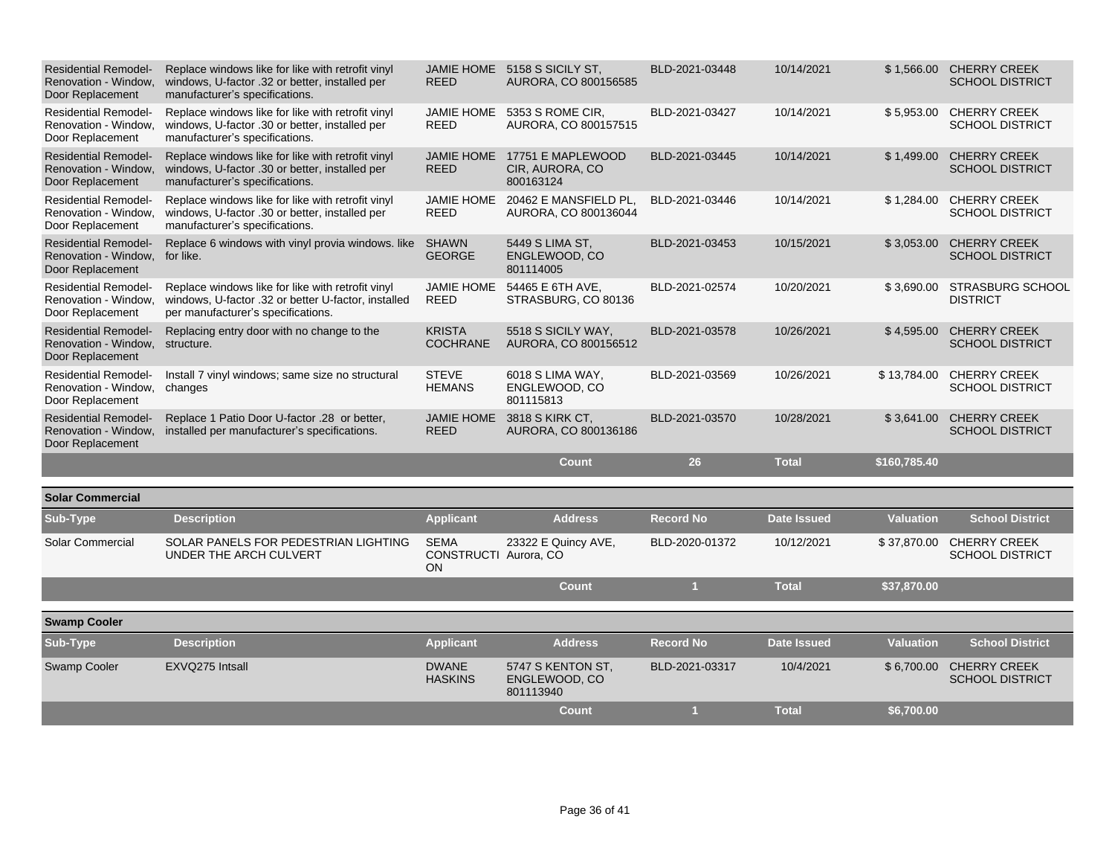| <b>Residential Remodel-</b><br>Renovation - Window<br>Door Replacement  | Replace windows like for like with retrofit vinyl<br>windows, U-factor .32 or better, installed per<br>manufacturer's specifications.          | <b>JAMIE HOME</b><br><b>REED</b>                  | 5158 S SICILY ST.<br>AURORA, CO 800156585         | BLD-2021-03448   | 10/14/2021         |                  | \$1,566.00 CHERRY CREEK<br><b>SCHOOL DISTRICT</b> |
|-------------------------------------------------------------------------|------------------------------------------------------------------------------------------------------------------------------------------------|---------------------------------------------------|---------------------------------------------------|------------------|--------------------|------------------|---------------------------------------------------|
| <b>Residential Remodel-</b><br>Renovation - Window.<br>Door Replacement | Replace windows like for like with retrofit vinyl<br>windows, U-factor .30 or better, installed per<br>manufacturer's specifications.          | <b>JAMIE HOME</b><br><b>REED</b>                  | 5353 S ROME CIR,<br>AURORA, CO 800157515          | BLD-2021-03427   | 10/14/2021         | \$5,953.00       | <b>CHERRY CREEK</b><br><b>SCHOOL DISTRICT</b>     |
| <b>Residential Remodel-</b><br>Renovation - Window.<br>Door Replacement | Replace windows like for like with retrofit vinyl<br>windows, U-factor .30 or better, installed per<br>manufacturer's specifications.          | <b>JAMIE HOME</b><br><b>REED</b>                  | 17751 E MAPLEWOOD<br>CIR, AURORA, CO<br>800163124 | BLD-2021-03445   | 10/14/2021         | \$1,499.00       | <b>CHERRY CREEK</b><br><b>SCHOOL DISTRICT</b>     |
| <b>Residential Remodel-</b><br>Renovation - Window,<br>Door Replacement | Replace windows like for like with retrofit vinyl<br>windows, U-factor .30 or better, installed per<br>manufacturer's specifications.          | <b>JAMIE HOME</b><br><b>REED</b>                  | 20462 E MANSFIELD PL.<br>AURORA, CO 800136044     | BLD-2021-03446   | 10/14/2021         | \$1,284.00       | <b>CHERRY CREEK</b><br><b>SCHOOL DISTRICT</b>     |
| <b>Residential Remodel-</b><br>Renovation - Window.<br>Door Replacement | Replace 6 windows with vinyl provia windows. like<br>for like.                                                                                 | <b>SHAWN</b><br><b>GEORGE</b>                     | 5449 S LIMA ST,<br>ENGLEWOOD, CO<br>801114005     | BLD-2021-03453   | 10/15/2021         | \$3,053.00       | <b>CHERRY CREEK</b><br><b>SCHOOL DISTRICT</b>     |
| <b>Residential Remodel-</b><br>Renovation - Window.<br>Door Replacement | Replace windows like for like with retrofit vinyl<br>windows, U-factor .32 or better U-factor, installed<br>per manufacturer's specifications. | JAMIE HOME<br><b>REED</b>                         | 54465 E 6TH AVE,<br>STRASBURG, CO 80136           | BLD-2021-02574   | 10/20/2021         | \$3,690.00       | STRASBURG SCHOOL<br><b>DISTRICT</b>               |
| <b>Residential Remodel-</b><br>Renovation - Window,<br>Door Replacement | Replacing entry door with no change to the<br>structure.                                                                                       | <b>KRISTA</b><br><b>COCHRANE</b>                  | 5518 S SICILY WAY,<br>AURORA, CO 800156512        | BLD-2021-03578   | 10/26/2021         | \$4,595.00       | <b>CHERRY CREEK</b><br><b>SCHOOL DISTRICT</b>     |
| <b>Residential Remodel-</b><br>Renovation - Window,<br>Door Replacement | Install 7 vinyl windows; same size no structural<br>changes                                                                                    | <b>STEVE</b><br><b>HEMANS</b>                     | 6018 S LIMA WAY,<br>ENGLEWOOD, CO<br>801115813    | BLD-2021-03569   | 10/26/2021         | \$13,784.00      | <b>CHERRY CREEK</b><br><b>SCHOOL DISTRICT</b>     |
| <b>Residential Remodel-</b><br>Renovation - Window.<br>Door Replacement | Replace 1 Patio Door U-factor .28 or better,<br>installed per manufacturer's specifications.                                                   | <b>JAMIE HOME</b><br><b>REED</b>                  | 3818 S KIRK CT,<br>AURORA, CO 800136186           | BLD-2021-03570   | 10/28/2021         | \$3,641.00       | <b>CHERRY CREEK</b><br><b>SCHOOL DISTRICT</b>     |
|                                                                         |                                                                                                                                                |                                                   | <b>Count</b>                                      | 26               | <b>Total</b>       | \$160,785.40     |                                                   |
| <b>Solar Commercial</b>                                                 |                                                                                                                                                |                                                   |                                                   |                  |                    |                  |                                                   |
| Sub-Type                                                                | <b>Description</b>                                                                                                                             | <b>Applicant</b>                                  | <b>Address</b>                                    | <b>Record No</b> | <b>Date Issued</b> | <b>Valuation</b> | <b>School District</b>                            |
| Solar Commercial                                                        | SOLAR PANELS FOR PEDESTRIAN LIGHTING<br>UNDER THE ARCH CULVERT                                                                                 | <b>SEMA</b><br>CONSTRUCTI Aurora, CO<br><b>ON</b> | 23322 E Quincy AVE,                               | BLD-2020-01372   | 10/12/2021         | \$37,870.00      | <b>CHERRY CREEK</b><br><b>SCHOOL DISTRICT</b>     |
|                                                                         |                                                                                                                                                |                                                   | <b>Count</b>                                      | $\blacksquare$   | <b>Total</b>       | \$37,870.00      |                                                   |
| <b>Swamp Cooler</b>                                                     |                                                                                                                                                |                                                   |                                                   |                  |                    |                  |                                                   |
| Sub-Type                                                                | <b>Description</b>                                                                                                                             | <b>Applicant</b>                                  | <b>Address</b>                                    | <b>Record No</b> | <b>Date Issued</b> | <b>Valuation</b> | <b>School District</b>                            |
| Swamp Cooler                                                            | EXVQ275 Intsall                                                                                                                                | <b>DWANE</b><br><b>HASKINS</b>                    | 5747 S KENTON ST.<br>ENGLEWOOD, CO<br>801113940   | BLD-2021-03317   | 10/4/2021          | \$6,700.00       | <b>CHERRY CREEK</b><br><b>SCHOOL DISTRICT</b>     |
|                                                                         |                                                                                                                                                |                                                   | <b>Count</b>                                      | $\blacksquare$   | <b>Total</b>       | \$6,700.00       |                                                   |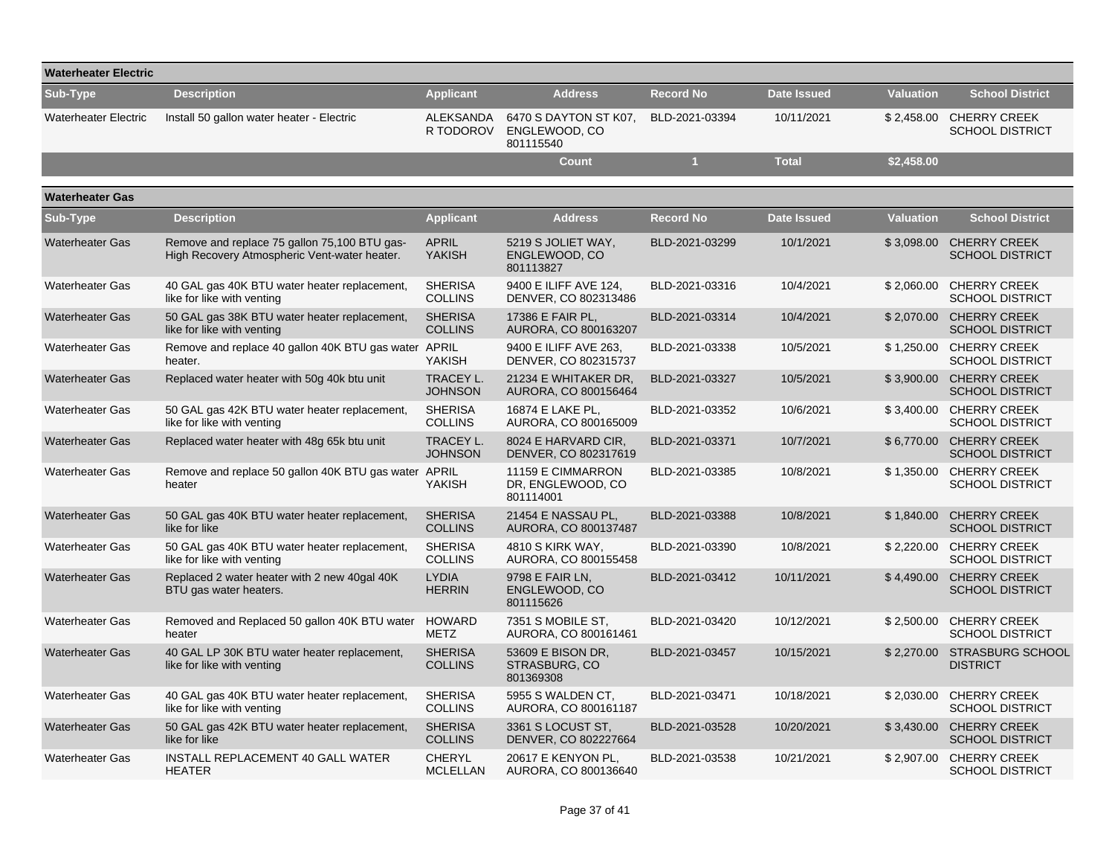| <b>Waterheater Electric</b> |                                                                                              |                                    |                                                     |                  |                    |                  |                                                   |
|-----------------------------|----------------------------------------------------------------------------------------------|------------------------------------|-----------------------------------------------------|------------------|--------------------|------------------|---------------------------------------------------|
| Sub-Type                    | <b>Description</b>                                                                           | <b>Applicant</b>                   | <b>Address</b>                                      | <b>Record No</b> | <b>Date Issued</b> | <b>Valuation</b> | <b>School District</b>                            |
| <b>Waterheater Electric</b> | Install 50 gallon water heater - Electric                                                    | ALEKSANDA<br>R TODOROV             | 6470 S DAYTON ST K07,<br>ENGLEWOOD, CO<br>801115540 | BLD-2021-03394   | 10/11/2021         |                  | \$2,458.00 CHERRY CREEK<br><b>SCHOOL DISTRICT</b> |
|                             |                                                                                              |                                    | <b>Count</b>                                        | $\overline{1}$   | <b>Total</b>       | \$2,458.00       |                                                   |
| <b>Waterheater Gas</b>      |                                                                                              |                                    |                                                     |                  |                    |                  |                                                   |
| Sub-Type                    | <b>Description</b>                                                                           | <b>Applicant</b>                   | <b>Address</b>                                      | <b>Record No</b> | <b>Date Issued</b> | <b>Valuation</b> | <b>School District</b>                            |
| <b>Waterheater Gas</b>      | Remove and replace 75 gallon 75,100 BTU gas-<br>High Recovery Atmospheric Vent-water heater. | <b>APRIL</b><br><b>YAKISH</b>      | 5219 S JOLIET WAY,<br>ENGLEWOOD, CO<br>801113827    | BLD-2021-03299   | 10/1/2021          |                  | \$3,098.00 CHERRY CREEK<br><b>SCHOOL DISTRICT</b> |
| <b>Waterheater Gas</b>      | 40 GAL gas 40K BTU water heater replacement,<br>like for like with venting                   | <b>SHERISA</b><br><b>COLLINS</b>   | 9400 E ILIFF AVE 124,<br>DENVER, CO 802313486       | BLD-2021-03316   | 10/4/2021          |                  | \$2,060.00 CHERRY CREEK<br><b>SCHOOL DISTRICT</b> |
| <b>Waterheater Gas</b>      | 50 GAL gas 38K BTU water heater replacement,<br>like for like with venting                   | <b>SHERISA</b><br><b>COLLINS</b>   | 17386 E FAIR PL,<br>AURORA, CO 800163207            | BLD-2021-03314   | 10/4/2021          | \$2,070.00       | <b>CHERRY CREEK</b><br><b>SCHOOL DISTRICT</b>     |
| <b>Waterheater Gas</b>      | Remove and replace 40 gallon 40K BTU gas water APRIL<br>heater.                              | YAKISH                             | 9400 E ILIFF AVE 263,<br>DENVER, CO 802315737       | BLD-2021-03338   | 10/5/2021          |                  | \$1,250.00 CHERRY CREEK<br><b>SCHOOL DISTRICT</b> |
| <b>Waterheater Gas</b>      | Replaced water heater with 50g 40k btu unit                                                  | <b>TRACEY L.</b><br><b>JOHNSON</b> | 21234 E WHITAKER DR.<br>AURORA, CO 800156464        | BLD-2021-03327   | 10/5/2021          |                  | \$3,900.00 CHERRY CREEK<br><b>SCHOOL DISTRICT</b> |
| <b>Waterheater Gas</b>      | 50 GAL gas 42K BTU water heater replacement,<br>like for like with venting                   | <b>SHERISA</b><br><b>COLLINS</b>   | 16874 E LAKE PL,<br>AURORA, CO 800165009            | BLD-2021-03352   | 10/6/2021          | \$3,400.00       | <b>CHERRY CREEK</b><br><b>SCHOOL DISTRICT</b>     |
| <b>Waterheater Gas</b>      | Replaced water heater with 48g 65k btu unit                                                  | <b>TRACEY L.</b><br><b>JOHNSON</b> | 8024 E HARVARD CIR,<br>DENVER, CO 802317619         | BLD-2021-03371   | 10/7/2021          | \$6,770.00       | <b>CHERRY CREEK</b><br><b>SCHOOL DISTRICT</b>     |
| <b>Waterheater Gas</b>      | Remove and replace 50 gallon 40K BTU gas water APRIL<br>heater                               | <b>YAKISH</b>                      | 11159 E CIMMARRON<br>DR, ENGLEWOOD, CO<br>801114001 | BLD-2021-03385   | 10/8/2021          | \$1,350.00       | <b>CHERRY CREEK</b><br><b>SCHOOL DISTRICT</b>     |
| <b>Waterheater Gas</b>      | 50 GAL gas 40K BTU water heater replacement,<br>like for like                                | <b>SHERISA</b><br><b>COLLINS</b>   | 21454 E NASSAU PL,<br>AURORA, CO 800137487          | BLD-2021-03388   | 10/8/2021          | \$1.840.00       | <b>CHERRY CREEK</b><br><b>SCHOOL DISTRICT</b>     |
| <b>Waterheater Gas</b>      | 50 GAL gas 40K BTU water heater replacement,<br>like for like with venting                   | <b>SHERISA</b><br><b>COLLINS</b>   | 4810 S KIRK WAY,<br>AURORA, CO 800155458            | BLD-2021-03390   | 10/8/2021          | \$2,220.00       | <b>CHERRY CREEK</b><br><b>SCHOOL DISTRICT</b>     |
| <b>Waterheater Gas</b>      | Replaced 2 water heater with 2 new 40gal 40K<br>BTU gas water heaters.                       | <b>LYDIA</b><br><b>HERRIN</b>      | 9798 E FAIR LN.<br>ENGLEWOOD, CO<br>801115626       | BLD-2021-03412   | 10/11/2021         | \$4,490.00       | <b>CHERRY CREEK</b><br><b>SCHOOL DISTRICT</b>     |
| <b>Waterheater Gas</b>      | Removed and Replaced 50 gallon 40K BTU water<br>heater                                       | HOWARD<br>METZ                     | 7351 S MOBILE ST,<br>AURORA, CO 800161461           | BLD-2021-03420   | 10/12/2021         | \$2,500.00       | <b>CHERRY CREEK</b><br><b>SCHOOL DISTRICT</b>     |
| <b>Waterheater Gas</b>      | 40 GAL LP 30K BTU water heater replacement,<br>like for like with venting                    | <b>SHERISA</b><br><b>COLLINS</b>   | 53609 E BISON DR,<br>STRASBURG, CO<br>801369308     | BLD-2021-03457   | 10/15/2021         | \$2,270.00       | <b>STRASBURG SCHOOL</b><br><b>DISTRICT</b>        |
| <b>Waterheater Gas</b>      | 40 GAL gas 40K BTU water heater replacement,<br>like for like with venting                   | <b>SHERISA</b><br><b>COLLINS</b>   | 5955 S WALDEN CT.<br>AURORA, CO 800161187           | BLD-2021-03471   | 10/18/2021         | \$2,030.00       | <b>CHERRY CREEK</b><br><b>SCHOOL DISTRICT</b>     |
| <b>Waterheater Gas</b>      | 50 GAL gas 42K BTU water heater replacement,<br>like for like                                | <b>SHERISA</b><br><b>COLLINS</b>   | 3361 S LOCUST ST.<br>DENVER, CO 802227664           | BLD-2021-03528   | 10/20/2021         | \$3,430.00       | <b>CHERRY CREEK</b><br><b>SCHOOL DISTRICT</b>     |
| <b>Waterheater Gas</b>      | INSTALL REPLACEMENT 40 GALL WATER<br><b>HEATER</b>                                           | CHERYL<br><b>MCLELLAN</b>          | 20617 E KENYON PL,<br>AURORA, CO 800136640          | BLD-2021-03538   | 10/21/2021         | \$2,907.00       | <b>CHERRY CREEK</b><br><b>SCHOOL DISTRICT</b>     |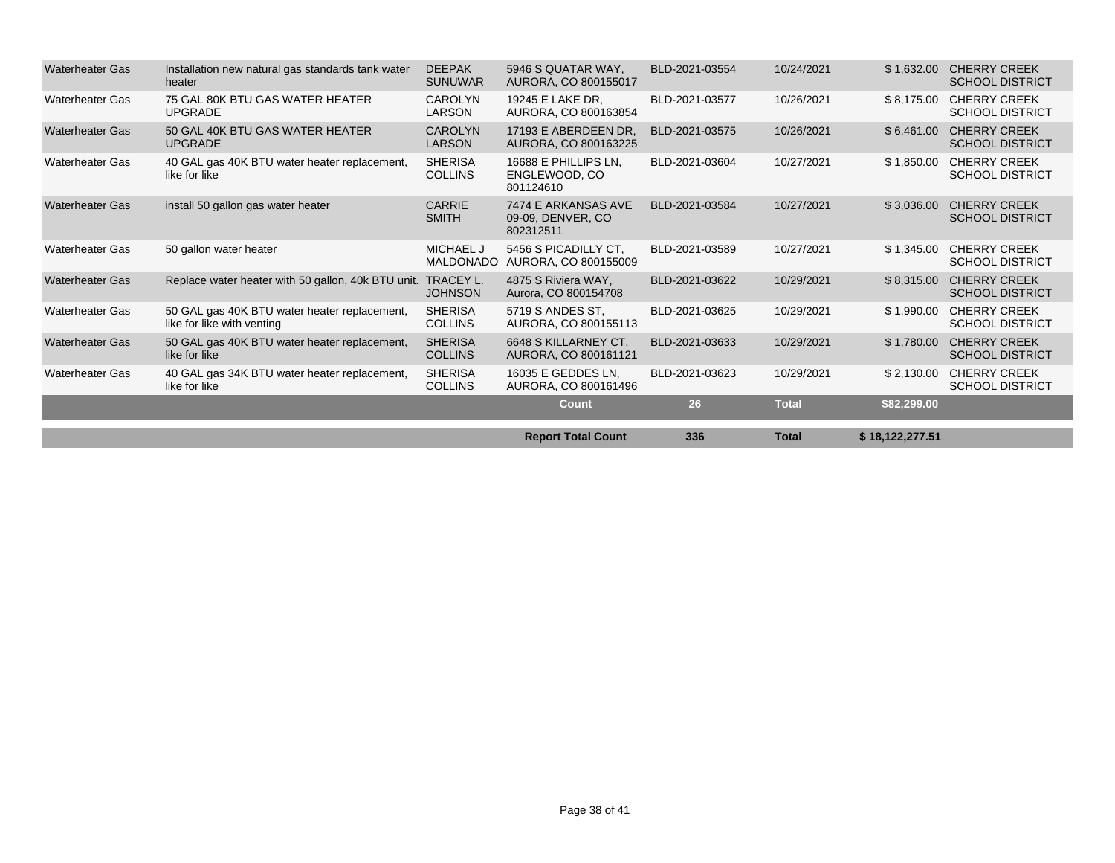|                        |                                                                            |                                      | <b>Report Total Count</b>                             | 336            | <b>Total</b> | \$18,122,277.51 |                                               |
|------------------------|----------------------------------------------------------------------------|--------------------------------------|-------------------------------------------------------|----------------|--------------|-----------------|-----------------------------------------------|
|                        |                                                                            |                                      | <b>Count</b>                                          | 26             | <b>Total</b> | \$82,299.00     |                                               |
| <b>Waterheater Gas</b> | 40 GAL gas 34K BTU water heater replacement,<br>like for like              | <b>SHERISA</b><br><b>COLLINS</b>     | 16035 E GEDDES LN,<br>AURORA, CO 800161496            | BLD-2021-03623 | 10/29/2021   | \$2,130.00      | <b>CHERRY CREEK</b><br><b>SCHOOL DISTRICT</b> |
| <b>Waterheater Gas</b> | 50 GAL gas 40K BTU water heater replacement,<br>like for like              | <b>SHERISA</b><br><b>COLLINS</b>     | 6648 S KILLARNEY CT,<br>AURORA, CO 800161121          | BLD-2021-03633 | 10/29/2021   | \$1,780.00      | <b>CHERRY CREEK</b><br><b>SCHOOL DISTRICT</b> |
| <b>Waterheater Gas</b> | 50 GAL gas 40K BTU water heater replacement,<br>like for like with venting | <b>SHERISA</b><br><b>COLLINS</b>     | 5719 S ANDES ST.<br>AURORA, CO 800155113              | BLD-2021-03625 | 10/29/2021   | \$1,990.00      | <b>CHERRY CREEK</b><br><b>SCHOOL DISTRICT</b> |
| <b>Waterheater Gas</b> | Replace water heater with 50 gallon, 40k BTU unit. TRACEY L.               | <b>JOHNSON</b>                       | 4875 S Riviera WAY,<br>Aurora, CO 800154708           | BLD-2021-03622 | 10/29/2021   | \$8,315.00      | <b>CHERRY CREEK</b><br><b>SCHOOL DISTRICT</b> |
| <b>Waterheater Gas</b> | 50 gallon water heater                                                     | <b>MICHAEL J</b><br><b>MALDONADO</b> | 5456 S PICADILLY CT.<br>AURORA, CO 800155009          | BLD-2021-03589 | 10/27/2021   | \$1,345.00      | <b>CHERRY CREEK</b><br><b>SCHOOL DISTRICT</b> |
| <b>Waterheater Gas</b> | install 50 gallon gas water heater                                         | <b>CARRIE</b><br><b>SMITH</b>        | 7474 E ARKANSAS AVE<br>09-09. DENVER, CO<br>802312511 | BLD-2021-03584 | 10/27/2021   | \$3.036.00      | <b>CHERRY CREEK</b><br><b>SCHOOL DISTRICT</b> |
| <b>Waterheater Gas</b> | 40 GAL gas 40K BTU water heater replacement,<br>like for like              | <b>SHERISA</b><br><b>COLLINS</b>     | 16688 E PHILLIPS LN.<br>ENGLEWOOD, CO<br>801124610    | BLD-2021-03604 | 10/27/2021   | \$1,850.00      | <b>CHERRY CREEK</b><br><b>SCHOOL DISTRICT</b> |
| <b>Waterheater Gas</b> | 50 GAL 40K BTU GAS WATER HEATER<br><b>UPGRADE</b>                          | <b>CAROLYN</b><br><b>LARSON</b>      | 17193 E ABERDEEN DR.<br>AURORA, CO 800163225          | BLD-2021-03575 | 10/26/2021   | \$6,461.00      | <b>CHERRY CREEK</b><br><b>SCHOOL DISTRICT</b> |
| <b>Waterheater Gas</b> | 75 GAL 80K BTU GAS WATER HEATER<br><b>UPGRADE</b>                          | <b>CAROLYN</b><br>LARSON             | 19245 E LAKE DR.<br>AURORA, CO 800163854              | BLD-2021-03577 | 10/26/2021   | \$8,175.00      | <b>CHERRY CREEK</b><br><b>SCHOOL DISTRICT</b> |
| <b>Waterheater Gas</b> | Installation new natural gas standards tank water<br>heater                | <b>DEEPAK</b><br><b>SUNUWAR</b>      | 5946 S QUATAR WAY.<br>AURORA, CO 800155017            | BLD-2021-03554 | 10/24/2021   | \$1,632.00      | <b>CHERRY CREEK</b><br><b>SCHOOL DISTRICT</b> |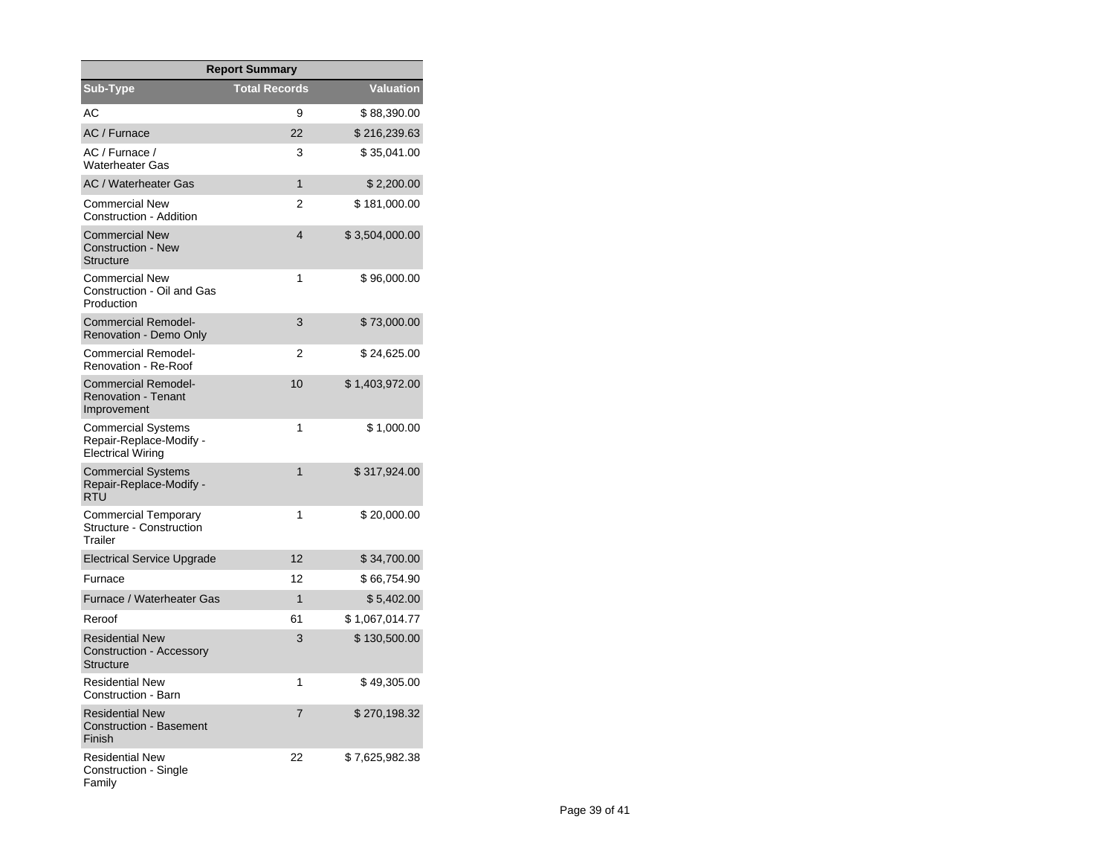| <b>Report Summary</b>                                                            |                      |                  |  |  |  |  |
|----------------------------------------------------------------------------------|----------------------|------------------|--|--|--|--|
| Sub-Type                                                                         | <b>Total Records</b> | <b>Valuation</b> |  |  |  |  |
| АC                                                                               | 9                    | \$88,390.00      |  |  |  |  |
| AC / Furnace                                                                     | 22                   | \$216,239.63     |  |  |  |  |
| AC / Furnace /<br><b>Waterheater Gas</b>                                         | 3                    | \$35,041.00      |  |  |  |  |
| <b>AC / Waterheater Gas</b>                                                      | 1                    | \$2,200.00       |  |  |  |  |
| <b>Commercial New</b><br>Construction - Addition                                 | $\overline{2}$       | \$181,000.00     |  |  |  |  |
| <b>Commercial New</b><br><b>Construction - New</b><br>Structure                  | 4                    | \$3,504,000.00   |  |  |  |  |
| <b>Commercial New</b><br>Construction - Oil and Gas<br>Production                | 1                    | \$96,000.00      |  |  |  |  |
| <b>Commercial Remodel-</b><br>Renovation - Demo Only                             | 3                    | \$73,000.00      |  |  |  |  |
| Commercial Remodel-<br>Renovation - Re-Roof                                      | 2                    | \$24,625.00      |  |  |  |  |
| <b>Commercial Remodel-</b><br><b>Renovation - Tenant</b><br>Improvement          | 10                   | \$1,403,972.00   |  |  |  |  |
| <b>Commercial Systems</b><br>Repair-Replace-Modify -<br><b>Electrical Wiring</b> | 1                    | \$1,000.00       |  |  |  |  |
| <b>Commercial Systems</b><br>Repair-Replace-Modify -<br>RTU                      | $\mathbf{1}$         | \$317,924.00     |  |  |  |  |
| <b>Commercial Temporary</b><br><b>Structure - Construction</b><br>Trailer        | 1                    | \$20,000.00      |  |  |  |  |
| <b>Electrical Service Upgrade</b>                                                | 12                   | \$34,700.00      |  |  |  |  |
| Furnace                                                                          | 12                   | \$66,754.90      |  |  |  |  |
| Furnace / Waterheater Gas                                                        | 1                    | \$5,402.00       |  |  |  |  |
| Reroof                                                                           | 61                   | \$1,067,014.77   |  |  |  |  |
| <b>Residential New</b><br><b>Construction - Accessory</b><br><b>Structure</b>    | 3                    | \$130,500.00     |  |  |  |  |
| <b>Residential New</b><br>Construction - Barn                                    | 1                    | \$49,305.00      |  |  |  |  |
| <b>Residential New</b><br><b>Construction - Basement</b><br>Finish               | 7                    | \$270,198.32     |  |  |  |  |
| <b>Residential New</b><br>Construction - Single<br>Family                        | 22                   | \$7,625,982.38   |  |  |  |  |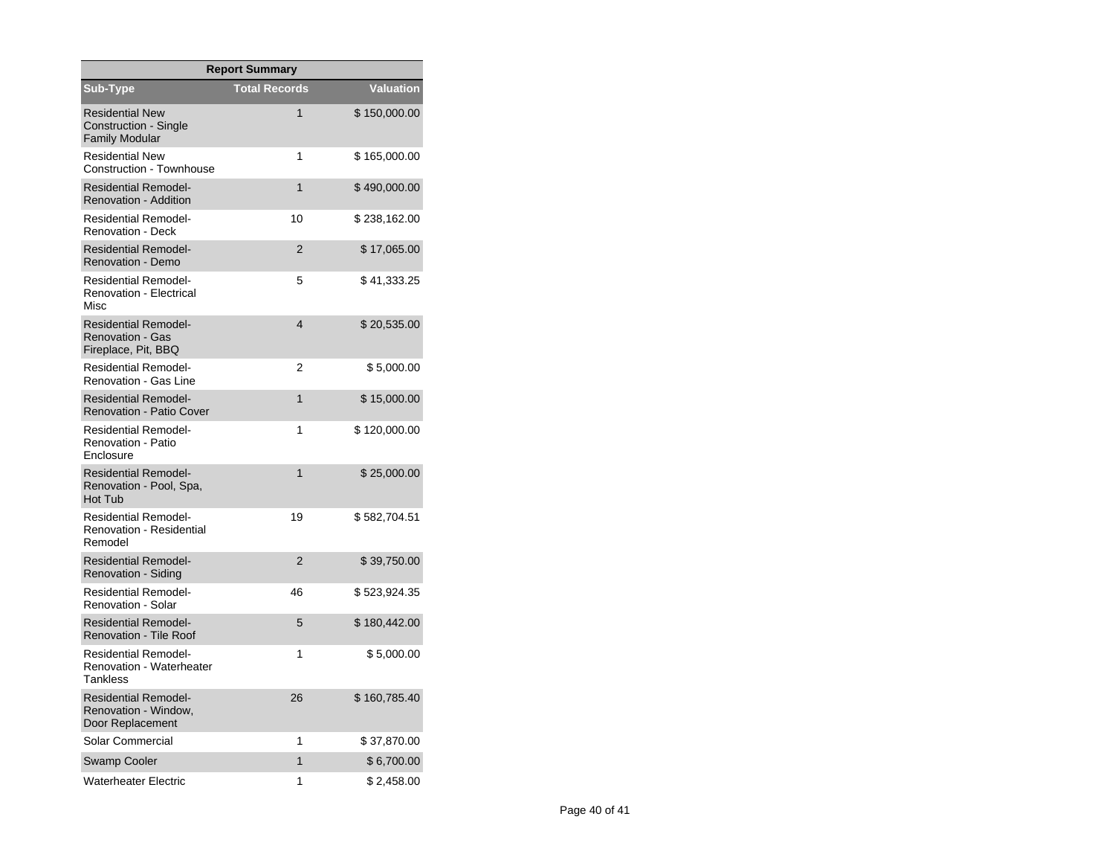| <b>Report Summary</b>                                                         |                      |              |  |  |  |
|-------------------------------------------------------------------------------|----------------------|--------------|--|--|--|
| Sub-Type                                                                      | <b>Total Records</b> | Valuation    |  |  |  |
| <b>Residential New</b><br>Construction - Single<br><b>Family Modular</b>      | 1                    | \$150,000.00 |  |  |  |
| <b>Residential New</b><br><b>Construction - Townhouse</b>                     | 1                    | \$165,000.00 |  |  |  |
| <b>Residential Remodel-</b><br><b>Renovation - Addition</b>                   | 1                    | \$490,000.00 |  |  |  |
| <b>Residential Remodel-</b><br><b>Renovation - Deck</b>                       | 10                   | \$238,162.00 |  |  |  |
| <b>Residential Remodel-</b><br>Renovation - Demo                              | $\overline{2}$       | \$17,065.00  |  |  |  |
| <b>Residential Remodel-</b><br><b>Renovation - Electrical</b><br>Misc         | 5                    | \$41,333.25  |  |  |  |
| <b>Residential Remodel-</b><br><b>Renovation - Gas</b><br>Fireplace, Pit, BBQ | $\overline{4}$       | \$20,535.00  |  |  |  |
| <b>Residential Remodel-</b><br>Renovation - Gas Line                          | 2                    | \$5,000.00   |  |  |  |
| <b>Residential Remodel-</b><br><b>Renovation - Patio Cover</b>                | 1                    | \$15,000.00  |  |  |  |
| <b>Residential Remodel-</b><br>Renovation - Patio<br><b>Fnclosure</b>         | 1                    | \$120,000.00 |  |  |  |
| <b>Residential Remodel-</b><br>Renovation - Pool, Spa,<br>Hot Tub             | 1                    | \$25,000.00  |  |  |  |
| <b>Residential Remodel-</b><br><b>Renovation - Residential</b><br>Remodel     | 19                   | \$582,704.51 |  |  |  |
| <b>Residential Remodel-</b><br>Renovation - Siding                            | $\overline{2}$       | \$39,750.00  |  |  |  |
| <b>Residential Remodel-</b><br>Renovation - Solar                             | 46                   | \$523,924.35 |  |  |  |
| <b>Residential Remodel-</b><br><b>Renovation - Tile Roof</b>                  | 5                    | \$180,442.00 |  |  |  |
| <b>Residential Remodel-</b><br>Renovation - Waterheater<br><b>Tankless</b>    | 1                    | \$5,000.00   |  |  |  |
| <b>Residential Remodel-</b><br>Renovation - Window,<br>Door Replacement       | 26                   | \$160,785.40 |  |  |  |
| Solar Commercial                                                              | 1                    | \$37,870.00  |  |  |  |
| <b>Swamp Cooler</b>                                                           | 1                    | \$6,700.00   |  |  |  |
| <b>Waterheater Electric</b>                                                   | 1                    | \$2,458.00   |  |  |  |